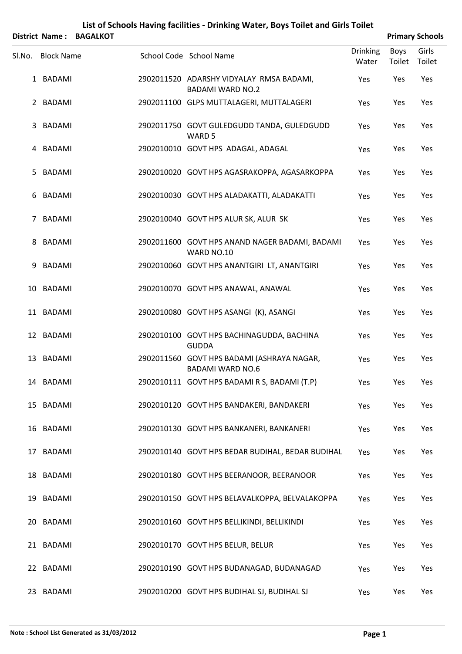|        |                   | District Name: BAGALKOT |                                                                       |                          |                | <b>Primary Schools</b> |
|--------|-------------------|-------------------------|-----------------------------------------------------------------------|--------------------------|----------------|------------------------|
| SI.No. | <b>Block Name</b> |                         | School Code School Name                                               | <b>Drinking</b><br>Water | Boys<br>Toilet | Girls<br>Toilet        |
|        | 1 BADAMI          |                         | 2902011520 ADARSHY VIDYALAY RMSA BADAMI,<br><b>BADAMI WARD NO.2</b>   | Yes                      | Yes            | Yes                    |
|        | 2 BADAMI          |                         | 2902011100 GLPS MUTTALAGERI, MUTTALAGERI                              | Yes                      | Yes            | Yes                    |
| 3      | BADAMI            |                         | 2902011750 GOVT GULEDGUDD TANDA, GULEDGUDD<br>WARD <sub>5</sub>       | Yes                      | Yes            | Yes                    |
|        | 4 BADAMI          |                         | 2902010010 GOVT HPS ADAGAL, ADAGAL                                    | Yes                      | Yes            | Yes                    |
| 5      | BADAMI            |                         | 2902010020 GOVT HPS AGASRAKOPPA, AGASARKOPPA                          | Yes                      | Yes            | Yes                    |
| 6      | BADAMI            |                         | 2902010030 GOVT HPS ALADAKATTI, ALADAKATTI                            | Yes                      | Yes            | Yes                    |
| 7      | BADAMI            |                         | 2902010040 GOVT HPS ALUR SK, ALUR SK                                  | Yes                      | Yes            | Yes                    |
| 8      | BADAMI            |                         | 2902011600 GOVT HPS ANAND NAGER BADAMI, BADAMI<br>WARD NO.10          | Yes                      | Yes            | Yes                    |
| 9      | <b>BADAMI</b>     |                         | 2902010060 GOVT HPS ANANTGIRI LT, ANANTGIRI                           | Yes                      | Yes            | Yes                    |
|        | 10 BADAMI         |                         | 2902010070 GOVT HPS ANAWAL, ANAWAL                                    | Yes                      | Yes            | Yes                    |
|        | 11 BADAMI         |                         | 2902010080 GOVT HPS ASANGI (K), ASANGI                                | Yes                      | Yes            | Yes                    |
|        | 12 BADAMI         |                         | 2902010100 GOVT HPS BACHINAGUDDA, BACHINA<br><b>GUDDA</b>             | Yes                      | Yes            | Yes                    |
| 13     | BADAMI            |                         | 2902011560 GOVT HPS BADAMI (ASHRAYA NAGAR,<br><b>BADAMI WARD NO.6</b> | Yes                      | Yes            | Yes                    |
|        | 14 BADAMI         |                         | 2902010111 GOVT HPS BADAMI R S, BADAMI (T.P)                          | Yes                      | Yes            | Yes                    |
|        | 15 BADAMI         |                         | 2902010120 GOVT HPS BANDAKERI, BANDAKERI                              | Yes                      | Yes            | Yes                    |
|        | 16 BADAMI         |                         | 2902010130 GOVT HPS BANKANERI, BANKANERI                              | Yes                      | Yes            | Yes                    |
|        | 17 BADAMI         |                         | 2902010140 GOVT HPS BEDAR BUDIHAL, BEDAR BUDIHAL                      | Yes                      | Yes            | Yes                    |
|        | 18 BADAMI         |                         | 2902010180 GOVT HPS BEERANOOR, BEERANOOR                              | Yes                      | Yes            | Yes                    |
|        | 19 BADAMI         |                         | 2902010150 GOVT HPS BELAVALKOPPA, BELVALAKOPPA                        | Yes                      | Yes            | Yes                    |
|        | 20 BADAMI         |                         | 2902010160 GOVT HPS BELLIKINDI, BELLIKINDI                            | Yes                      | Yes            | Yes                    |
|        | 21 BADAMI         |                         | 2902010170 GOVT HPS BELUR, BELUR                                      | Yes                      | Yes            | Yes                    |
|        | 22 BADAMI         |                         | 2902010190 GOVT HPS BUDANAGAD, BUDANAGAD                              | Yes                      | Yes            | Yes                    |
|        | 23 BADAMI         |                         | 2902010200 GOVT HPS BUDIHAL SJ, BUDIHAL SJ                            | Yes                      | Yes            | Yes                    |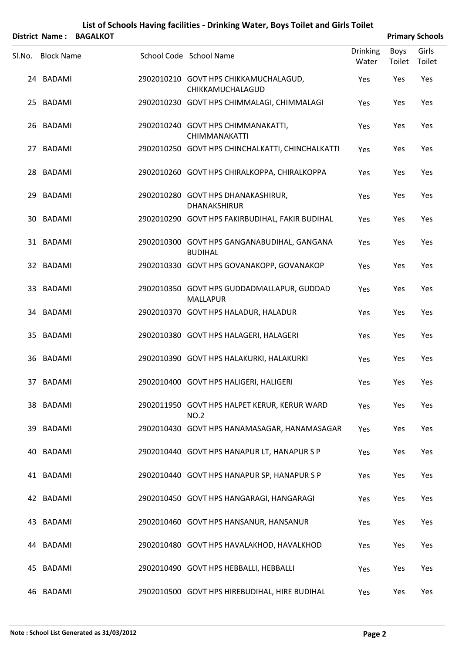|    | District Name:    | <b>BAGALKOT</b> |                                                               |                          |                       | <b>Primary Schools</b> |
|----|-------------------|-----------------|---------------------------------------------------------------|--------------------------|-----------------------|------------------------|
|    | Sl.No. Block Name |                 | School Code School Name                                       | <b>Drinking</b><br>Water | <b>Boys</b><br>Toilet | Girls<br>Toilet        |
|    | 24 BADAMI         |                 | 2902010210 GOVT HPS CHIKKAMUCHALAGUD,<br>CHIKKAMUCHALAGUD     | Yes                      | Yes                   | Yes                    |
|    | 25 BADAMI         |                 | 2902010230 GOVT HPS CHIMMALAGI, CHIMMALAGI                    | Yes                      | Yes                   | Yes                    |
|    | 26 BADAMI         |                 | 2902010240 GOVT HPS CHIMMANAKATTI,<br><b>CHIMMANAKATTI</b>    | Yes                      | Yes                   | Yes                    |
|    | 27 BADAMI         |                 | 2902010250 GOVT HPS CHINCHALKATTI, CHINCHALKATTI              | Yes                      | Yes                   | Yes                    |
|    | 28 BADAMI         |                 | 2902010260 GOVT HPS CHIRALKOPPA, CHIRALKOPPA                  | Yes                      | Yes                   | Yes                    |
|    | 29 BADAMI         |                 | 2902010280 GOVT HPS DHANAKASHIRUR,<br><b>DHANAKSHIRUR</b>     | Yes                      | Yes                   | Yes                    |
|    | 30 BADAMI         |                 | 2902010290 GOVT HPS FAKIRBUDIHAL, FAKIR BUDIHAL               | Yes                      | Yes                   | Yes                    |
|    | 31 BADAMI         |                 | 2902010300 GOVT HPS GANGANABUDIHAL, GANGANA<br><b>BUDIHAL</b> | Yes                      | Yes                   | Yes                    |
|    | 32 BADAMI         |                 | 2902010330 GOVT HPS GOVANAKOPP, GOVANAKOP                     | Yes                      | Yes                   | Yes                    |
|    | 33 BADAMI         |                 | 2902010350 GOVT HPS GUDDADMALLAPUR, GUDDAD<br><b>MALLAPUR</b> | Yes                      | Yes                   | Yes                    |
|    | 34 BADAMI         |                 | 2902010370 GOVT HPS HALADUR, HALADUR                          | Yes                      | Yes                   | Yes                    |
|    | 35 BADAMI         |                 | 2902010380 GOVT HPS HALAGERI, HALAGERI                        | Yes                      | Yes                   | Yes                    |
| 36 | BADAMI            |                 | 2902010390 GOVT HPS HALAKURKI, HALAKURKI                      | Yes                      | Yes                   | Yes                    |
|    | 37 BADAMI         |                 | 2902010400 GOVT HPS HALIGERI, HALIGERI                        | Yes                      | Yes                   | Yes                    |
|    | 38 BADAMI         |                 | 2902011950 GOVT HPS HALPET KERUR, KERUR WARD<br><b>NO.2</b>   | Yes                      | Yes                   | Yes                    |
|    | 39 BADAMI         |                 | 2902010430 GOVT HPS HANAMASAGAR, HANAMASAGAR                  | Yes                      | Yes                   | Yes                    |
|    | 40 BADAMI         |                 | 2902010440 GOVT HPS HANAPUR LT, HANAPUR S P                   | Yes                      | Yes                   | Yes                    |
|    | 41 BADAMI         |                 | 2902010440 GOVT HPS HANAPUR SP, HANAPUR S P                   | Yes                      | Yes                   | Yes                    |
|    | 42 BADAMI         |                 | 2902010450 GOVT HPS HANGARAGI, HANGARAGI                      | Yes                      | Yes                   | Yes                    |
|    | 43 BADAMI         |                 | 2902010460 GOVT HPS HANSANUR, HANSANUR                        | Yes                      | Yes                   | Yes                    |
|    | 44 BADAMI         |                 | 2902010480 GOVT HPS HAVALAKHOD, HAVALKHOD                     | Yes                      | Yes                   | Yes                    |
|    | 45 BADAMI         |                 | 2902010490 GOVT HPS HEBBALLI, HEBBALLI                        | Yes                      | Yes                   | Yes                    |
|    | 46 BADAMI         |                 | 2902010500 GOVT HPS HIREBUDIHAL, HIRE BUDIHAL                 | Yes                      | Yes                   | Yes                    |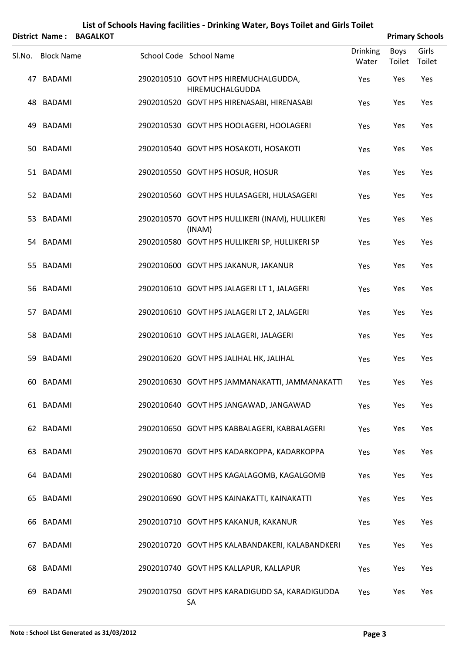|        | <b>District Name:</b> | <b>BAGALKOT</b> | List of Schools Having facilities - Drinking Water, Boys Toilet and Girls Toilet |                          |                       | <b>Primary Schools</b> |
|--------|-----------------------|-----------------|----------------------------------------------------------------------------------|--------------------------|-----------------------|------------------------|
| Sl.No. | <b>Block Name</b>     |                 | School Code School Name                                                          | <b>Drinking</b><br>Water | <b>Boys</b><br>Toilet | Girls<br>Toilet        |
|        | 47 BADAMI             |                 | 2902010510 GOVT HPS HIREMUCHALGUDDA,<br>HIREMUCHALGUDDA                          | Yes                      | Yes                   | Yes                    |
|        | 48 BADAMI             |                 | 2902010520 GOVT HPS HIRENASABI, HIRENASABI                                       | Yes                      | Yes                   | Yes                    |
| 49     | <b>BADAMI</b>         |                 | 2902010530 GOVT HPS HOOLAGERI, HOOLAGERI                                         | Yes                      | Yes                   | Yes                    |
|        | 50 BADAMI             |                 | 2902010540 GOVT HPS HOSAKOTI, HOSAKOTI                                           | Yes                      | Yes                   | Yes                    |
|        | 51 BADAMI             |                 | 2902010550 GOVT HPS HOSUR, HOSUR                                                 | Yes                      | Yes                   | Yes                    |
|        | 52 BADAMI             |                 | 2902010560 GOVT HPS HULASAGERI, HULASAGERI                                       | Yes                      | Yes                   | Yes                    |
|        | 53 BADAMI             |                 | 2902010570 GOVT HPS HULLIKERI (INAM), HULLIKERI<br>(INAM)                        | Yes                      | Yes                   | Yes                    |
|        | 54 BADAMI             |                 | 2902010580 GOVT HPS HULLIKERI SP, HULLIKERI SP                                   | Yes                      | Yes                   | Yes                    |
|        | 55 BADAMI             |                 | 2902010600 GOVT HPS JAKANUR, JAKANUR                                             | Yes                      | Yes                   | Yes                    |
|        | 56 BADAMI             |                 | 2902010610 GOVT HPS JALAGERI LT 1, JALAGERI                                      | Yes                      | Yes                   | Yes                    |
|        | 57 BADAMI             |                 | 2902010610 GOVT HPS JALAGERI LT 2, JALAGERI                                      | Yes                      | Yes                   | Yes                    |
|        | 58 BADAMI             |                 | 2902010610 GOVT HPS JALAGERI, JALAGERI                                           | Yes                      | Yes                   | Yes                    |
| 59     | BADAMI                |                 | 2902010620 GOVT HPS JALIHAL HK, JALIHAL                                          | Yes                      | Yes                   | Yes                    |
|        | 60 BADAMI             |                 | 2902010630 GOVT HPS JAMMANAKATTI, JAMMANAKATTI                                   | Yes                      | Yes                   | Yes                    |
|        | 61 BADAMI             |                 | 2902010640 GOVT HPS JANGAWAD, JANGAWAD                                           | Yes                      | Yes                   | Yes                    |
|        | 62 BADAMI             |                 | 2902010650 GOVT HPS KABBALAGERI, KABBALAGERI                                     | Yes                      | Yes                   | Yes                    |
|        | 63 BADAMI             |                 | 2902010670 GOVT HPS KADARKOPPA, KADARKOPPA                                       | Yes                      | Yes                   | Yes                    |
|        | 64 BADAMI             |                 | 2902010680 GOVT HPS KAGALAGOMB, KAGALGOMB                                        | Yes                      | Yes                   | Yes                    |
|        | 65 BADAMI             |                 | 2902010690 GOVT HPS KAINAKATTI, KAINAKATTI                                       | Yes                      | Yes                   | Yes                    |
|        | 66 BADAMI             |                 | 2902010710 GOVT HPS KAKANUR, KAKANUR                                             | Yes                      | Yes                   | Yes                    |
|        | 67 BADAMI             |                 | 2902010720 GOVT HPS KALABANDAKERI, KALABANDKERI                                  | Yes                      | Yes                   | Yes                    |
|        | 68 BADAMI             |                 | 2902010740 GOVT HPS KALLAPUR, KALLAPUR                                           | Yes                      | Yes                   | Yes                    |
| 69     | BADAMI                |                 | 2902010750 GOVT HPS KARADIGUDD SA, KARADIGUDDA<br>SA                             | Yes                      | Yes                   | Yes                    |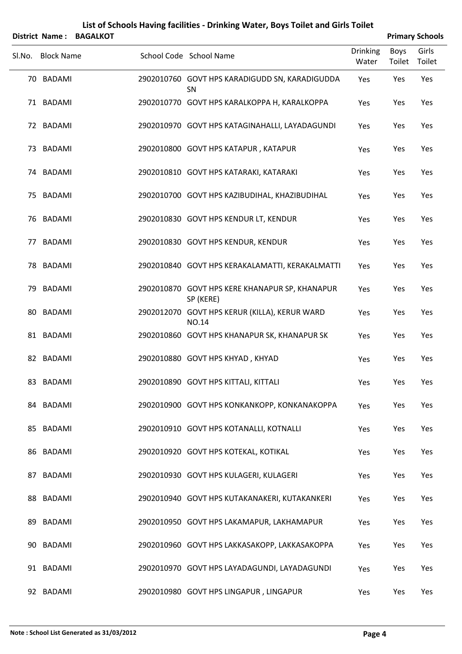|        | <b>District Name:</b> | <b>BAGALKOT</b> | List of Schools Having facilities - Drinking Water, Boys Toilet and Girls Toilet |                          |                       | <b>Primary Schools</b> |
|--------|-----------------------|-----------------|----------------------------------------------------------------------------------|--------------------------|-----------------------|------------------------|
| Sl.No. | <b>Block Name</b>     |                 | School Code School Name                                                          | <b>Drinking</b><br>Water | <b>Boys</b><br>Toilet | Girls<br>Toilet        |
|        | 70 BADAMI             |                 | 2902010760 GOVT HPS KARADIGUDD SN, KARADIGUDDA<br><b>SN</b>                      | Yes                      | Yes                   | Yes                    |
|        | 71 BADAMI             |                 | 2902010770 GOVT HPS KARALKOPPA H, KARALKOPPA                                     | Yes                      | Yes                   | Yes                    |
|        | 72 BADAMI             |                 | 2902010970 GOVT HPS KATAGINAHALLI, LAYADAGUNDI                                   | Yes                      | Yes                   | Yes                    |
|        | 73 BADAMI             |                 | 2902010800 GOVT HPS KATAPUR, KATAPUR                                             | Yes                      | Yes                   | Yes                    |
|        | 74 BADAMI             |                 | 2902010810 GOVT HPS KATARAKI, KATARAKI                                           | Yes                      | Yes                   | Yes                    |
|        | 75 BADAMI             |                 | 2902010700 GOVT HPS KAZIBUDIHAL, KHAZIBUDIHAL                                    | Yes                      | Yes                   | Yes                    |
|        | 76 BADAMI             |                 | 2902010830 GOVT HPS KENDUR LT, KENDUR                                            | Yes                      | Yes                   | Yes                    |
|        | 77 BADAMI             |                 | 2902010830 GOVT HPS KENDUR, KENDUR                                               | Yes                      | Yes                   | Yes                    |
|        | 78 BADAMI             |                 | 2902010840 GOVT HPS KERAKALAMATTI, KERAKALMATTI                                  | Yes                      | Yes                   | Yes                    |
|        | 79 BADAMI             |                 | 2902010870 GOVT HPS KERE KHANAPUR SP, KHANAPUR<br>SP (KERE)                      | Yes                      | Yes                   | Yes                    |
|        | 80 BADAMI             |                 | 2902012070 GOVT HPS KERUR (KILLA), KERUR WARD<br><b>NO.14</b>                    | Yes                      | Yes                   | Yes                    |
|        | 81 BADAMI             |                 | 2902010860 GOVT HPS KHANAPUR SK, KHANAPUR SK                                     | Yes                      | Yes                   | Yes                    |
|        | 82 BADAMI             |                 | 2902010880 GOVT HPS KHYAD, KHYAD                                                 | Yes                      | Yes                   | Yes                    |
|        | 83 BADAMI             |                 | 2902010890 GOVT HPS KITTALI, KITTALI                                             | Yes                      | Yes                   | Yes                    |
|        | 84 BADAMI             |                 | 2902010900 GOVT HPS KONKANKOPP, KONKANAKOPPA                                     | Yes                      | Yes                   | Yes                    |
|        | 85 BADAMI             |                 | 2902010910 GOVT HPS KOTANALLI, KOTNALLI                                          | Yes                      | Yes                   | Yes                    |
|        | 86 BADAMI             |                 | 2902010920 GOVT HPS KOTEKAL, KOTIKAL                                             | Yes                      | Yes                   | Yes                    |
|        | 87 BADAMI             |                 | 2902010930 GOVT HPS KULAGERI, KULAGERI                                           | Yes                      | Yes                   | Yes                    |
|        | 88 BADAMI             |                 | 2902010940 GOVT HPS KUTAKANAKERI, KUTAKANKERI                                    | Yes                      | Yes                   | Yes                    |
|        | 89 BADAMI             |                 | 2902010950 GOVT HPS LAKAMAPUR, LAKHAMAPUR                                        | Yes                      | Yes                   | Yes                    |
|        | 90 BADAMI             |                 | 2902010960 GOVT HPS LAKKASAKOPP, LAKKASAKOPPA                                    | Yes                      | Yes                   | Yes                    |
|        | 91 BADAMI             |                 | 2902010970 GOVT HPS LAYADAGUNDI, LAYADAGUNDI                                     | Yes                      | Yes                   | Yes                    |
|        | 92 BADAMI             |                 | 2902010980 GOVT HPS LINGAPUR, LINGAPUR                                           | Yes                      | Yes                   | Yes                    |

#### **Note : School List Generated as 31/03/2012 Page 4**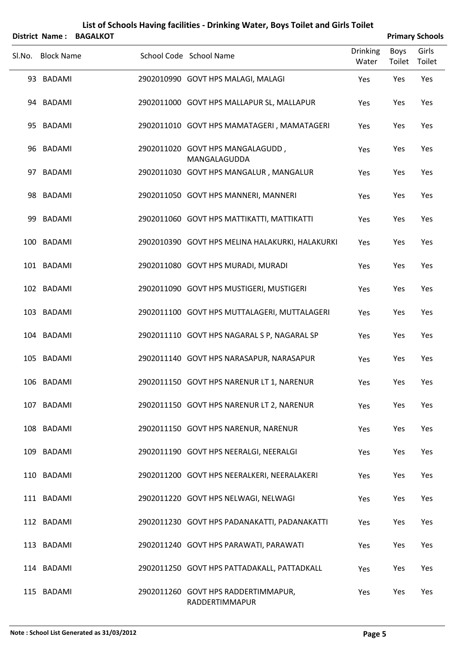|        | <b>District Name:</b> | <b>BAGALKOT</b> |                                                       |                          |                | <b>Primary Schools</b> |
|--------|-----------------------|-----------------|-------------------------------------------------------|--------------------------|----------------|------------------------|
| SI.No. | <b>Block Name</b>     |                 | School Code School Name                               | <b>Drinking</b><br>Water | Boys<br>Toilet | Girls<br>Toilet        |
|        | 93 BADAMI             |                 | 2902010990 GOVT HPS MALAGI, MALAGI                    | Yes                      | Yes            | Yes                    |
|        | 94 BADAMI             |                 | 2902011000 GOVT HPS MALLAPUR SL, MALLAPUR             | Yes                      | Yes            | Yes                    |
|        | 95 BADAMI             |                 | 2902011010 GOVT HPS MAMATAGERI, MAMATAGERI            | Yes                      | Yes            | Yes                    |
|        | 96 BADAMI             |                 | 2902011020 GOVT HPS MANGALAGUDD,<br>MANGALAGUDDA      | Yes                      | Yes            | Yes                    |
|        | 97 BADAMI             |                 | 2902011030 GOVT HPS MANGALUR, MANGALUR                | Yes                      | Yes            | Yes                    |
|        | 98 BADAMI             |                 | 2902011050 GOVT HPS MANNERI, MANNERI                  | Yes                      | Yes            | Yes                    |
| 99     | <b>BADAMI</b>         |                 | 2902011060 GOVT HPS MATTIKATTI, MATTIKATTI            | Yes                      | Yes            | Yes                    |
|        | 100 BADAMI            |                 | 2902010390 GOVT HPS MELINA HALAKURKI, HALAKURKI       | Yes                      | Yes            | Yes                    |
|        | 101 BADAMI            |                 | 2902011080 GOVT HPS MURADI, MURADI                    | Yes                      | Yes            | Yes                    |
|        | 102 BADAMI            |                 | 2902011090 GOVT HPS MUSTIGERI, MUSTIGERI              | Yes                      | Yes            | Yes                    |
|        | 103 BADAMI            |                 | 2902011100 GOVT HPS MUTTALAGERI, MUTTALAGERI          | Yes                      | Yes            | Yes                    |
|        | 104 BADAMI            |                 | 2902011110 GOVT HPS NAGARAL S P, NAGARAL SP           | Yes                      | Yes            | Yes                    |
|        | 105 BADAMI            |                 | 2902011140 GOVT HPS NARASAPUR, NARASAPUR              | Yes                      | Yes            | Yes                    |
|        | 106 BADAMI            |                 | 2902011150 GOVT HPS NARENUR LT 1, NARENUR             | Yes                      | Yes            | Yes                    |
|        | 107 BADAMI            |                 | 2902011150 GOVT HPS NARENUR LT 2, NARENUR             | Yes                      | Yes            | Yes                    |
|        | 108 BADAMI            |                 | 2902011150 GOVT HPS NARENUR, NARENUR                  | Yes                      | Yes            | Yes                    |
|        | 109 BADAMI            |                 | 2902011190 GOVT HPS NEERALGI, NEERALGI                | Yes                      | Yes            | Yes                    |
|        | 110 BADAMI            |                 | 2902011200 GOVT HPS NEERALKERI, NEERALAKERI           | Yes                      | Yes            | Yes                    |
|        | 111 BADAMI            |                 | 2902011220 GOVT HPS NELWAGI, NELWAGI                  | Yes                      | Yes            | Yes                    |
|        | 112 BADAMI            |                 | 2902011230 GOVT HPS PADANAKATTI, PADANAKATTI          | Yes                      | Yes            | Yes                    |
|        | 113 BADAMI            |                 | 2902011240 GOVT HPS PARAWATI, PARAWATI                | Yes                      | Yes            | Yes                    |
|        | 114 BADAMI            |                 | 2902011250 GOVT HPS PATTADAKALL, PATTADKALL           | Yes                      | Yes            | Yes                    |
|        | 115 BADAMI            |                 | 2902011260 GOVT HPS RADDERTIMMAPUR,<br>RADDERTIMMAPUR | Yes                      | Yes            | Yes                    |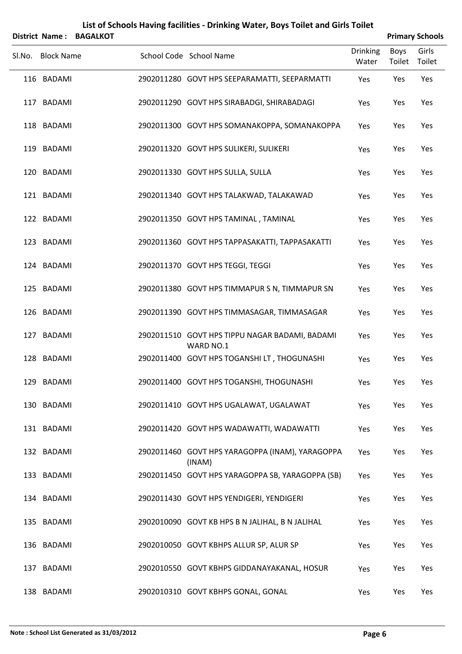| <b>District Name:</b> | <b>BAGALKOT</b> |                                                             |                          |                | <b>Primary Schools</b> |
|-----------------------|-----------------|-------------------------------------------------------------|--------------------------|----------------|------------------------|
| Sl.No. Block Name     |                 | School Code School Name                                     | <b>Drinking</b><br>Water | Boys<br>Toilet | Girls<br>Toilet        |
| 116 BADAMI            |                 | 2902011280 GOVT HPS SEEPARAMATTI, SEEPARMATTI               | Yes                      | Yes            | Yes                    |
| 117 BADAMI            |                 | 2902011290 GOVT HPS SIRABADGI, SHIRABADAGI                  | Yes                      | Yes            | Yes                    |
| 118 BADAMI            |                 | 2902011300 GOVT HPS SOMANAKOPPA, SOMANAKOPPA                | Yes                      | Yes            | Yes                    |
| 119 BADAMI            |                 | 2902011320 GOVT HPS SULIKERI, SULIKERI                      | Yes                      | Yes            | Yes                    |
| 120 BADAMI            |                 | 2902011330 GOVT HPS SULLA, SULLA                            | Yes                      | Yes            | Yes                    |
| 121 BADAMI            |                 | 2902011340 GOVT HPS TALAKWAD, TALAKAWAD                     | Yes                      | Yes            | Yes                    |
| 122 BADAMI            |                 | 2902011350 GOVT HPS TAMINAL, TAMINAL                        | Yes                      | Yes            | Yes                    |
| 123 BADAMI            |                 | 2902011360 GOVT HPS TAPPASAKATTI, TAPPASAKATTI              | Yes                      | Yes            | Yes                    |
| 124 BADAMI            |                 | 2902011370 GOVT HPS TEGGI, TEGGI                            | Yes                      | Yes            | Yes                    |
| 125 BADAMI            |                 | 2902011380 GOVT HPS TIMMAPUR S N, TIMMAPUR SN               | Yes                      | Yes            | Yes                    |
| 126 BADAMI            |                 | 2902011390 GOVT HPS TIMMASAGAR, TIMMASAGAR                  | Yes                      | Yes            | Yes                    |
| 127 BADAMI            |                 | 2902011510 GOVT HPS TIPPU NAGAR BADAMI, BADAMI<br>WARD NO.1 | Yes                      | Yes            | Yes                    |
| 128 BADAMI            |                 | 2902011400 GOVT HPS TOGANSHI LT, THOGUNASHI                 | Yes                      | Yes            | Yes                    |
| 129 BADAMI            |                 | 2902011400 GOVT HPS TOGANSHI, THOGUNASHI                    | Yes                      | Yes            | Yes                    |
| 130 BADAMI            |                 | 2902011410 GOVT HPS UGALAWAT, UGALAWAT                      | Yes                      | Yes            | Yes                    |
| 131 BADAMI            |                 | 2902011420 GOVT HPS WADAWATTI, WADAWATTI                    | Yes                      | Yes            | Yes                    |
| 132 BADAMI            |                 | 2902011460 GOVT HPS YARAGOPPA (INAM), YARAGOPPA<br>(INAM)   | Yes                      | Yes            | Yes                    |
| 133 BADAMI            |                 | 2902011450 GOVT HPS YARAGOPPA SB, YARAGOPPA (SB)            | Yes                      | Yes            | Yes                    |
| 134 BADAMI            |                 | 2902011430 GOVT HPS YENDIGERI, YENDIGERI                    | Yes                      | Yes            | Yes                    |
| 135 BADAMI            |                 | 2902010090 GOVT KB HPS B N JALIHAL, B N JALIHAL             | Yes                      | Yes            | Yes                    |
| 136 BADAMI            |                 | 2902010050 GOVT KBHPS ALLUR SP, ALUR SP                     | Yes                      | Yes            | Yes                    |
| 137 BADAMI            |                 | 2902010550 GOVT KBHPS GIDDANAYAKANAL, HOSUR                 | Yes                      | Yes            | Yes                    |
| 138 BADAMI            |                 | 2902010310 GOVT KBHPS GONAL, GONAL                          | Yes                      | Yes            | Yes                    |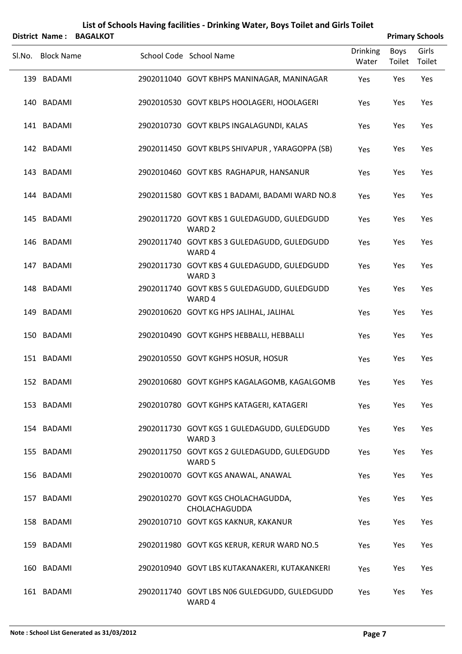|        |                       |                 | List of Schools Having facilities - Drinking Water, Boys Toilet and Girls Toilet |                          |                       |                        |
|--------|-----------------------|-----------------|----------------------------------------------------------------------------------|--------------------------|-----------------------|------------------------|
|        | <b>District Name:</b> | <b>BAGALKOT</b> |                                                                                  |                          |                       | <b>Primary Schools</b> |
| Sl.No. | <b>Block Name</b>     |                 | School Code School Name                                                          | <b>Drinking</b><br>Water | <b>Boys</b><br>Toilet | Girls<br>Toilet        |
|        | 139 BADAMI            |                 | 2902011040 GOVT KBHPS MANINAGAR, MANINAGAR                                       | Yes                      | Yes                   | Yes                    |
|        | 140 BADAMI            |                 | 2902010530 GOVT KBLPS HOOLAGERI, HOOLAGERI                                       | Yes                      | Yes                   | Yes                    |
|        | 141 BADAMI            |                 | 2902010730 GOVT KBLPS INGALAGUNDI, KALAS                                         | Yes                      | Yes                   | Yes                    |
|        | 142 BADAMI            |                 | 2902011450 GOVT KBLPS SHIVAPUR, YARAGOPPA (SB)                                   | Yes                      | Yes                   | Yes                    |
|        | 143 BADAMI            |                 | 2902010460 GOVT KBS RAGHAPUR, HANSANUR                                           | Yes                      | Yes                   | Yes                    |
|        | 144 BADAMI            |                 | 2902011580 GOVT KBS 1 BADAMI, BADAMI WARD NO.8                                   | Yes                      | Yes                   | Yes                    |
|        | 145 BADAMI            |                 | 2902011720 GOVT KBS 1 GULEDAGUDD, GULEDGUDD<br>WARD <sub>2</sub>                 | Yes                      | Yes                   | Yes                    |
|        | 146 BADAMI            |                 | 2902011740 GOVT KBS 3 GULEDAGUDD, GULEDGUDD<br>WARD 4                            | Yes                      | Yes                   | Yes                    |
|        | 147 BADAMI            |                 | 2902011730 GOVT KBS 4 GULEDAGUDD, GULEDGUDD<br>WARD <sub>3</sub>                 | Yes                      | Yes                   | Yes                    |
|        | 148 BADAMI            |                 | 2902011740 GOVT KBS 5 GULEDAGUDD, GULEDGUDD<br>WARD 4                            | Yes                      | Yes                   | Yes                    |
|        | 149 BADAMI            |                 | 2902010620 GOVT KG HPS JALIHAL, JALIHAL                                          | Yes                      | Yes                   | Yes                    |
|        | 150 BADAMI            |                 | 2902010490 GOVT KGHPS HEBBALLI, HEBBALLI                                         | Yes                      | Yes                   | Yes                    |
|        | 151 BADAMI            |                 | 2902010550 GOVT KGHPS HOSUR, HOSUR                                               | Yes                      | Yes                   | Yes                    |
|        | 152 BADAMI            |                 | 2902010680 GOVT KGHPS KAGALAGOMB, KAGALGOMB                                      | Yes                      | Yes                   | Yes                    |
|        | 153 BADAMI            |                 | 2902010780 GOVT KGHPS KATAGERI, KATAGERI                                         | Yes                      | Yes                   | Yes                    |
|        | 154 BADAMI            |                 | 2902011730 GOVT KGS 1 GULEDAGUDD, GULEDGUDD<br>WARD <sub>3</sub>                 | Yes                      | Yes                   | Yes                    |
|        | 155 BADAMI            |                 | 2902011750 GOVT KGS 2 GULEDAGUDD, GULEDGUDD<br>WARD 5                            | Yes                      | Yes                   | Yes                    |
|        | 156 BADAMI            |                 | 2902010070 GOVT KGS ANAWAL, ANAWAL                                               | Yes                      | Yes                   | Yes                    |
|        | 157 BADAMI            |                 | 2902010270 GOVT KGS CHOLACHAGUDDA,<br>CHOLACHAGUDDA                              | Yes                      | Yes                   | Yes                    |
|        | 158 BADAMI            |                 | 2902010710 GOVT KGS KAKNUR, KAKANUR                                              | Yes                      | Yes                   | Yes                    |
|        | 159 BADAMI            |                 | 2902011980 GOVT KGS KERUR, KERUR WARD NO.5                                       | Yes                      | Yes                   | Yes                    |
|        | 160 BADAMI            |                 | 2902010940 GOVT LBS KUTAKANAKERI, KUTAKANKERI                                    | Yes                      | Yes                   | Yes                    |
|        | 161 BADAMI            |                 | 2902011740 GOVT LBS N06 GULEDGUDD, GULEDGUDD<br>WARD 4                           | Yes                      | Yes                   | Yes                    |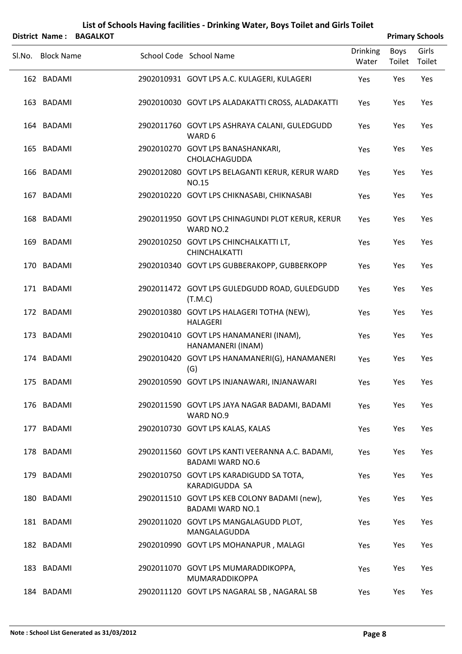|        |                   | District Name: BAGALKOT |                                                                            |                          |                | <b>Primary Schools</b> |
|--------|-------------------|-------------------------|----------------------------------------------------------------------------|--------------------------|----------------|------------------------|
| Sl.No. | <b>Block Name</b> |                         | School Code School Name                                                    | <b>Drinking</b><br>Water | Boys<br>Toilet | Girls<br>Toilet        |
|        | 162 BADAMI        |                         | 2902010931 GOVT LPS A.C. KULAGERI, KULAGERI                                | Yes                      | Yes            | Yes                    |
|        | 163 BADAMI        |                         | 2902010030 GOVT LPS ALADAKATTI CROSS, ALADAKATTI                           | Yes                      | Yes            | Yes                    |
|        | 164 BADAMI        |                         | 2902011760 GOVT LPS ASHRAYA CALANI, GULEDGUDD<br>WARD 6                    | Yes                      | Yes            | Yes                    |
|        | 165 BADAMI        |                         | 2902010270 GOVT LPS BANASHANKARI,<br>CHOLACHAGUDDA                         | Yes                      | Yes            | Yes                    |
|        | 166 BADAMI        |                         | 2902012080 GOVT LPS BELAGANTI KERUR, KERUR WARD<br><b>NO.15</b>            | Yes                      | Yes            | Yes                    |
|        | 167 BADAMI        |                         | 2902010220 GOVT LPS CHIKNASABI, CHIKNASABI                                 | Yes                      | Yes            | Yes                    |
|        | 168 BADAMI        |                         | 2902011950 GOVT LPS CHINAGUNDI PLOT KERUR, KERUR<br>WARD NO.2              | Yes                      | Yes            | Yes                    |
|        | 169 BADAMI        |                         | 2902010250 GOVT LPS CHINCHALKATTI LT,<br><b>CHINCHALKATTI</b>              | Yes                      | Yes            | Yes                    |
|        | 170 BADAMI        |                         | 2902010340 GOVT LPS GUBBERAKOPP, GUBBERKOPP                                | Yes                      | Yes            | Yes                    |
|        | 171 BADAMI        |                         | 2902011472 GOVT LPS GULEDGUDD ROAD, GULEDGUDD<br>(T.M.C)                   | Yes                      | Yes            | Yes                    |
|        | 172 BADAMI        |                         | 2902010380 GOVT LPS HALAGERI TOTHA (NEW),<br><b>HALAGERI</b>               | Yes                      | Yes            | Yes                    |
|        | 173 BADAMI        |                         | 2902010410 GOVT LPS HANAMANERI (INAM),<br>HANAMANERI (INAM)                | Yes                      | Yes            | Yes                    |
|        | 174 BADAMI        |                         | 2902010420 GOVT LPS HANAMANERI(G), HANAMANERI<br>(G)                       | Yes                      | Yes            | Yes                    |
|        | 175 BADAMI        |                         | 2902010590 GOVT LPS INJANAWARI, INJANAWARI                                 | Yes                      | Yes            | Yes                    |
|        | 176 BADAMI        |                         | 2902011590 GOVT LPS JAYA NAGAR BADAMI, BADAMI<br>WARD NO.9                 | Yes                      | Yes            | Yes                    |
|        | 177 BADAMI        |                         | 2902010730 GOVT LPS KALAS, KALAS                                           | Yes                      | Yes            | Yes                    |
|        | 178 BADAMI        |                         | 2902011560 GOVT LPS KANTI VEERANNA A.C. BADAMI,<br><b>BADAMI WARD NO.6</b> | Yes                      | Yes            | Yes                    |
|        | 179 BADAMI        |                         | 2902010750 GOVT LPS KARADIGUDD SA TOTA,<br>KARADIGUDDA SA                  | Yes                      | Yes            | Yes                    |
|        | 180 BADAMI        |                         | 2902011510 GOVT LPS KEB COLONY BADAMI (new),<br><b>BADAMI WARD NO.1</b>    | Yes                      | Yes            | Yes                    |
|        | 181 BADAMI        |                         | 2902011020 GOVT LPS MANGALAGUDD PLOT,<br>MANGALAGUDDA                      | Yes                      | Yes            | Yes                    |
|        | 182 BADAMI        |                         | 2902010990 GOVT LPS MOHANAPUR, MALAGI                                      | Yes                      | Yes            | Yes                    |
|        | 183 BADAMI        |                         | 2902011070 GOVT LPS MUMARADDIKOPPA,<br>MUMARADDIKOPPA                      | Yes                      | Yes            | Yes                    |

184 BADAMI 2902011120 GOVT LPS NAGARAL SB, NAGARAL SB Yes Yes Yes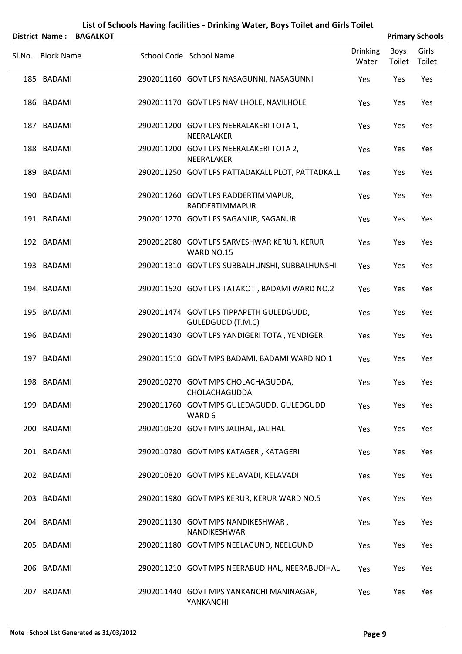|        | District Name:    | <b>BAGALKOT</b> |                                                               |                          |                | <b>Primary Schools</b> |
|--------|-------------------|-----------------|---------------------------------------------------------------|--------------------------|----------------|------------------------|
| Sl.No. | <b>Block Name</b> |                 | School Code School Name                                       | <b>Drinking</b><br>Water | Boys<br>Toilet | Girls<br>Toilet        |
|        | 185 BADAMI        |                 | 2902011160 GOVT LPS NASAGUNNI, NASAGUNNI                      | Yes                      | Yes            | Yes                    |
|        | 186 BADAMI        |                 | 2902011170 GOVT LPS NAVILHOLE, NAVILHOLE                      | Yes                      | Yes            | Yes                    |
|        | 187 BADAMI        |                 | 2902011200 GOVT LPS NEERALAKERI TOTA 1,<br>NEERALAKERI        | Yes                      | Yes            | Yes                    |
|        | 188 BADAMI        |                 | 2902011200 GOVT LPS NEERALAKERI TOTA 2,<br>NEERALAKERI        | Yes                      | Yes            | Yes                    |
|        | 189 BADAMI        |                 | 2902011250 GOVT LPS PATTADAKALL PLOT, PATTADKALL              | Yes                      | Yes            | Yes                    |
|        | 190 BADAMI        |                 | 2902011260 GOVT LPS RADDERTIMMAPUR,<br>RADDERTIMMAPUR         | Yes                      | Yes            | Yes                    |
|        | 191 BADAMI        |                 | 2902011270 GOVT LPS SAGANUR, SAGANUR                          | Yes                      | Yes            | Yes                    |
|        | 192 BADAMI        |                 | 2902012080 GOVT LPS SARVESHWAR KERUR, KERUR<br>WARD NO.15     | Yes                      | Yes            | Yes                    |
|        | 193 BADAMI        |                 | 2902011310 GOVT LPS SUBBALHUNSHI, SUBBALHUNSHI                | Yes                      | Yes            | Yes                    |
|        | 194 BADAMI        |                 | 2902011520 GOVT LPS TATAKOTI, BADAMI WARD NO.2                | Yes                      | Yes            | Yes                    |
|        | 195 BADAMI        |                 | 2902011474 GOVT LPS TIPPAPETH GULEDGUDD,<br>GULEDGUDD (T.M.C) | Yes                      | Yes            | Yes                    |
|        | 196 BADAMI        |                 | 2902011430 GOVT LPS YANDIGERI TOTA, YENDIGERI                 | Yes                      | Yes            | Yes                    |
|        | 197 BADAMI        |                 | 2902011510 GOVT MPS BADAMI, BADAMI WARD NO.1                  | Yes                      | Yes            | Yes                    |
|        | 198 BADAMI        |                 | 2902010270 GOVT MPS CHOLACHAGUDDA,<br>CHOLACHAGUDDA           | Yes                      | Yes            | Yes                    |
|        | 199 BADAMI        |                 | 2902011760 GOVT MPS GULEDAGUDD, GULEDGUDD<br>WARD 6           | Yes                      | Yes            | Yes                    |
|        | 200 BADAMI        |                 | 2902010620 GOVT MPS JALIHAL, JALIHAL                          | Yes                      | Yes            | Yes                    |
|        | 201 BADAMI        |                 | 2902010780 GOVT MPS KATAGERI, KATAGERI                        | Yes                      | Yes            | Yes                    |
|        | 202 BADAMI        |                 | 2902010820 GOVT MPS KELAVADI, KELAVADI                        | Yes                      | Yes            | Yes                    |
|        | 203 BADAMI        |                 | 2902011980 GOVT MPS KERUR, KERUR WARD NO.5                    | Yes                      | Yes            | Yes                    |
|        | 204 BADAMI        |                 | 2902011130 GOVT MPS NANDIKESHWAR,<br>NANDIKESHWAR             | Yes                      | Yes            | Yes                    |
|        | 205 BADAMI        |                 | 2902011180 GOVT MPS NEELAGUND, NEELGUND                       | Yes                      | Yes            | Yes                    |
|        | 206 BADAMI        |                 | 2902011210 GOVT MPS NEERABUDIHAL, NEERABUDIHAL                | Yes                      | Yes            | Yes                    |
|        | 207 BADAMI        |                 | 2902011440 GOVT MPS YANKANCHI MANINAGAR,<br>YANKANCHI         | Yes                      | Yes            | Yes                    |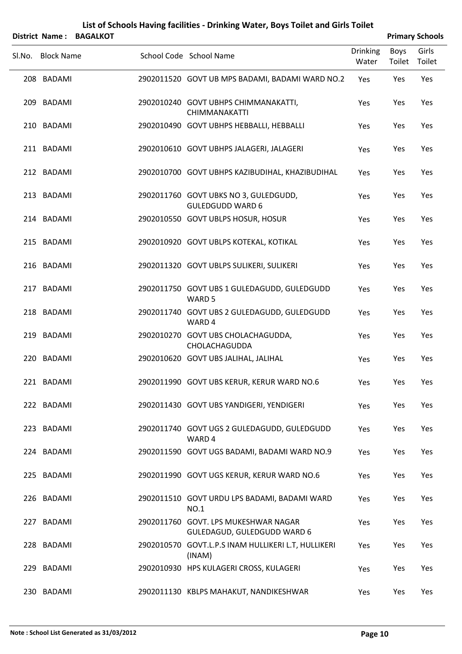|        | District Name:    | <b>BAGALKOT</b> |                                                                     |                          |                | <b>Primary Schools</b> |
|--------|-------------------|-----------------|---------------------------------------------------------------------|--------------------------|----------------|------------------------|
| Sl.No. | <b>Block Name</b> |                 | School Code School Name                                             | <b>Drinking</b><br>Water | Boys<br>Toilet | Girls<br>Toilet        |
|        | 208 BADAMI        |                 | 2902011520 GOVT UB MPS BADAMI, BADAMI WARD NO.2                     | Yes                      | Yes            | Yes                    |
|        | 209 BADAMI        |                 | 2902010240 GOVT UBHPS CHIMMANAKATTI,<br><b>CHIMMANAKATTI</b>        | Yes                      | Yes            | Yes                    |
|        | 210 BADAMI        |                 | 2902010490 GOVT UBHPS HEBBALLI, HEBBALLI                            | Yes                      | Yes            | Yes                    |
|        | 211 BADAMI        |                 | 2902010610 GOVT UBHPS JALAGERI, JALAGERI                            | Yes                      | Yes            | Yes                    |
|        | 212 BADAMI        |                 | 2902010700 GOVT UBHPS KAZIBUDIHAL, KHAZIBUDIHAL                     | Yes                      | Yes            | Yes                    |
|        | 213 BADAMI        |                 | 2902011760 GOVT UBKS NO 3, GULEDGUDD,<br><b>GULEDGUDD WARD 6</b>    | Yes                      | Yes            | Yes                    |
|        | 214 BADAMI        |                 | 2902010550 GOVT UBLPS HOSUR, HOSUR                                  | Yes                      | Yes            | Yes                    |
|        | 215 BADAMI        |                 | 2902010920 GOVT UBLPS KOTEKAL, KOTIKAL                              | Yes                      | Yes            | Yes                    |
|        | 216 BADAMI        |                 | 2902011320 GOVT UBLPS SULIKERI, SULIKERI                            | Yes                      | Yes            | Yes                    |
|        | 217 BADAMI        |                 | 2902011750 GOVT UBS 1 GULEDAGUDD, GULEDGUDD<br>WARD 5               | Yes                      | Yes            | Yes                    |
|        | 218 BADAMI        |                 | 2902011740 GOVT UBS 2 GULEDAGUDD, GULEDGUDD<br>WARD 4               | Yes                      | Yes            | Yes                    |
|        | 219 BADAMI        |                 | 2902010270 GOVT UBS CHOLACHAGUDDA,<br>CHOLACHAGUDDA                 | Yes                      | Yes            | Yes                    |
|        | 220 BADAMI        |                 | 2902010620 GOVT UBS JALIHAL, JALIHAL                                | Yes                      | Yes            | Yes                    |
|        | 221 BADAMI        |                 | 2902011990 GOVT UBS KERUR, KERUR WARD NO.6                          | Yes                      | Yes            | Yes                    |
|        | 222 BADAMI        |                 | 2902011430 GOVT UBS YANDIGERI, YENDIGERI                            | Yes                      | Yes            | Yes                    |
|        | 223 BADAMI        |                 | 2902011740 GOVT UGS 2 GULEDAGUDD, GULEDGUDD<br>WARD 4               | Yes                      | Yes            | Yes                    |
|        | 224 BADAMI        |                 | 2902011590 GOVT UGS BADAMI, BADAMI WARD NO.9                        | Yes                      | Yes            | Yes                    |
|        | 225 BADAMI        |                 | 2902011990 GOVT UGS KERUR, KERUR WARD NO.6                          | Yes                      | Yes            | Yes                    |
|        | 226 BADAMI        |                 | 2902011510 GOVT URDU LPS BADAMI, BADAMI WARD<br><b>NO.1</b>         | Yes                      | Yes            | Yes                    |
|        | 227 BADAMI        |                 | 2902011760 GOVT. LPS MUKESHWAR NAGAR<br>GULEDAGUD, GULEDGUDD WARD 6 | Yes                      | Yes            | Yes                    |
|        | 228 BADAMI        |                 | 2902010570 GOVT.L.P.S INAM HULLIKERI L.T, HULLIKERI<br>(INAM)       | Yes                      | Yes            | Yes                    |
|        | 229 BADAMI        |                 | 2902010930 HPS KULAGERI CROSS, KULAGERI                             | Yes                      | Yes            | Yes                    |
|        | 230 BADAMI        |                 | 2902011130 KBLPS MAHAKUT, NANDIKESHWAR                              | Yes                      | Yes            | Yes                    |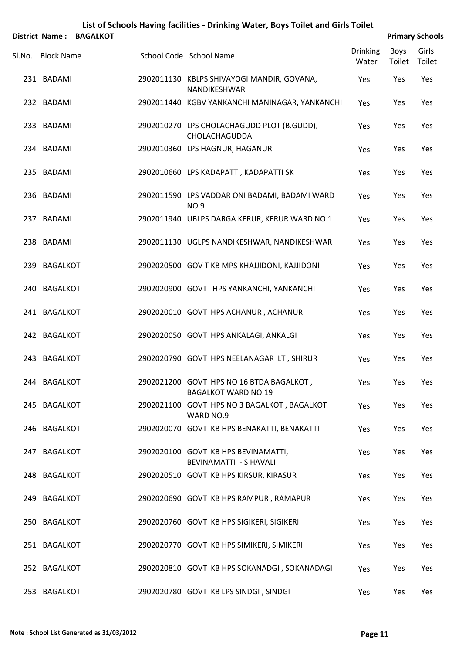| <b>District Name:</b> | <b>BAGALKOT</b> |                                                                        |                          |                | <b>Primary Schools</b> |
|-----------------------|-----------------|------------------------------------------------------------------------|--------------------------|----------------|------------------------|
| Sl.No. Block Name     |                 | School Code School Name                                                | <b>Drinking</b><br>Water | Boys<br>Toilet | Girls<br>Toilet        |
| 231 BADAMI            |                 | 2902011130 KBLPS SHIVAYOGI MANDIR, GOVANA,<br><b>NANDIKESHWAR</b>      | Yes                      | Yes            | Yes                    |
| 232 BADAMI            |                 | 2902011440 KGBV YANKANCHI MANINAGAR, YANKANCHI                         | Yes                      | Yes            | Yes                    |
| 233 BADAMI            |                 | 2902010270 LPS CHOLACHAGUDD PLOT (B.GUDD),<br>CHOLACHAGUDDA            | Yes                      | Yes            | Yes                    |
| 234 BADAMI            |                 | 2902010360 LPS HAGNUR, HAGANUR                                         | Yes                      | Yes            | Yes                    |
| 235 BADAMI            |                 | 2902010660 LPS KADAPATTI, KADAPATTI SK                                 | Yes                      | Yes            | Yes                    |
| 236 BADAMI            |                 | 2902011590 LPS VADDAR ONI BADAMI, BADAMI WARD<br><b>NO.9</b>           | Yes                      | Yes            | Yes                    |
| 237 BADAMI            |                 | 2902011940 UBLPS DARGA KERUR, KERUR WARD NO.1                          | Yes                      | Yes            | Yes                    |
| 238 BADAMI            |                 | 2902011130 UGLPS NANDIKESHWAR, NANDIKESHWAR                            | Yes                      | Yes            | Yes                    |
| 239 BAGALKOT          |                 | 2902020500 GOV T KB MPS KHAJJIDONI, KAJJIDONI                          | Yes                      | Yes            | Yes                    |
| 240 BAGALKOT          |                 | 2902020900 GOVT HPS YANKANCHI, YANKANCHI                               | Yes                      | Yes            | Yes                    |
| 241 BAGALKOT          |                 | 2902020010 GOVT HPS ACHANUR, ACHANUR                                   | Yes                      | Yes            | Yes                    |
| 242 BAGALKOT          |                 | 2902020050 GOVT HPS ANKALAGI, ANKALGI                                  | Yes                      | Yes            | Yes                    |
| 243 BAGALKOT          |                 | 2902020790 GOVT HPS NEELANAGAR LT, SHIRUR                              | Yes                      | Yes            | Yes                    |
| 244 BAGALKOT          |                 | 2902021200 GOVT HPS NO 16 BTDA BAGALKOT,<br><b>BAGALKOT WARD NO.19</b> | Yes                      | Yes            | Yes                    |
| 245 BAGALKOT          |                 | 2902021100 GOVT HPS NO 3 BAGALKOT, BAGALKOT<br>WARD NO.9               | Yes                      | Yes            | Yes                    |
| 246 BAGALKOT          |                 | 2902020070 GOVT KB HPS BENAKATTI, BENAKATTI                            | Yes                      | Yes            | Yes                    |
| 247 BAGALKOT          |                 | 2902020100 GOVT KB HPS BEVINAMATTI,<br>BEVINAMATTI - S HAVALI          | Yes                      | Yes            | Yes                    |
| 248 BAGALKOT          |                 | 2902020510 GOVT KB HPS KIRSUR, KIRASUR                                 | Yes                      | Yes            | Yes                    |
| 249 BAGALKOT          |                 | 2902020690 GOVT KB HPS RAMPUR, RAMAPUR                                 | Yes                      | Yes            | Yes                    |
| 250 BAGALKOT          |                 | 2902020760 GOVT KB HPS SIGIKERI, SIGIKERI                              | Yes                      | Yes            | Yes                    |
| 251 BAGALKOT          |                 | 2902020770 GOVT KB HPS SIMIKERI, SIMIKERI                              | Yes                      | Yes            | Yes                    |
| 252 BAGALKOT          |                 | 2902020810 GOVT KB HPS SOKANADGI, SOKANADAGI                           | Yes                      | Yes            | Yes                    |
| 253 BAGALKOT          |                 | 2902020780 GOVT KB LPS SINDGI, SINDGI                                  | Yes                      | Yes            | Yes                    |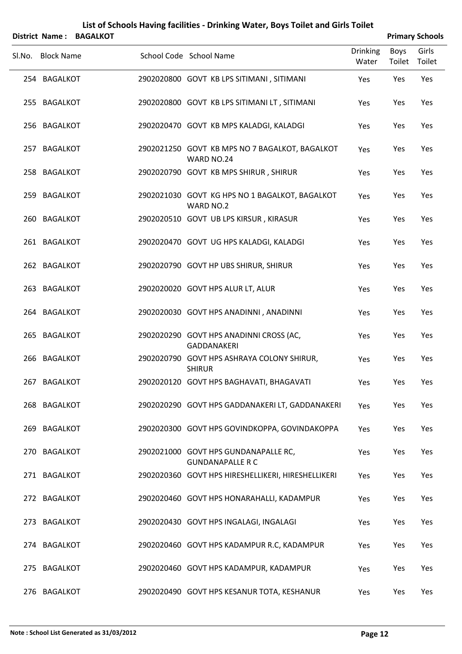|        | <b>District Name:</b> | <b>BAGALKOT</b> | List of Schools Having facilities - Drinking Water, Boys Toilet and Girls Toilet |                          |                       | <b>Primary Schools</b> |
|--------|-----------------------|-----------------|----------------------------------------------------------------------------------|--------------------------|-----------------------|------------------------|
| Sl.No. | <b>Block Name</b>     |                 | School Code School Name                                                          | <b>Drinking</b><br>Water | <b>Boys</b><br>Toilet | Girls<br>Toilet        |
|        | 254 BAGALKOT          |                 | 2902020800 GOVT KB LPS SITIMANI, SITIMANI                                        | Yes                      | Yes                   | Yes                    |
|        | 255 BAGALKOT          |                 | 2902020800 GOVT KB LPS SITIMANI LT, SITIMANI                                     | Yes                      | Yes                   | Yes                    |
|        | 256 BAGALKOT          |                 | 2902020470 GOVT KB MPS KALADGI, KALADGI                                          | Yes                      | Yes                   | Yes                    |
|        | 257 BAGALKOT          |                 | 2902021250 GOVT KB MPS NO 7 BAGALKOT, BAGALKOT<br>WARD NO.24                     | Yes                      | Yes                   | Yes                    |
|        | 258 BAGALKOT          |                 | 2902020790 GOVT KB MPS SHIRUR, SHIRUR                                            | Yes                      | Yes                   | Yes                    |
|        | 259 BAGALKOT          |                 | 2902021030 GOVT KG HPS NO 1 BAGALKOT, BAGALKOT<br>WARD NO.2                      | Yes                      | Yes                   | Yes                    |
|        | 260 BAGALKOT          |                 | 2902020510 GOVT UB LPS KIRSUR, KIRASUR                                           | Yes                      | Yes                   | Yes                    |
|        | 261 BAGALKOT          |                 | 2902020470 GOVT UG HPS KALADGI, KALADGI                                          | Yes                      | Yes                   | Yes                    |
|        | 262 BAGALKOT          |                 | 2902020790 GOVT HP UBS SHIRUR, SHIRUR                                            | Yes                      | Yes                   | Yes                    |
|        | 263 BAGALKOT          |                 | 2902020020 GOVT HPS ALUR LT, ALUR                                                | Yes                      | Yes                   | Yes                    |
|        | 264 BAGALKOT          |                 | 2902020030 GOVT HPS ANADINNI, ANADINNI                                           | Yes                      | Yes                   | Yes                    |
|        | 265 BAGALKOT          |                 | 2902020290 GOVT HPS ANADINNI CROSS (AC,<br><b>GADDANAKERI</b>                    | Yes                      | Yes                   | Yes                    |
|        | 266 BAGALKOT          |                 | 2902020790 GOVT HPS ASHRAYA COLONY SHIRUR,<br><b>SHIRUR</b>                      | Yes                      | Yes                   | Yes                    |
| 267    | <b>BAGALKOT</b>       |                 | 2902020120 GOVT HPS BAGHAVATI, BHAGAVATI                                         | Yes                      | Yes                   | Yes                    |
|        | 268 BAGALKOT          |                 | 2902020290 GOVT HPS GADDANAKERI LT, GADDANAKERI                                  | Yes                      | Yes                   | Yes                    |
| 269    | <b>BAGALKOT</b>       |                 | 2902020300 GOVT HPS GOVINDKOPPA, GOVINDAKOPPA                                    | Yes                      | Yes                   | Yes                    |
| 270    | <b>BAGALKOT</b>       |                 | 2902021000 GOVT HPS GUNDANAPALLE RC,<br><b>GUNDANAPALLE R C</b>                  | Yes                      | Yes                   | Yes                    |
| 271    | <b>BAGALKOT</b>       |                 | 2902020360 GOVT HPS HIRESHELLIKERI, HIRESHELLIKERI                               | Yes                      | Yes                   | Yes                    |
|        | 272 BAGALKOT          |                 | 2902020460 GOVT HPS HONARAHALLI, KADAMPUR                                        | Yes                      | Yes                   | Yes                    |
| 273    | <b>BAGALKOT</b>       |                 | 2902020430 GOVT HPS INGALAGI, INGALAGI                                           | Yes                      | Yes                   | Yes                    |
|        | 274 BAGALKOT          |                 | 2902020460 GOVT HPS KADAMPUR R.C, KADAMPUR                                       | Yes                      | Yes                   | Yes                    |
| 275    | <b>BAGALKOT</b>       |                 | 2902020460 GOVT HPS KADAMPUR, KADAMPUR                                           | Yes                      | Yes                   | Yes                    |
|        | 276 BAGALKOT          |                 | 2902020490 GOVT HPS KESANUR TOTA, KESHANUR                                       | Yes                      | Yes                   | Yes                    |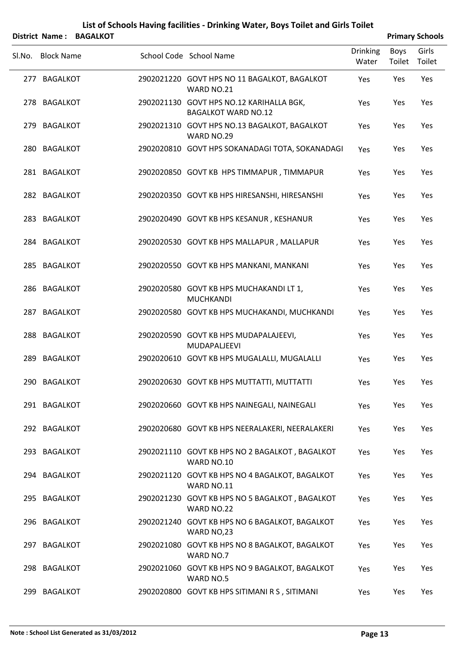|        | <b>District Name:</b> | <b>BAGALKOT</b> | List of Schools Having facilities - Drinking Water, Boys Toilet and Girls Toilet |                 |        | <b>Primary Schools</b> |
|--------|-----------------------|-----------------|----------------------------------------------------------------------------------|-----------------|--------|------------------------|
|        |                       |                 | School Code School Name                                                          | <b>Drinking</b> | Boys   | Girls                  |
| Sl.No. | <b>Block Name</b>     |                 |                                                                                  | Water           | Toilet | Toilet                 |
|        | 277 BAGALKOT          |                 | 2902021220 GOVT HPS NO 11 BAGALKOT, BAGALKOT<br>WARD NO.21                       | Yes             | Yes    | Yes                    |
|        | 278 BAGALKOT          |                 | 2902021130 GOVT HPS NO.12 KARIHALLA BGK,<br><b>BAGALKOT WARD NO.12</b>           | Yes             | Yes    | Yes                    |
|        | 279 BAGALKOT          |                 | 2902021310 GOVT HPS NO.13 BAGALKOT, BAGALKOT<br>WARD NO.29                       | Yes             | Yes    | Yes                    |
|        | 280 BAGALKOT          |                 | 2902020810 GOVT HPS SOKANADAGI TOTA, SOKANADAGI                                  | Yes             | Yes    | Yes                    |
|        | 281 BAGALKOT          |                 | 2902020850 GOVT KB HPS TIMMAPUR, TIMMAPUR                                        | Yes             | Yes    | Yes                    |
|        | 282 BAGALKOT          |                 | 2902020350 GOVT KB HPS HIRESANSHI, HIRESANSHI                                    | Yes             | Yes    | Yes                    |
|        | 283 BAGALKOT          |                 | 2902020490 GOVT KB HPS KESANUR, KESHANUR                                         | Yes             | Yes    | Yes                    |
|        | 284 BAGALKOT          |                 | 2902020530 GOVT KB HPS MALLAPUR, MALLAPUR                                        | Yes             | Yes    | Yes                    |
|        | 285 BAGALKOT          |                 | 2902020550 GOVT KB HPS MANKANI, MANKANI                                          | Yes             | Yes    | Yes                    |
|        | 286 BAGALKOT          |                 | 2902020580 GOVT KB HPS MUCHAKANDILT 1,<br><b>MUCHKANDI</b>                       | Yes             | Yes    | Yes                    |
|        | 287 BAGALKOT          |                 | 2902020580 GOVT KB HPS MUCHAKANDI, MUCHKANDI                                     | Yes             | Yes    | Yes                    |
|        | 288 BAGALKOT          |                 | 2902020590 GOVT KB HPS MUDAPALAJEEVI,<br>MUDAPALJEEVI                            | Yes             | Yes    | Yes                    |
|        | 289 BAGALKOT          |                 | 2902020610 GOVT KB HPS MUGALALLI, MUGALALLI                                      | Yes             | Yes    | Yes                    |
|        | 290 BAGALKOT          |                 | 2902020630 GOVT KB HPS MUTTATTI, MUTTATTI                                        | Yes             | Yes    | Yes                    |
|        | 291 BAGALKOT          |                 | 2902020660 GOVT KB HPS NAINEGALI, NAINEGALI                                      | <b>Yes</b>      | Yes    | Yes                    |
|        | 292 BAGALKOT          |                 | 2902020680 GOVT KB HPS NEERALAKERI, NEERALAKERI                                  | Yes             | Yes    | Yes                    |
|        | 293 BAGALKOT          |                 | 2902021110 GOVT KB HPS NO 2 BAGALKOT, BAGALKOT<br>WARD NO.10                     | Yes             | Yes    | Yes                    |
|        | 294 BAGALKOT          |                 | 2902021120 GOVT KB HPS NO 4 BAGALKOT, BAGALKOT<br>WARD NO.11                     | Yes             | Yes    | Yes                    |
|        | 295 BAGALKOT          |                 | 2902021230 GOVT KB HPS NO 5 BAGALKOT, BAGALKOT<br>WARD NO.22                     | <b>Yes</b>      | Yes    | Yes                    |
|        | 296 BAGALKOT          |                 | 2902021240 GOVT KB HPS NO 6 BAGALKOT, BAGALKOT<br>WARD NO,23                     | Yes             | Yes    | Yes                    |
|        | 297 BAGALKOT          |                 | 2902021080 GOVT KB HPS NO 8 BAGALKOT, BAGALKOT<br>WARD NO.7                      | <b>Yes</b>      | Yes    | Yes                    |
|        | 298 BAGALKOT          |                 | 2902021060 GOVT KB HPS NO 9 BAGALKOT, BAGALKOT<br>WARD NO.5                      | Yes             | Yes    | Yes                    |
|        | 299 BAGALKOT          |                 | 2902020800 GOVT KB HPS SITIMANI R S, SITIMANI                                    | Yes             | Yes    | Yes                    |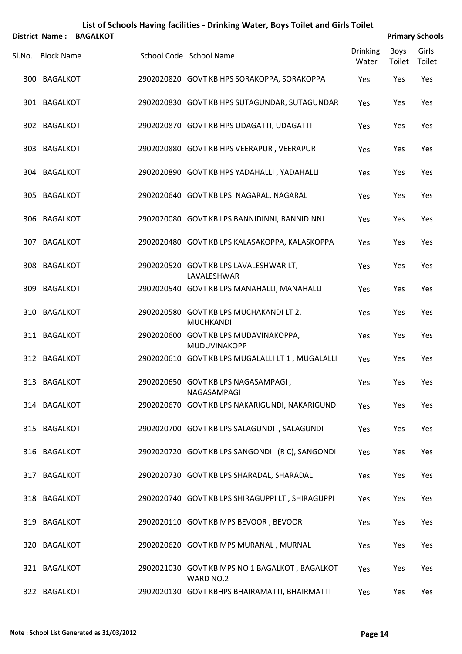|        | <b>District Name:</b> | <b>BAGALKOT</b> |                                                             |                          |                       | <b>Primary Schools</b> |
|--------|-----------------------|-----------------|-------------------------------------------------------------|--------------------------|-----------------------|------------------------|
| Sl.No. | <b>Block Name</b>     |                 | School Code School Name                                     | <b>Drinking</b><br>Water | <b>Boys</b><br>Toilet | Girls<br>Toilet        |
|        | 300 BAGALKOT          |                 | 2902020820 GOVT KB HPS SORAKOPPA, SORAKOPPA                 | Yes                      | Yes                   | Yes                    |
|        | 301 BAGALKOT          |                 | 2902020830 GOVT KB HPS SUTAGUNDAR, SUTAGUNDAR               | Yes                      | Yes                   | Yes                    |
|        | 302 BAGALKOT          |                 | 2902020870 GOVT KB HPS UDAGATTI, UDAGATTI                   | Yes                      | Yes                   | Yes                    |
|        | 303 BAGALKOT          |                 | 2902020880 GOVT KB HPS VEERAPUR, VEERAPUR                   | Yes                      | Yes                   | Yes                    |
|        | 304 BAGALKOT          |                 | 2902020890 GOVT KB HPS YADAHALLI, YADAHALLI                 | Yes                      | Yes                   | Yes                    |
|        | 305 BAGALKOT          |                 | 2902020640 GOVT KB LPS NAGARAL, NAGARAL                     | Yes                      | Yes                   | Yes                    |
|        | 306 BAGALKOT          |                 | 2902020080 GOVT KB LPS BANNIDINNI, BANNIDINNI               | Yes                      | Yes                   | Yes                    |
|        | 307 BAGALKOT          |                 | 2902020480 GOVT KB LPS KALASAKOPPA, KALASKOPPA              | Yes                      | Yes                   | Yes                    |
|        | 308 BAGALKOT          |                 | 2902020520 GOVT KB LPS LAVALESHWAR LT,<br>LAVALESHWAR       | Yes                      | Yes                   | Yes                    |
|        | 309 BAGALKOT          |                 | 2902020540 GOVT KB LPS MANAHALLI, MANAHALLI                 | Yes                      | Yes                   | Yes                    |
|        | 310 BAGALKOT          |                 | 2902020580 GOVT KB LPS MUCHAKANDI LT 2,<br><b>MUCHKANDI</b> | Yes                      | Yes                   | Yes                    |
|        | 311 BAGALKOT          |                 | 2902020600 GOVT KB LPS MUDAVINAKOPPA,<br>MUDUVINAKOPP       | Yes                      | Yes                   | Yes                    |
|        | 312 BAGALKOT          |                 | 2902020610 GOVT KB LPS MUGALALLI LT 1, MUGALALLI            | Yes                      | Yes                   | Yes                    |
|        | 313 BAGALKOT          |                 | 2902020650 GOVT KB LPS NAGASAMPAGI,<br>NAGASAMPAGI          | Yes                      | Yes                   | Yes                    |
|        | 314 BAGALKOT          |                 | 2902020670 GOVT KB LPS NAKARIGUNDI, NAKARIGUNDI             | Yes                      | Yes                   | Yes                    |
|        | 315 BAGALKOT          |                 | 2902020700 GOVT KB LPS SALAGUNDI, SALAGUNDI                 | Yes                      | Yes                   | Yes                    |
|        | 316 BAGALKOT          |                 | 2902020720 GOVT KB LPS SANGONDI (R C), SANGONDI             | Yes                      | Yes                   | Yes                    |
|        | 317 BAGALKOT          |                 | 2902020730 GOVT KB LPS SHARADAL, SHARADAL                   | Yes                      | Yes                   | Yes                    |
|        | 318 BAGALKOT          |                 | 2902020740 GOVT KB LPS SHIRAGUPPI LT, SHIRAGUPPI            | Yes                      | Yes                   | Yes                    |
|        | 319 BAGALKOT          |                 | 2902020110 GOVT KB MPS BEVOOR, BEVOOR                       | Yes                      | Yes                   | Yes                    |
|        | 320 BAGALKOT          |                 | 2902020620 GOVT KB MPS MURANAL, MURNAL                      | Yes                      | Yes                   | Yes                    |
|        | 321 BAGALKOT          |                 | 2902021030 GOVT KB MPS NO 1 BAGALKOT, BAGALKOT<br>WARD NO.2 | Yes                      | Yes                   | Yes                    |
|        | 322 BAGALKOT          |                 | 2902020130 GOVT KBHPS BHAIRAMATTI, BHAIRMATTI               | Yes                      | Yes                   | Yes                    |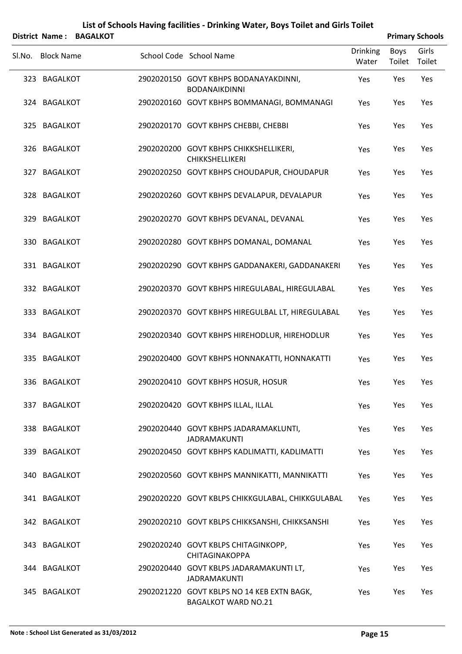|        | <b>District Name:</b> | <b>BAGALKOT</b> |                                                                          |                          |                       | <b>Primary Schools</b> |
|--------|-----------------------|-----------------|--------------------------------------------------------------------------|--------------------------|-----------------------|------------------------|
| SI.No. | <b>Block Name</b>     |                 | School Code School Name                                                  | <b>Drinking</b><br>Water | <b>Boys</b><br>Toilet | Girls<br>Toilet        |
|        | 323 BAGALKOT          |                 | 2902020150 GOVT KBHPS BODANAYAKDINNI,<br><b>BODANAIKDINNI</b>            | Yes                      | Yes                   | Yes                    |
|        | 324 BAGALKOT          |                 | 2902020160 GOVT KBHPS BOMMANAGI, BOMMANAGI                               | Yes                      | Yes                   | Yes                    |
|        | 325 BAGALKOT          |                 | 2902020170 GOVT KBHPS CHEBBI, CHEBBI                                     | Yes                      | Yes                   | Yes                    |
|        | 326 BAGALKOT          |                 | 2902020200 GOVT KBHPS CHIKKSHELLIKERI,<br><b>CHIKKSHELLIKERI</b>         | Yes                      | Yes                   | Yes                    |
|        | 327 BAGALKOT          |                 | 2902020250 GOVT KBHPS CHOUDAPUR, CHOUDAPUR                               | Yes                      | Yes                   | Yes                    |
|        | 328 BAGALKOT          |                 | 2902020260 GOVT KBHPS DEVALAPUR, DEVALAPUR                               | Yes                      | Yes                   | Yes                    |
|        | 329 BAGALKOT          |                 | 2902020270 GOVT KBHPS DEVANAL, DEVANAL                                   | Yes                      | Yes                   | Yes                    |
|        | 330 BAGALKOT          |                 | 2902020280 GOVT KBHPS DOMANAL, DOMANAL                                   | Yes                      | Yes                   | Yes                    |
|        | 331 BAGALKOT          |                 | 2902020290 GOVT KBHPS GADDANAKERI, GADDANAKERI                           | Yes                      | Yes                   | Yes                    |
|        | 332 BAGALKOT          |                 | 2902020370 GOVT KBHPS HIREGULABAL, HIREGULABAL                           | Yes                      | Yes                   | Yes                    |
|        | 333 BAGALKOT          |                 | 2902020370 GOVT KBHPS HIREGULBAL LT, HIREGULABAL                         | Yes                      | Yes                   | Yes                    |
|        | 334 BAGALKOT          |                 | 2902020340 GOVT KBHPS HIREHODLUR, HIREHODLUR                             | Yes                      | Yes                   | Yes                    |
|        | 335 BAGALKOT          |                 | 2902020400 GOVT KBHPS HONNAKATTI, HONNAKATTI                             | Yes                      | Yes                   | Yes                    |
|        | 336 BAGALKOT          |                 | 2902020410 GOVT KBHPS HOSUR, HOSUR                                       | Yes                      | Yes                   | Yes                    |
|        | 337 BAGALKOT          |                 | 2902020420 GOVT KBHPS ILLAL, ILLAL                                       | Yes                      | Yes                   | Yes                    |
|        | 338 BAGALKOT          |                 | 2902020440 GOVT KBHPS JADARAMAKLUNTI,<br><b>JADRAMAKUNTI</b>             | Yes                      | Yes                   | Yes                    |
|        | 339 BAGALKOT          |                 | 2902020450 GOVT KBHPS KADLIMATTI, KADLIMATTI                             | Yes                      | Yes                   | Yes                    |
|        | 340 BAGALKOT          |                 | 2902020560 GOVT KBHPS MANNIKATTI, MANNIKATTI                             | Yes                      | Yes                   | Yes                    |
|        | 341 BAGALKOT          |                 | 2902020220 GOVT KBLPS CHIKKGULABAL, CHIKKGULABAL                         | Yes                      | Yes                   | Yes                    |
|        | 342 BAGALKOT          |                 | 2902020210 GOVT KBLPS CHIKKSANSHI, CHIKKSANSHI                           | Yes                      | Yes                   | Yes                    |
|        | 343 BAGALKOT          |                 | 2902020240 GOVT KBLPS CHITAGINKOPP,<br><b>CHITAGINAKOPPA</b>             | Yes                      | Yes                   | Yes                    |
|        | 344 BAGALKOT          |                 | 2902020440 GOVT KBLPS JADARAMAKUNTI LT,<br><b>JADRAMAKUNTI</b>           | Yes                      | Yes                   | Yes                    |
|        | 345 BAGALKOT          |                 | 2902021220 GOVT KBLPS NO 14 KEB EXTN BAGK,<br><b>BAGALKOT WARD NO.21</b> | Yes                      | Yes                   | Yes                    |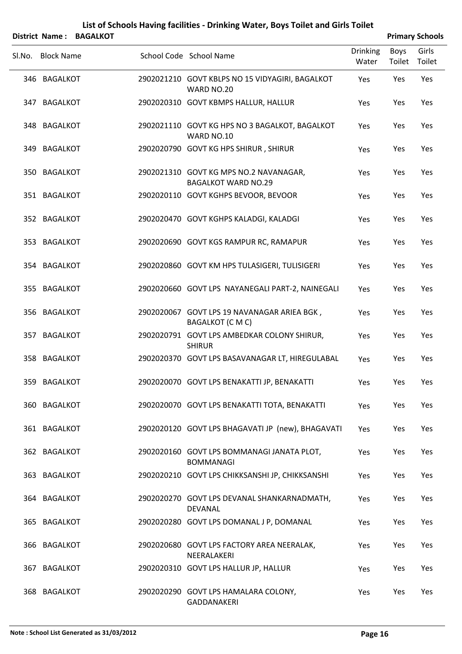| List of Schools Having facilities - Drinking Water, Boys Toilet and Girls Toilet<br><b>BAGALKOT</b><br><b>Primary Schools</b><br><b>District Name:</b> |                   |  |  |                                                                      |                          |                |                 |  |
|--------------------------------------------------------------------------------------------------------------------------------------------------------|-------------------|--|--|----------------------------------------------------------------------|--------------------------|----------------|-----------------|--|
|                                                                                                                                                        | Sl.No. Block Name |  |  | School Code School Name                                              | <b>Drinking</b><br>Water | Boys<br>Toilet | Girls<br>Toilet |  |
|                                                                                                                                                        | 346 BAGALKOT      |  |  | 2902021210 GOVT KBLPS NO 15 VIDYAGIRI, BAGALKOT<br>WARD NO.20        | Yes                      | Yes            | Yes             |  |
|                                                                                                                                                        | 347 BAGALKOT      |  |  | 2902020310 GOVT KBMPS HALLUR, HALLUR                                 | Yes                      | Yes            | Yes             |  |
|                                                                                                                                                        | 348 BAGALKOT      |  |  | 2902021110 GOVT KG HPS NO 3 BAGALKOT, BAGALKOT<br>WARD NO.10         | Yes                      | Yes            | Yes             |  |
|                                                                                                                                                        | 349 BAGALKOT      |  |  | 2902020790 GOVT KG HPS SHIRUR, SHIRUR                                | Yes                      | Yes            | Yes             |  |
|                                                                                                                                                        | 350 BAGALKOT      |  |  | 2902021310 GOVT KG MPS NO.2 NAVANAGAR,<br><b>BAGALKOT WARD NO.29</b> | Yes                      | Yes            | Yes             |  |
|                                                                                                                                                        | 351 BAGALKOT      |  |  | 2902020110 GOVT KGHPS BEVOOR, BEVOOR                                 | Yes                      | Yes            | Yes             |  |
|                                                                                                                                                        | 352 BAGALKOT      |  |  | 2902020470 GOVT KGHPS KALADGI, KALADGI                               | Yes                      | Yes            | Yes             |  |
|                                                                                                                                                        | 353 BAGALKOT      |  |  | 2902020690 GOVT KGS RAMPUR RC, RAMAPUR                               | Yes                      | Yes            | Yes             |  |
|                                                                                                                                                        | 354 BAGALKOT      |  |  | 2902020860 GOVT KM HPS TULASIGERI, TULISIGERI                        | Yes                      | Yes            | Yes             |  |
|                                                                                                                                                        | 355 BAGALKOT      |  |  | 2902020660 GOVT LPS NAYANEGALI PART-2, NAINEGALI                     | Yes                      | Yes            | Yes             |  |
|                                                                                                                                                        | 356 BAGALKOT      |  |  | 2902020067 GOVT LPS 19 NAVANAGAR ARIEA BGK,<br><b>BAGALKOT (CMC)</b> | Yes                      | Yes            | Yes             |  |
| 357                                                                                                                                                    | <b>BAGALKOT</b>   |  |  | 2902020791 GOVT LPS AMBEDKAR COLONY SHIRUR,<br><b>SHIRUR</b>         | Yes                      | Yes            | Yes             |  |
|                                                                                                                                                        | 358 BAGALKOT      |  |  | 2902020370 GOVT LPS BASAVANAGAR LT, HIREGULABAL                      | Yes                      | Yes            | Yes             |  |
|                                                                                                                                                        | 359 BAGALKOT      |  |  | 2902020070 GOVT LPS BENAKATTI JP, BENAKATTI                          | Yes                      | Yes            | Yes             |  |
|                                                                                                                                                        | 360 BAGALKOT      |  |  | 2902020070 GOVT LPS BENAKATTI TOTA, BENAKATTI                        | Yes                      | Yes            | Yes             |  |
|                                                                                                                                                        | 361 BAGALKOT      |  |  | 2902020120 GOVT LPS BHAGAVATI JP (new), BHAGAVATI                    | Yes                      | Yes            | Yes             |  |
|                                                                                                                                                        | 362 BAGALKOT      |  |  | 2902020160 GOVT LPS BOMMANAGI JANATA PLOT,<br><b>BOMMANAGI</b>       | Yes                      | Yes            | Yes             |  |
|                                                                                                                                                        | 363 BAGALKOT      |  |  | 2902020210 GOVT LPS CHIKKSANSHI JP, CHIKKSANSHI                      | Yes                      | Yes            | Yes             |  |
|                                                                                                                                                        | 364 BAGALKOT      |  |  | 2902020270 GOVT LPS DEVANAL SHANKARNADMATH,<br><b>DEVANAL</b>        | Yes                      | Yes            | Yes             |  |
|                                                                                                                                                        | 365 BAGALKOT      |  |  | 2902020280 GOVT LPS DOMANAL J P, DOMANAL                             | Yes                      | Yes            | Yes             |  |
|                                                                                                                                                        | 366 BAGALKOT      |  |  | 2902020680 GOVT LPS FACTORY AREA NEERALAK,<br>NEERALAKERI            | Yes                      | Yes            | Yes             |  |
|                                                                                                                                                        | 367 BAGALKOT      |  |  | 2902020310 GOVT LPS HALLUR JP, HALLUR                                | Yes                      | Yes            | Yes             |  |
|                                                                                                                                                        | 368 BAGALKOT      |  |  | 2902020290 GOVT LPS HAMALARA COLONY,<br><b>GADDANAKERI</b>           | Yes                      | Yes            | Yes             |  |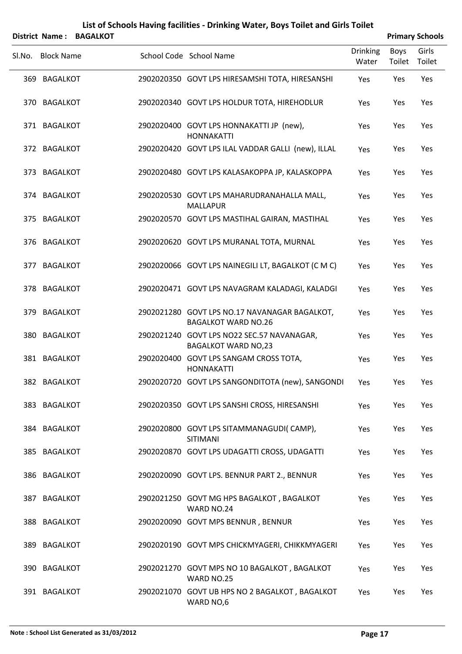| List of Schools Having facilities - Drinking Water, Boys Toilet and Girls Toilet<br><b>Primary Schools</b><br><b>District Name:</b><br><b>BAGALKOT</b> |                   |  |  |                                                                             |                          |                       |                 |
|--------------------------------------------------------------------------------------------------------------------------------------------------------|-------------------|--|--|-----------------------------------------------------------------------------|--------------------------|-----------------------|-----------------|
| Sl.No.                                                                                                                                                 | <b>Block Name</b> |  |  | School Code School Name                                                     | <b>Drinking</b><br>Water | <b>Boys</b><br>Toilet | Girls<br>Toilet |
|                                                                                                                                                        | 369 BAGALKOT      |  |  | 2902020350 GOVT LPS HIRESAMSHI TOTA, HIRESANSHI                             | Yes                      | Yes                   | Yes             |
|                                                                                                                                                        | 370 BAGALKOT      |  |  | 2902020340 GOVT LPS HOLDUR TOTA, HIREHODLUR                                 | Yes                      | Yes                   | Yes             |
|                                                                                                                                                        | 371 BAGALKOT      |  |  | 2902020400 GOVT LPS HONNAKATTI JP (new),<br><b>HONNAKATTI</b>               | Yes                      | Yes                   | Yes             |
|                                                                                                                                                        | 372 BAGALKOT      |  |  | 2902020420 GOVT LPS ILAL VADDAR GALLI (new), ILLAL                          | Yes                      | Yes                   | Yes             |
|                                                                                                                                                        | 373 BAGALKOT      |  |  | 2902020480 GOVT LPS KALASAKOPPA JP, KALASKOPPA                              | Yes                      | Yes                   | Yes             |
|                                                                                                                                                        | 374 BAGALKOT      |  |  | 2902020530 GOVT LPS MAHARUDRANAHALLA MALL,<br><b>MALLAPUR</b>               | Yes                      | Yes                   | Yes             |
|                                                                                                                                                        | 375 BAGALKOT      |  |  | 2902020570 GOVT LPS MASTIHAL GAIRAN, MASTIHAL                               | Yes                      | Yes                   | Yes             |
|                                                                                                                                                        | 376 BAGALKOT      |  |  | 2902020620 GOVT LPS MURANAL TOTA, MURNAL                                    | Yes                      | Yes                   | Yes             |
|                                                                                                                                                        | 377 BAGALKOT      |  |  | 2902020066 GOVT LPS NAINEGILI LT, BAGALKOT (C M C)                          | Yes                      | Yes                   | Yes             |
|                                                                                                                                                        | 378 BAGALKOT      |  |  | 2902020471 GOVT LPS NAVAGRAM KALADAGI, KALADGI                              | Yes                      | Yes                   | Yes             |
|                                                                                                                                                        | 379 BAGALKOT      |  |  | 2902021280 GOVT LPS NO.17 NAVANAGAR BAGALKOT,<br><b>BAGALKOT WARD NO.26</b> | Yes                      | Yes                   | Yes             |
|                                                                                                                                                        | 380 BAGALKOT      |  |  | 2902021240 GOVT LPS NO22 SEC.57 NAVANAGAR,<br><b>BAGALKOT WARD NO,23</b>    | Yes                      | Yes                   | Yes             |
|                                                                                                                                                        | 381 BAGALKOT      |  |  | 2902020400 GOVT LPS SANGAM CROSS TOTA,<br><b>HONNAKATTI</b>                 | Yes                      | Yes                   | Yes             |
|                                                                                                                                                        | 382 BAGALKOT      |  |  | 2902020720 GOVT LPS SANGONDITOTA (new), SANGONDI                            | Yes                      | Yes                   | Yes             |
|                                                                                                                                                        | 383 BAGALKOT      |  |  | 2902020350 GOVT LPS SANSHI CROSS, HIRESANSHI                                | Yes                      | Yes                   | Yes             |
|                                                                                                                                                        | 384 BAGALKOT      |  |  | 2902020800 GOVT LPS SITAMMANAGUDI(CAMP),<br>SITIMANI                        | Yes                      | Yes                   | Yes             |
|                                                                                                                                                        | 385 BAGALKOT      |  |  | 2902020870 GOVT LPS UDAGATTI CROSS, UDAGATTI                                | Yes                      | Yes                   | Yes             |
|                                                                                                                                                        | 386 BAGALKOT      |  |  | 2902020090 GOVT LPS. BENNUR PART 2., BENNUR                                 | Yes                      | Yes                   | Yes             |
|                                                                                                                                                        | 387 BAGALKOT      |  |  | 2902021250 GOVT MG HPS BAGALKOT, BAGALKOT<br>WARD NO.24                     | Yes                      | Yes                   | Yes             |
|                                                                                                                                                        | 388 BAGALKOT      |  |  | 2902020090 GOVT MPS BENNUR, BENNUR                                          | Yes                      | Yes                   | Yes             |
|                                                                                                                                                        | 389 BAGALKOT      |  |  | 2902020190 GOVT MPS CHICKMYAGERI, CHIKKMYAGERI                              | Yes                      | Yes                   | Yes             |
|                                                                                                                                                        | 390 BAGALKOT      |  |  | 2902021270 GOVT MPS NO 10 BAGALKOT, BAGALKOT<br>WARD NO.25                  | Yes                      | Yes                   | Yes             |
|                                                                                                                                                        | 391 BAGALKOT      |  |  | 2902021070 GOVT UB HPS NO 2 BAGALKOT, BAGALKOT<br>WARD NO,6                 | Yes                      | Yes                   | Yes             |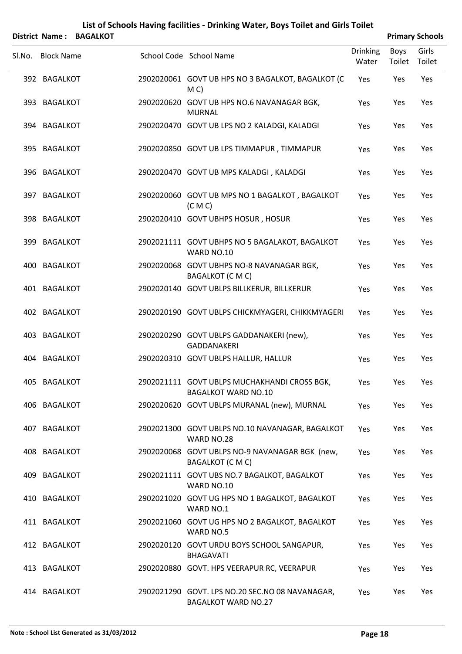|   | List of Schools Having facilities - Drinking Water, Boys Toilet and Girls Toilet |  |
|---|----------------------------------------------------------------------------------|--|
| . | ---------                                                                        |  |

| <b>Primary Schools</b><br>District Name: BAGALKOT |  |  |                                                                               |                          |                |                 |
|---------------------------------------------------|--|--|-------------------------------------------------------------------------------|--------------------------|----------------|-----------------|
| SI.No. Block Name                                 |  |  | School Code School Name                                                       | <b>Drinking</b><br>Water | Boys<br>Toilet | Girls<br>Toilet |
| 392 BAGALKOT                                      |  |  | 2902020061 GOVT UB HPS NO 3 BAGALKOT, BAGALKOT (C<br>M <sub>C</sub>           | Yes                      | Yes            | Yes             |
| 393 BAGALKOT                                      |  |  | 2902020620 GOVT UB HPS NO.6 NAVANAGAR BGK,<br><b>MURNAL</b>                   | Yes                      | Yes            | Yes             |
| 394 BAGALKOT                                      |  |  | 2902020470 GOVT UB LPS NO 2 KALADGI, KALADGI                                  | Yes                      | Yes            | Yes             |
| 395 BAGALKOT                                      |  |  | 2902020850 GOVT UB LPS TIMMAPUR, TIMMAPUR                                     | Yes                      | Yes            | Yes             |
| 396 BAGALKOT                                      |  |  | 2902020470 GOVT UB MPS KALADGI, KALADGI                                       | Yes                      | Yes            | Yes             |
| 397 BAGALKOT                                      |  |  | 2902020060 GOVT UB MPS NO 1 BAGALKOT, BAGALKOT<br>(C M C)                     | Yes                      | Yes            | Yes             |
| 398 BAGALKOT                                      |  |  | 2902020410 GOVT UBHPS HOSUR, HOSUR                                            | Yes                      | Yes            | Yes             |
| 399 BAGALKOT                                      |  |  | 2902021111 GOVT UBHPS NO 5 BAGALAKOT, BAGALKOT<br>WARD NO.10                  | Yes                      | Yes            | Yes             |
| 400 BAGALKOT                                      |  |  | 2902020068 GOVT UBHPS NO-8 NAVANAGAR BGK,<br>BAGALKOT (C M C)                 | Yes                      | Yes            | Yes             |
| 401 BAGALKOT                                      |  |  | 2902020140 GOVT UBLPS BILLKERUR, BILLKERUR                                    | Yes                      | Yes            | Yes             |
| 402 BAGALKOT                                      |  |  | 2902020190 GOVT UBLPS CHICKMYAGERI, CHIKKMYAGERI                              | Yes                      | Yes            | Yes             |
| 403 BAGALKOT                                      |  |  | 2902020290 GOVT UBLPS GADDANAKERI (new),<br><b>GADDANAKERI</b>                | Yes                      | Yes            | Yes             |
| 404 BAGALKOT                                      |  |  | 2902020310 GOVT UBLPS HALLUR, HALLUR                                          | Yes                      | Yes            | Yes             |
| 405 BAGALKOT                                      |  |  | 2902021111 GOVT UBLPS MUCHAKHANDI CROSS BGK,<br><b>BAGALKOT WARD NO.10</b>    | Yes                      | Yes            | Yes             |
| 406 BAGALKOT                                      |  |  | 2902020620 GOVT UBLPS MURANAL (new), MURNAL                                   | Yes                      | Yes            | Yes             |
| 407 BAGALKOT                                      |  |  | 2902021300 GOVT UBLPS NO.10 NAVANAGAR, BAGALKOT<br>WARD NO.28                 | Yes                      | Yes            | Yes             |
| 408 BAGALKOT                                      |  |  | 2902020068 GOVT UBLPS NO-9 NAVANAGAR BGK (new,<br><b>BAGALKOT (CMC)</b>       | Yes                      | Yes            | Yes             |
| 409 BAGALKOT                                      |  |  | 2902021111 GOVT UBS NO.7 BAGALKOT, BAGALKOT<br>WARD NO.10                     | Yes                      | Yes            | Yes             |
| 410 BAGALKOT                                      |  |  | 2902021020 GOVT UG HPS NO 1 BAGALKOT, BAGALKOT<br>WARD NO.1                   | Yes                      | Yes            | Yes             |
| 411 BAGALKOT                                      |  |  | 2902021060 GOVT UG HPS NO 2 BAGALKOT, BAGALKOT<br>WARD NO.5                   | Yes                      | Yes            | Yes             |
| 412 BAGALKOT                                      |  |  | 2902020120 GOVT URDU BOYS SCHOOL SANGAPUR,<br><b>BHAGAVATI</b>                | Yes                      | Yes            | Yes             |
| 413 BAGALKOT                                      |  |  | 2902020880 GOVT. HPS VEERAPUR RC, VEERAPUR                                    | Yes                      | Yes            | Yes             |
| 414 BAGALKOT                                      |  |  | 2902021290 GOVT. LPS NO.20 SEC.NO 08 NAVANAGAR,<br><b>BAGALKOT WARD NO.27</b> | Yes                      | Yes            | Yes             |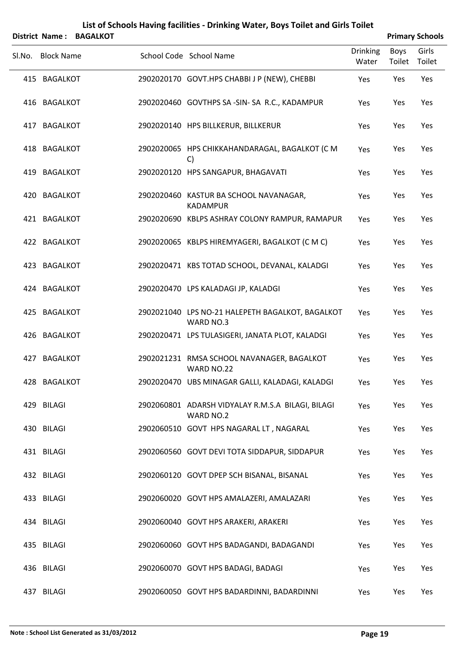|        | <b>District Name:</b> | <b>BAGALKOT</b> |                                                                |                          |                | <b>Primary Schools</b> |
|--------|-----------------------|-----------------|----------------------------------------------------------------|--------------------------|----------------|------------------------|
| Sl.No. | <b>Block Name</b>     |                 | School Code School Name                                        | <b>Drinking</b><br>Water | Boys<br>Toilet | Girls<br>Toilet        |
|        | 415 BAGALKOT          |                 | 2902020170 GOVT.HPS CHABBI J P (NEW), CHEBBI                   | Yes                      | Yes            | Yes                    |
|        | 416 BAGALKOT          |                 | 2902020460 GOVTHPS SA-SIN-SA R.C., KADAMPUR                    | Yes                      | Yes            | Yes                    |
| 417    | <b>BAGALKOT</b>       |                 | 2902020140 HPS BILLKERUR, BILLKERUR                            | Yes                      | Yes            | Yes                    |
|        | 418 BAGALKOT          |                 | 2902020065 HPS CHIKKAHANDARAGAL, BAGALKOT (CM<br>$\mathsf{C}$  | Yes                      | Yes            | Yes                    |
|        | 419 BAGALKOT          |                 | 2902020120 HPS SANGAPUR, BHAGAVATI                             | Yes                      | Yes            | Yes                    |
|        | 420 BAGALKOT          |                 | 2902020460 KASTUR BA SCHOOL NAVANAGAR,<br><b>KADAMPUR</b>      | Yes                      | Yes            | Yes                    |
|        | 421 BAGALKOT          |                 | 2902020690 KBLPS ASHRAY COLONY RAMPUR, RAMAPUR                 | Yes                      | Yes            | Yes                    |
|        | 422 BAGALKOT          |                 | 2902020065 KBLPS HIREMYAGERI, BAGALKOT (C M C)                 | Yes                      | Yes            | Yes                    |
|        | 423 BAGALKOT          |                 | 2902020471 KBS TOTAD SCHOOL, DEVANAL, KALADGI                  | Yes                      | Yes            | Yes                    |
|        | 424 BAGALKOT          |                 | 2902020470 LPS KALADAGI JP, KALADGI                            | Yes                      | Yes            | Yes                    |
|        | 425 BAGALKOT          |                 | 2902021040 LPS NO-21 HALEPETH BAGALKOT, BAGALKOT<br>WARD NO.3  | Yes                      | Yes            | Yes                    |
|        | 426 BAGALKOT          |                 | 2902020471 LPS TULASIGERI, JANATA PLOT, KALADGI                | Yes                      | Yes            | Yes                    |
| 427    | <b>BAGALKOT</b>       |                 | 2902021231 RMSA SCHOOL NAVANAGER, BAGALKOT<br>WARD NO.22       | Yes                      | Yes            | Yes                    |
|        | 428 BAGALKOT          |                 | 2902020470 UBS MINAGAR GALLI, KALADAGI, KALADGI                | Yes                      | Yes            | Yes                    |
|        | 429 BILAGI            |                 | 2902060801 ADARSH VIDYALAY R.M.S.A BILAGI, BILAGI<br>WARD NO.2 | Yes                      | Yes            | Yes                    |
|        | 430 BILAGI            |                 | 2902060510 GOVT HPS NAGARAL LT, NAGARAL                        | Yes                      | Yes            | Yes                    |
|        | 431 BILAGI            |                 | 2902060560 GOVT DEVI TOTA SIDDAPUR, SIDDAPUR                   | Yes                      | Yes            | Yes                    |
|        | 432 BILAGI            |                 | 2902060120 GOVT DPEP SCH BISANAL, BISANAL                      | Yes                      | Yes            | Yes                    |
|        | 433 BILAGI            |                 | 2902060020 GOVT HPS AMALAZERI, AMALAZARI                       | Yes                      | Yes            | Yes                    |
|        | 434 BILAGI            |                 | 2902060040 GOVT HPS ARAKERI, ARAKERI                           | Yes                      | Yes            | Yes                    |
|        | 435 BILAGI            |                 | 2902060060 GOVT HPS BADAGANDI, BADAGANDI                       | Yes                      | Yes            | Yes                    |
|        | 436 BILAGI            |                 | 2902060070 GOVT HPS BADAGI, BADAGI                             | Yes                      | Yes            | Yes                    |
|        | 437 BILAGI            |                 | 2902060050 GOVT HPS BADARDINNI, BADARDINNI                     | Yes                      | Yes            | Yes                    |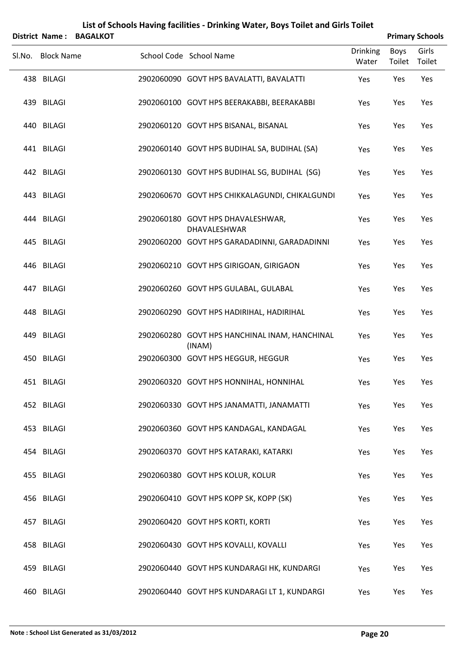| <b>District Name:</b> | <b>BAGALKOT</b> |                                                          |                          |                | <b>Primary Schools</b> |
|-----------------------|-----------------|----------------------------------------------------------|--------------------------|----------------|------------------------|
| Sl.No. Block Name     |                 | School Code School Name                                  | <b>Drinking</b><br>Water | Boys<br>Toilet | Girls<br>Toilet        |
| 438 BILAGI            |                 | 2902060090 GOVT HPS BAVALATTI, BAVALATTI                 | Yes                      | Yes            | Yes                    |
| 439 BILAGI            |                 | 2902060100 GOVT HPS BEERAKABBI, BEERAKABBI               | Yes                      | Yes            | Yes                    |
| 440 BILAGI            |                 | 2902060120 GOVT HPS BISANAL, BISANAL                     | Yes                      | Yes            | Yes                    |
| 441 BILAGI            |                 | 2902060140 GOVT HPS BUDIHAL SA, BUDIHAL (SA)             | Yes                      | Yes            | Yes                    |
| 442 BILAGI            |                 | 2902060130 GOVT HPS BUDIHAL SG, BUDIHAL (SG)             | Yes                      | Yes            | Yes                    |
| 443 BILAGI            |                 | 2902060670 GOVT HPS CHIKKALAGUNDI, CHIKALGUNDI           | Yes                      | Yes            | Yes                    |
| 444 BILAGI            |                 | 2902060180 GOVT HPS DHAVALESHWAR,<br><b>DHAVALESHWAR</b> | Yes                      | Yes            | Yes                    |
| 445 BILAGI            |                 | 2902060200 GOVT HPS GARADADINNI, GARADADINNI             | Yes                      | Yes            | Yes                    |
| 446 BILAGI            |                 | 2902060210 GOVT HPS GIRIGOAN, GIRIGAON                   | Yes                      | Yes            | Yes                    |
| 447 BILAGI            |                 | 2902060260 GOVT HPS GULABAL, GULABAL                     | Yes                      | Yes            | Yes                    |
| 448 BILAGI            |                 | 2902060290 GOVT HPS HADIRIHAL, HADIRIHAL                 | Yes                      | Yes            | Yes                    |
| 449 BILAGI            |                 | 2902060280 GOVT HPS HANCHINAL INAM, HANCHINAL<br>(INAM)  | Yes                      | Yes            | Yes                    |
| 450 BILAGI            |                 | 2902060300 GOVT HPS HEGGUR, HEGGUR                       | Yes                      | Yes            | Yes                    |
| 451 BILAGI            |                 | 2902060320 GOVT HPS HONNIHAL, HONNIHAL                   | Yes                      | Yes            | Yes                    |
| 452 BILAGI            |                 | 2902060330 GOVT HPS JANAMATTI, JANAMATTI                 | Yes                      | Yes            | Yes                    |
| 453 BILAGI            |                 | 2902060360 GOVT HPS KANDAGAL, KANDAGAL                   | Yes                      | Yes            | Yes                    |
| 454 BILAGI            |                 | 2902060370 GOVT HPS KATARAKI, KATARKI                    | Yes                      | Yes            | Yes                    |
| 455 BILAGI            |                 | 2902060380 GOVT HPS KOLUR, KOLUR                         | Yes                      | Yes            | Yes                    |
| 456 BILAGI            |                 | 2902060410 GOVT HPS KOPP SK, KOPP (SK)                   | Yes                      | Yes            | Yes                    |
| 457 BILAGI            |                 | 2902060420 GOVT HPS KORTI, KORTI                         | Yes                      | Yes            | Yes                    |
| 458 BILAGI            |                 | 2902060430 GOVT HPS KOVALLI, KOVALLI                     | Yes                      | Yes            | Yes                    |
| 459 BILAGI            |                 | 2902060440 GOVT HPS KUNDARAGI HK, KUNDARGI               | Yes                      | Yes            | Yes                    |
| 460 BILAGI            |                 | 2902060440 GOVT HPS KUNDARAGI LT 1, KUNDARGI             | Yes                      | Yes            | Yes                    |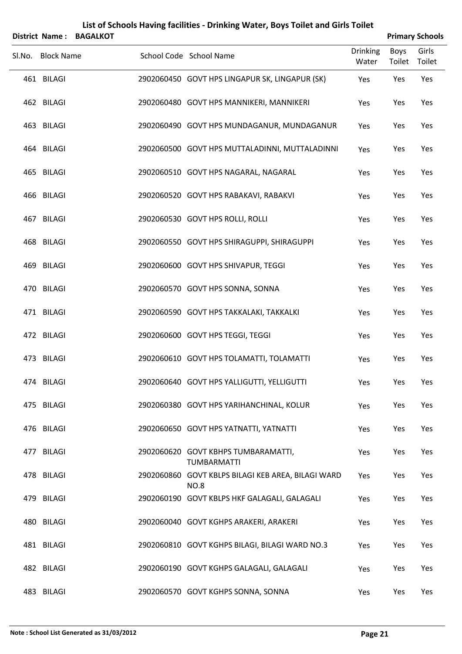| <b>District Name:</b> | <b>BAGALKOT</b> | List of Schools Having facilities - Drinking Water, Boys Toilet and Girls Toilet |                          |                | <b>Primary Schools</b> |  |
|-----------------------|-----------------|----------------------------------------------------------------------------------|--------------------------|----------------|------------------------|--|
| Sl.No. Block Name     |                 | School Code School Name                                                          | <b>Drinking</b><br>Water | Boys<br>Toilet | Girls<br>Toilet        |  |
| 461 BILAGI            |                 | 2902060450 GOVT HPS LINGAPUR SK, LINGAPUR (SK)                                   | Yes                      | Yes            | Yes                    |  |
| 462 BILAGI            |                 | 2902060480 GOVT HPS MANNIKERI, MANNIKERI                                         | Yes                      | Yes            | Yes                    |  |
| 463 BILAGI            |                 | 2902060490 GOVT HPS MUNDAGANUR, MUNDAGANUR                                       | Yes                      | Yes            | Yes                    |  |
| 464 BILAGI            |                 | 2902060500 GOVT HPS MUTTALADINNI, MUTTALADINNI                                   | Yes                      | Yes            | Yes                    |  |
| 465 BILAGI            |                 | 2902060510 GOVT HPS NAGARAL, NAGARAL                                             | Yes                      | Yes            | Yes                    |  |
| 466 BILAGI            |                 | 2902060520 GOVT HPS RABAKAVI, RABAKVI                                            | Yes                      | Yes            | Yes                    |  |
| 467 BILAGI            |                 | 2902060530 GOVT HPS ROLLI, ROLLI                                                 | Yes                      | Yes            | Yes                    |  |
| 468 BILAGI            |                 | 2902060550 GOVT HPS SHIRAGUPPI, SHIRAGUPPI                                       | Yes                      | Yes            | Yes                    |  |
| 469 BILAGI            |                 | 2902060600 GOVT HPS SHIVAPUR, TEGGI                                              | Yes                      | Yes            | Yes                    |  |
| 470 BILAGI            |                 | 2902060570 GOVT HPS SONNA, SONNA                                                 | Yes                      | Yes            | Yes                    |  |
| 471 BILAGI            |                 | 2902060590 GOVT HPS TAKKALAKI, TAKKALKI                                          | Yes                      | Yes            | Yes                    |  |
| 472 BILAGI            |                 | 2902060600 GOVT HPS TEGGI, TEGGI                                                 | Yes                      | Yes            | Yes                    |  |
| 473 BILAGI            |                 | 2902060610 GOVT HPS TOLAMATTI, TOLAMATTI                                         | Yes                      | Yes            | Yes                    |  |
| 474 BILAGI            |                 | 2902060640 GOVT HPS YALLIGUTTI, YELLIGUTTI                                       | Yes                      | Yes            | Yes                    |  |
| 475 BILAGI            |                 | 2902060380 GOVT HPS YARIHANCHINAL, KOLUR                                         | Yes                      | Yes            | Yes                    |  |
| 476 BILAGI            |                 | 2902060650 GOVT HPS YATNATTI, YATNATTI                                           | Yes                      | Yes            | Yes                    |  |
| 477 BILAGI            |                 | 2902060620 GOVT KBHPS TUMBARAMATTI,<br><b>TUMBARMATTI</b>                        | Yes                      | Yes            | Yes                    |  |
| 478 BILAGI            |                 | 2902060860 GOVT KBLPS BILAGI KEB AREA, BILAGI WARD<br><b>NO.8</b>                | Yes                      | Yes            | Yes                    |  |
| 479 BILAGI            |                 | 2902060190 GOVT KBLPS HKF GALAGALI, GALAGALI                                     | Yes                      | Yes            | Yes                    |  |
| 480 BILAGI            |                 | 2902060040 GOVT KGHPS ARAKERI, ARAKERI                                           | Yes                      | Yes            | Yes                    |  |
| 481 BILAGI            |                 | 2902060810 GOVT KGHPS BILAGI, BILAGI WARD NO.3                                   | Yes                      | Yes            | Yes                    |  |
| 482 BILAGI            |                 | 2902060190 GOVT KGHPS GALAGALI, GALAGALI                                         | Yes                      | Yes            | Yes                    |  |
| 483 BILAGI            |                 | 2902060570 GOVT KGHPS SONNA, SONNA                                               | Yes                      | Yes            | Yes                    |  |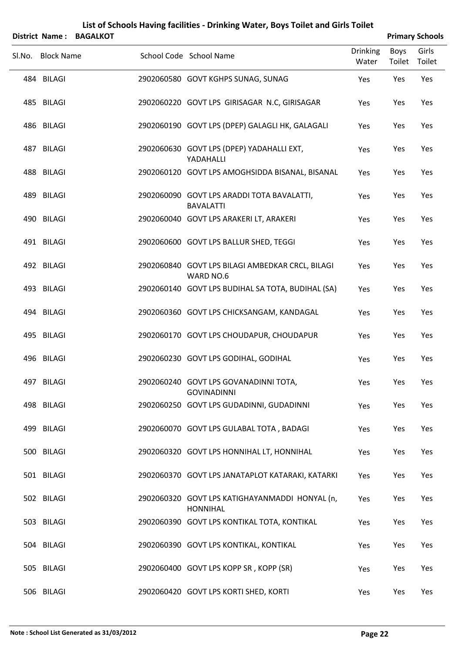|        | District Name:    | <b>BAGALKOT</b> |                                                                   |                          |                | <b>Primary Schools</b> |
|--------|-------------------|-----------------|-------------------------------------------------------------------|--------------------------|----------------|------------------------|
| Sl.No. | <b>Block Name</b> |                 | School Code School Name                                           | <b>Drinking</b><br>Water | Boys<br>Toilet | Girls<br>Toilet        |
|        | 484 BILAGI        |                 | 2902060580 GOVT KGHPS SUNAG, SUNAG                                | Yes                      | Yes            | Yes                    |
|        | 485 BILAGI        |                 | 2902060220 GOVT LPS GIRISAGAR N.C, GIRISAGAR                      | Yes                      | Yes            | Yes                    |
|        | 486 BILAGI        |                 | 2902060190 GOVT LPS (DPEP) GALAGLI HK, GALAGALI                   | Yes                      | Yes            | Yes                    |
|        | 487 BILAGI        |                 | 2902060630 GOVT LPS (DPEP) YADAHALLI EXT,<br>YADAHALLI            | Yes                      | Yes            | Yes                    |
|        | 488 BILAGI        |                 | 2902060120 GOVT LPS AMOGHSIDDA BISANAL, BISANAL                   | Yes                      | Yes            | Yes                    |
|        | 489 BILAGI        |                 | 2902060090 GOVT LPS ARADDI TOTA BAVALATTI,<br><b>BAVALATTI</b>    | Yes                      | Yes            | Yes                    |
|        | 490 BILAGI        |                 | 2902060040 GOVT LPS ARAKERI LT, ARAKERI                           | Yes                      | Yes            | Yes                    |
|        | 491 BILAGI        |                 | 2902060600 GOVT LPS BALLUR SHED, TEGGI                            | Yes                      | Yes            | Yes                    |
|        | 492 BILAGI        |                 | 2902060840 GOVT LPS BILAGI AMBEDKAR CRCL, BILAGI<br>WARD NO.6     | Yes                      | Yes            | Yes                    |
|        | 493 BILAGI        |                 | 2902060140 GOVT LPS BUDIHAL SA TOTA, BUDIHAL (SA)                 | Yes                      | Yes            | Yes                    |
|        | 494 BILAGI        |                 | 2902060360 GOVT LPS CHICKSANGAM, KANDAGAL                         | Yes                      | Yes            | Yes                    |
|        | 495 BILAGI        |                 | 2902060170 GOVT LPS CHOUDAPUR, CHOUDAPUR                          | Yes                      | Yes            | Yes                    |
|        | 496 BILAGI        |                 | 2902060230 GOVT LPS GODIHAL, GODIHAL                              | Yes                      | Yes            | Yes                    |
|        | 497 BILAGI        |                 | 2902060240 GOVT LPS GOVANADINNI TOTA,<br><b>GOVINADINNI</b>       | Yes                      | Yes            | Yes                    |
|        | 498 BILAGI        |                 | 2902060250 GOVT LPS GUDADINNI, GUDADINNI                          | Yes                      | Yes            | Yes                    |
|        | 499 BILAGI        |                 | 2902060070 GOVT LPS GULABAL TOTA, BADAGI                          | Yes                      | Yes            | Yes                    |
|        | 500 BILAGI        |                 | 2902060320 GOVT LPS HONNIHAL LT, HONNIHAL                         | Yes                      | Yes            | Yes                    |
|        | 501 BILAGI        |                 | 2902060370 GOVT LPS JANATAPLOT KATARAKI, KATARKI                  | Yes                      | Yes            | Yes                    |
|        | 502 BILAGI        |                 | 2902060320 GOVT LPS KATIGHAYANMADDI HONYAL (n,<br><b>HONNIHAL</b> | Yes                      | Yes            | Yes                    |
|        | 503 BILAGI        |                 | 2902060390 GOVT LPS KONTIKAL TOTA, KONTIKAL                       | Yes                      | Yes            | Yes                    |
|        | 504 BILAGI        |                 | 2902060390 GOVT LPS KONTIKAL, KONTIKAL                            | Yes                      | Yes            | Yes                    |
|        | 505 BILAGI        |                 | 2902060400 GOVT LPS KOPP SR, KOPP (SR)                            | Yes                      | Yes            | Yes                    |
|        | 506 BILAGI        |                 | 2902060420 GOVT LPS KORTI SHED, KORTI                             | Yes                      | Yes            | Yes                    |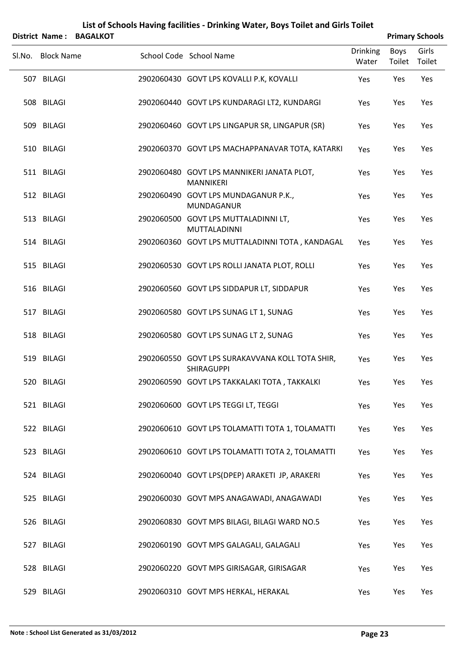| List of Schools Having facilities - Drinking Water, Boys Toilet and Girls Toilet<br><b>BAGALKOT</b><br><b>District Name:</b> |                   |  |                                                                |                 |        |                                 |
|------------------------------------------------------------------------------------------------------------------------------|-------------------|--|----------------------------------------------------------------|-----------------|--------|---------------------------------|
|                                                                                                                              | Sl.No. Block Name |  | School Code School Name                                        | <b>Drinking</b> | Boys   | <b>Primary Schools</b><br>Girls |
|                                                                                                                              |                   |  |                                                                | Water           | Toilet | Toilet                          |
|                                                                                                                              | 507 BILAGI        |  | 2902060430 GOVT LPS KOVALLI P.K, KOVALLI                       | Yes             | Yes    | Yes                             |
|                                                                                                                              | 508 BILAGI        |  | 2902060440 GOVT LPS KUNDARAGI LT2, KUNDARGI                    | Yes             | Yes    | Yes                             |
|                                                                                                                              | 509 BILAGI        |  | 2902060460 GOVT LPS LINGAPUR SR, LINGAPUR (SR)                 | Yes             | Yes    | Yes                             |
|                                                                                                                              | 510 BILAGI        |  | 2902060370 GOVT LPS MACHAPPANAVAR TOTA, KATARKI                | Yes             | Yes    | Yes                             |
|                                                                                                                              | 511 BILAGI        |  | 2902060480 GOVT LPS MANNIKERI JANATA PLOT,<br><b>MANNIKERI</b> | Yes             | Yes    | Yes                             |
|                                                                                                                              | 512 BILAGI        |  | 2902060490 GOVT LPS MUNDAGANUR P.K.,<br>MUNDAGANUR             | Yes             | Yes    | Yes                             |
|                                                                                                                              | 513 BILAGI        |  | 2902060500 GOVT LPS MUTTALADINNI LT,<br>MUTTALADINNI           | Yes             | Yes    | Yes                             |
|                                                                                                                              | 514 BILAGI        |  | 2902060360 GOVT LPS MUTTALADINNI TOTA, KANDAGAL                | Yes             | Yes    | Yes                             |
|                                                                                                                              | 515 BILAGI        |  | 2902060530 GOVT LPS ROLLI JANATA PLOT, ROLLI                   | Yes             | Yes    | Yes                             |
|                                                                                                                              | 516 BILAGI        |  | 2902060560 GOVT LPS SIDDAPUR LT, SIDDAPUR                      | Yes             | Yes    | Yes                             |
|                                                                                                                              | 517 BILAGI        |  | 2902060580 GOVT LPS SUNAG LT 1, SUNAG                          | Yes             | Yes    | Yes                             |
|                                                                                                                              | 518 BILAGI        |  | 2902060580 GOVT LPS SUNAG LT 2, SUNAG                          | Yes             | Yes    | Yes                             |
|                                                                                                                              | 519 BILAGI        |  | 2902060550 GOVT LPS SURAKAVVANA KOLL TOTA SHIR,<br>SHIRAGUPPI  | Yes             | Yes    | Yes                             |
|                                                                                                                              | 520 BILAGI        |  | 2902060590 GOVT LPS TAKKALAKI TOTA, TAKKALKI                   | Yes             | Yes    | Yes                             |
|                                                                                                                              | 521 BILAGI        |  | 2902060600 GOVT LPS TEGGI LT, TEGGI                            | Yes             | Yes    | Yes                             |
|                                                                                                                              | 522 BILAGI        |  | 2902060610 GOVT LPS TOLAMATTI TOTA 1, TOLAMATTI                | Yes             | Yes    | Yes                             |
|                                                                                                                              | 523 BILAGI        |  | 2902060610 GOVT LPS TOLAMATTI TOTA 2, TOLAMATTI                | Yes             | Yes    | Yes                             |
|                                                                                                                              | 524 BILAGI        |  | 2902060040 GOVT LPS(DPEP) ARAKETI JP, ARAKERI                  | Yes             | Yes    | Yes                             |
|                                                                                                                              | 525 BILAGI        |  | 2902060030 GOVT MPS ANAGAWADI, ANAGAWADI                       | Yes             | Yes    | Yes                             |
|                                                                                                                              | 526 BILAGI        |  | 2902060830 GOVT MPS BILAGI, BILAGI WARD NO.5                   | Yes             | Yes    | Yes                             |
|                                                                                                                              | 527 BILAGI        |  | 2902060190 GOVT MPS GALAGALI, GALAGALI                         | Yes             | Yes    | Yes                             |
|                                                                                                                              | 528 BILAGI        |  | 2902060220 GOVT MPS GIRISAGAR, GIRISAGAR                       | Yes             | Yes    | Yes                             |
|                                                                                                                              | 529 BILAGI        |  | 2902060310 GOVT MPS HERKAL, HERAKAL                            | Yes             | Yes    | Yes                             |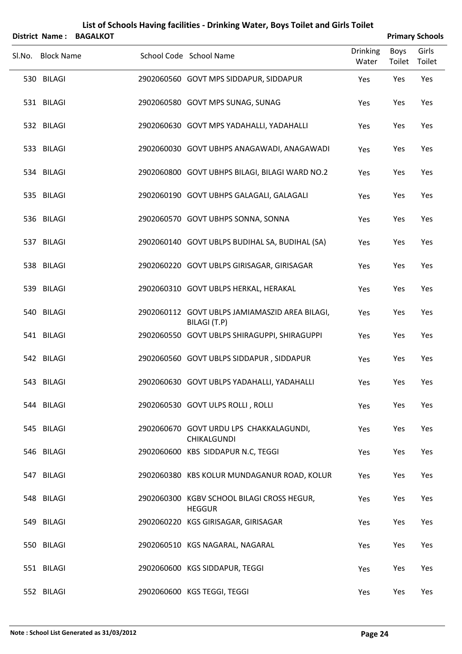| <b>District Name:</b> | <b>BAGALKOT</b> |                                                                |                          |                | <b>Primary Schools</b> |
|-----------------------|-----------------|----------------------------------------------------------------|--------------------------|----------------|------------------------|
| Sl.No. Block Name     |                 | School Code School Name                                        | <b>Drinking</b><br>Water | Boys<br>Toilet | Girls<br>Toilet        |
| 530 BILAGI            |                 | 2902060560 GOVT MPS SIDDAPUR, SIDDAPUR                         | Yes                      | Yes            | Yes                    |
| 531 BILAGI            |                 | 2902060580 GOVT MPS SUNAG, SUNAG                               | Yes                      | Yes            | Yes                    |
| 532 BILAGI            |                 | 2902060630 GOVT MPS YADAHALLI, YADAHALLI                       | Yes                      | Yes            | Yes                    |
| 533 BILAGI            |                 | 2902060030 GOVT UBHPS ANAGAWADI, ANAGAWADI                     | Yes                      | Yes            | Yes                    |
| 534 BILAGI            |                 | 2902060800 GOVT UBHPS BILAGI, BILAGI WARD NO.2                 | Yes                      | Yes            | Yes                    |
| 535 BILAGI            |                 | 2902060190 GOVT UBHPS GALAGALI, GALAGALI                       | Yes                      | Yes            | Yes                    |
| 536 BILAGI            |                 | 2902060570 GOVT UBHPS SONNA, SONNA                             | Yes                      | Yes            | Yes                    |
| 537 BILAGI            |                 | 2902060140 GOVT UBLPS BUDIHAL SA, BUDIHAL (SA)                 | Yes                      | Yes            | Yes                    |
| 538 BILAGI            |                 | 2902060220 GOVT UBLPS GIRISAGAR, GIRISAGAR                     | Yes                      | Yes            | Yes                    |
| 539 BILAGI            |                 | 2902060310 GOVT UBLPS HERKAL, HERAKAL                          | Yes                      | Yes            | Yes                    |
| 540 BILAGI            |                 | 2902060112 GOVT UBLPS JAMIAMASZID AREA BILAGI,<br>BILAGI (T.P) | Yes                      | Yes            | Yes                    |
| 541 BILAGI            |                 | 2902060550 GOVT UBLPS SHIRAGUPPI, SHIRAGUPPI                   | Yes                      | Yes            | Yes                    |
| 542 BILAGI            |                 | 2902060560 GOVT UBLPS SIDDAPUR, SIDDAPUR                       | Yes                      | Yes            | Yes                    |
| 543 BILAGI            |                 | 2902060630 GOVT UBLPS YADAHALLI, YADAHALLI                     | Yes                      | Yes            | Yes                    |
| 544 BILAGI            |                 | 2902060530 GOVT ULPS ROLLI, ROLLI                              | Yes                      | Yes            | Yes                    |
| 545 BILAGI            |                 | 2902060670 GOVT URDU LPS CHAKKALAGUNDI,<br>CHIKALGUNDI         | Yes                      | Yes            | Yes                    |
| 546 BILAGI            |                 | 2902060600 KBS SIDDAPUR N.C, TEGGI                             | Yes                      | Yes            | Yes                    |
| 547 BILAGI            |                 | 2902060380 KBS KOLUR MUNDAGANUR ROAD, KOLUR                    | Yes                      | Yes            | Yes                    |
| 548 BILAGI            |                 | 2902060300 KGBV SCHOOL BILAGI CROSS HEGUR,<br><b>HEGGUR</b>    | Yes                      | Yes            | Yes                    |
| 549 BILAGI            |                 | 2902060220 KGS GIRISAGAR, GIRISAGAR                            | Yes                      | Yes            | Yes                    |
| 550 BILAGI            |                 | 2902060510 KGS NAGARAL, NAGARAL                                | Yes                      | Yes            | Yes                    |
| 551 BILAGI            |                 | 2902060600 KGS SIDDAPUR, TEGGI                                 | Yes                      | Yes            | Yes                    |
| 552 BILAGI            |                 | 2902060600 KGS TEGGI, TEGGI                                    | Yes                      | Yes            | Yes                    |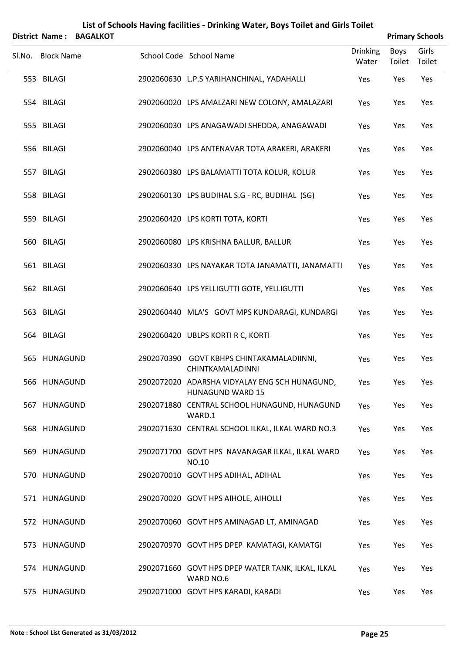| <b>District Name:</b> | <b>BAGALKOT</b> | List of Schools Having facilities - Drinking Water, Boys Toilet and Girls Toilet |                          |                | <b>Primary Schools</b> |
|-----------------------|-----------------|----------------------------------------------------------------------------------|--------------------------|----------------|------------------------|
| Sl.No. Block Name     |                 | School Code School Name                                                          | <b>Drinking</b><br>Water | Boys<br>Toilet | Girls<br>Toilet        |
| 553 BILAGI            |                 | 2902060630 L.P.S YARIHANCHINAL, YADAHALLI                                        | Yes                      | Yes            | Yes                    |
| 554 BILAGI            |                 | 2902060020 LPS AMALZARI NEW COLONY, AMALAZARI                                    | Yes                      | Yes            | Yes                    |
| 555 BILAGI            |                 | 2902060030 LPS ANAGAWADI SHEDDA, ANAGAWADI                                       | Yes                      | Yes            | Yes                    |
| 556 BILAGI            |                 | 2902060040 LPS ANTENAVAR TOTA ARAKERI, ARAKERI                                   | Yes                      | Yes            | Yes                    |
| 557 BILAGI            |                 | 2902060380 LPS BALAMATTI TOTA KOLUR, KOLUR                                       | Yes                      | Yes            | Yes                    |
| 558 BILAGI            |                 | 2902060130 LPS BUDIHAL S.G - RC, BUDIHAL (SG)                                    | Yes                      | Yes            | Yes                    |
| 559 BILAGI            |                 | 2902060420 LPS KORTI TOTA, KORTI                                                 | Yes                      | Yes            | Yes                    |
| 560 BILAGI            |                 | 2902060080 LPS KRISHNA BALLUR, BALLUR                                            | Yes                      | Yes            | Yes                    |
| 561 BILAGI            |                 | 2902060330 LPS NAYAKAR TOTA JANAMATTI, JANAMATTI                                 | Yes                      | Yes            | Yes                    |
| 562 BILAGI            |                 | 2902060640 LPS YELLIGUTTI GOTE, YELLIGUTTI                                       | Yes                      | Yes            | Yes                    |
| 563 BILAGI            |                 | 2902060440 MLA'S GOVT MPS KUNDARAGI, KUNDARGI                                    | Yes                      | Yes            | Yes                    |
| 564 BILAGI            |                 | 2902060420 UBLPS KORTI R C, KORTI                                                | Yes                      | Yes            | Yes                    |
| 565 HUNAGUND          |                 | 2902070390 GOVT KBHPS CHINTAKAMALADIINNI,<br>CHINTKAMALADINNI                    | Yes                      | Yes            | Yes                    |
| 566 HUNAGUND          |                 | 2902072020 ADARSHA VIDYALAY ENG SCH HUNAGUND,<br><b>HUNAGUND WARD 15</b>         | Yes                      | Yes            | Yes                    |
| 567 HUNAGUND          |                 | 2902071880 CENTRAL SCHOOL HUNAGUND, HUNAGUND<br>WARD.1                           | Yes                      | Yes            | Yes                    |
| 568 HUNAGUND          |                 | 2902071630 CENTRAL SCHOOL ILKAL, ILKAL WARD NO.3                                 | Yes                      | Yes            | Yes                    |
| 569 HUNAGUND          |                 | 2902071700 GOVT HPS NAVANAGAR ILKAL, ILKAL WARD<br>NO.10                         | Yes                      | Yes            | Yes                    |
| 570 HUNAGUND          |                 | 2902070010 GOVT HPS ADIHAL, ADIHAL                                               | Yes                      | Yes            | Yes                    |
| 571 HUNAGUND          |                 | 2902070020 GOVT HPS AIHOLE, AIHOLLI                                              | Yes                      | Yes            | Yes                    |
| 572 HUNAGUND          |                 | 2902070060 GOVT HPS AMINAGAD LT, AMINAGAD                                        | Yes                      | Yes            | Yes                    |
| 573 HUNAGUND          |                 | 2902070970 GOVT HPS DPEP KAMATAGI, KAMATGI                                       | Yes                      | Yes            | Yes                    |
| 574 HUNAGUND          |                 | 2902071660 GOVT HPS DPEP WATER TANK, ILKAL, ILKAL<br>WARD NO.6                   | Yes                      | Yes            | Yes                    |
| 575 HUNAGUND          |                 | 2902071000 GOVT HPS KARADI, KARADI                                               | Yes                      | Yes            | Yes                    |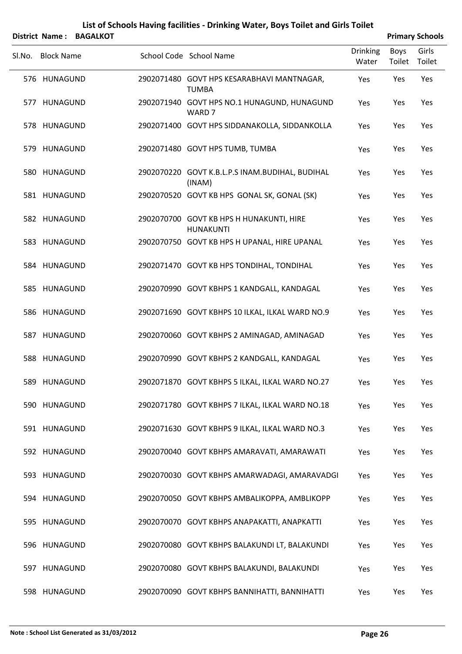|        |                   | District Name: BAGALKOT |                                                                  |                          |                | <b>Primary Schools</b> |
|--------|-------------------|-------------------------|------------------------------------------------------------------|--------------------------|----------------|------------------------|
| SI.No. | <b>Block Name</b> |                         | School Code School Name                                          | <b>Drinking</b><br>Water | Boys<br>Toilet | Girls<br>Toilet        |
|        | 576 HUNAGUND      |                         | 2902071480 GOVT HPS KESARABHAVI MANTNAGAR,<br><b>TUMBA</b>       | Yes                      | Yes            | Yes                    |
|        | 577 HUNAGUND      |                         | 2902071940 GOVT HPS NO.1 HUNAGUND, HUNAGUND<br>WARD <sub>7</sub> | Yes                      | Yes            | Yes                    |
|        | 578 HUNAGUND      |                         | 2902071400 GOVT HPS SIDDANAKOLLA, SIDDANKOLLA                    | Yes                      | Yes            | Yes                    |
|        | 579 HUNAGUND      |                         | 2902071480 GOVT HPS TUMB, TUMBA                                  | Yes                      | Yes            | Yes                    |
|        | 580 HUNAGUND      |                         | 2902070220 GOVT K.B.L.P.S INAM.BUDIHAL, BUDIHAL<br>(INAM)        | Yes                      | Yes            | Yes                    |
|        | 581 HUNAGUND      |                         | 2902070520 GOVT KB HPS GONAL SK, GONAL (SK)                      | Yes                      | Yes            | Yes                    |
|        | 582 HUNAGUND      |                         | 2902070700 GOVT KB HPS H HUNAKUNTI, HIRE<br><b>HUNAKUNTI</b>     | Yes                      | Yes            | Yes                    |
|        | 583 HUNAGUND      |                         | 2902070750 GOVT KB HPS H UPANAL, HIRE UPANAL                     | Yes                      | Yes            | Yes                    |
|        | 584 HUNAGUND      |                         | 2902071470 GOVT KB HPS TONDIHAL, TONDIHAL                        | Yes                      | Yes            | Yes                    |
|        | 585 HUNAGUND      |                         | 2902070990 GOVT KBHPS 1 KANDGALL, KANDAGAL                       | Yes                      | Yes            | Yes                    |
|        | 586 HUNAGUND      |                         | 2902071690 GOVT KBHPS 10 ILKAL, ILKAL WARD NO.9                  | Yes                      | Yes            | Yes                    |
|        | 587 HUNAGUND      |                         | 2902070060 GOVT KBHPS 2 AMINAGAD, AMINAGAD                       | Yes                      | Yes            | Yes                    |
|        | 588 HUNAGUND      |                         | 2902070990 GOVT KBHPS 2 KANDGALL, KANDAGAL                       | Yes                      | Yes            | Yes                    |
|        | 589 HUNAGUND      |                         | 2902071870 GOVT KBHPS 5 ILKAL, ILKAL WARD NO.27                  | Yes                      | Yes            | Yes                    |
|        | 590 HUNAGUND      |                         | 2902071780 GOVT KBHPS 7 ILKAL, ILKAL WARD NO.18                  | Yes                      | Yes            | Yes                    |
|        | 591 HUNAGUND      |                         | 2902071630 GOVT KBHPS 9 ILKAL, ILKAL WARD NO.3                   | Yes                      | Yes            | Yes                    |
|        | 592 HUNAGUND      |                         | 2902070040 GOVT KBHPS AMARAVATI, AMARAWATI                       | Yes                      | Yes            | Yes                    |
|        | 593 HUNAGUND      |                         | 2902070030 GOVT KBHPS AMARWADAGI, AMARAVADGI                     | Yes                      | Yes            | Yes                    |
|        | 594 HUNAGUND      |                         | 2902070050 GOVT KBHPS AMBALIKOPPA, AMBLIKOPP                     | Yes                      | Yes            | Yes                    |
|        | 595 HUNAGUND      |                         | 2902070070 GOVT KBHPS ANAPAKATTI, ANAPKATTI                      | Yes                      | Yes            | Yes                    |
|        | 596 HUNAGUND      |                         | 2902070080 GOVT KBHPS BALAKUNDI LT, BALAKUNDI                    | Yes                      | Yes            | Yes                    |
|        | 597 HUNAGUND      |                         | 2902070080 GOVT KBHPS BALAKUNDI, BALAKUNDI                       | Yes                      | Yes            | Yes                    |
|        | 598 HUNAGUND      |                         | 2902070090 GOVT KBHPS BANNIHATTI, BANNIHATTI                     | Yes                      | Yes            | Yes                    |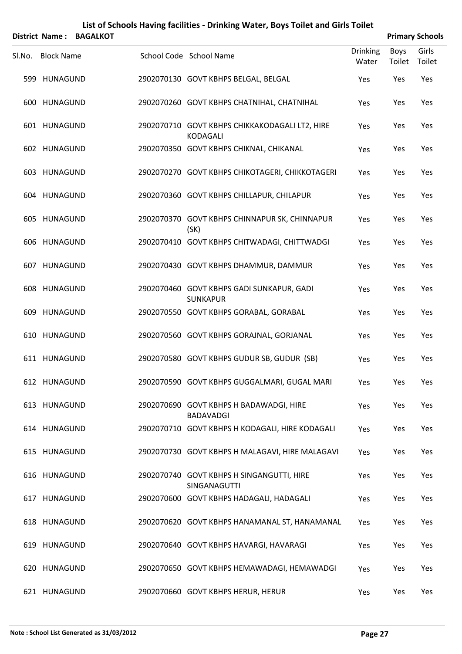|        | District Name:    | <b>BAGALKOT</b> |                                                              |                          |                       | <b>Primary Schools</b> |
|--------|-------------------|-----------------|--------------------------------------------------------------|--------------------------|-----------------------|------------------------|
| Sl.No. | <b>Block Name</b> |                 | School Code School Name                                      | <b>Drinking</b><br>Water | <b>Boys</b><br>Toilet | Girls<br>Toilet        |
|        | 599 HUNAGUND      |                 | 2902070130 GOVT KBHPS BELGAL, BELGAL                         | Yes                      | Yes                   | Yes                    |
|        | 600 HUNAGUND      |                 | 2902070260 GOVT KBHPS CHATNIHAL, CHATNIHAL                   | Yes                      | Yes                   | Yes                    |
|        | 601 HUNAGUND      |                 | 2902070710 GOVT KBHPS CHIKKAKODAGALI LT2, HIRE<br>KODAGALI   | Yes                      | Yes                   | Yes                    |
|        | 602 HUNAGUND      |                 | 2902070350 GOVT KBHPS CHIKNAL, CHIKANAL                      | Yes                      | Yes                   | Yes                    |
|        | 603 HUNAGUND      |                 | 2902070270 GOVT KBHPS CHIKOTAGERI, CHIKKOTAGERI              | Yes                      | Yes                   | Yes                    |
|        | 604 HUNAGUND      |                 | 2902070360 GOVT KBHPS CHILLAPUR, CHILAPUR                    | Yes                      | Yes                   | Yes                    |
|        | 605 HUNAGUND      |                 | 2902070370 GOVT KBHPS CHINNAPUR SK, CHINNAPUR<br>(SK)        | Yes                      | Yes                   | Yes                    |
|        | 606 HUNAGUND      |                 | 2902070410 GOVT KBHPS CHITWADAGI, CHITTWADGI                 | Yes                      | Yes                   | Yes                    |
|        | 607 HUNAGUND      |                 | 2902070430 GOVT KBHPS DHAMMUR, DAMMUR                        | Yes                      | Yes                   | Yes                    |
|        | 608 HUNAGUND      |                 | 2902070460 GOVT KBHPS GADI SUNKAPUR, GADI<br><b>SUNKAPUR</b> | Yes                      | Yes                   | Yes                    |
|        | 609 HUNAGUND      |                 | 2902070550 GOVT KBHPS GORABAL, GORABAL                       | Yes                      | Yes                   | Yes                    |
|        | 610 HUNAGUND      |                 | 2902070560 GOVT KBHPS GORAJNAL, GORJANAL                     | Yes                      | Yes                   | Yes                    |
|        | 611 HUNAGUND      |                 | 2902070580 GOVT KBHPS GUDUR SB, GUDUR (SB)                   | Yes                      | Yes                   | Yes                    |
|        | 612 HUNAGUND      |                 | 2902070590 GOVT KBHPS GUGGALMARI, GUGAL MARI                 | Yes                      | Yes                   | Yes                    |
|        | 613 HUNAGUND      |                 | 2902070690 GOVT KBHPS H BADAWADGI, HIRE<br><b>BADAVADGI</b>  | Yes                      | Yes                   | Yes                    |
|        | 614 HUNAGUND      |                 | 2902070710 GOVT KBHPS H KODAGALI, HIRE KODAGALI              | Yes                      | Yes                   | Yes                    |
|        | 615 HUNAGUND      |                 | 2902070730 GOVT KBHPS H MALAGAVI, HIRE MALAGAVI              | Yes                      | Yes                   | Yes                    |
|        | 616 HUNAGUND      |                 | 2902070740 GOVT KBHPS H SINGANGUTTI, HIRE<br>SINGANAGUTTI    | Yes                      | Yes                   | Yes                    |
|        | 617 HUNAGUND      |                 | 2902070600 GOVT KBHPS HADAGALI, HADAGALI                     | Yes                      | Yes                   | Yes                    |
|        | 618 HUNAGUND      |                 | 2902070620 GOVT KBHPS HANAMANAL ST, HANAMANAL                | Yes                      | Yes                   | Yes                    |
|        | 619 HUNAGUND      |                 | 2902070640 GOVT KBHPS HAVARGI, HAVARAGI                      | Yes                      | Yes                   | Yes                    |
|        | 620 HUNAGUND      |                 | 2902070650 GOVT KBHPS HEMAWADAGI, HEMAWADGI                  | Yes                      | Yes                   | Yes                    |
|        | 621 HUNAGUND      |                 | 2902070660 GOVT KBHPS HERUR, HERUR                           | Yes                      | Yes                   | Yes                    |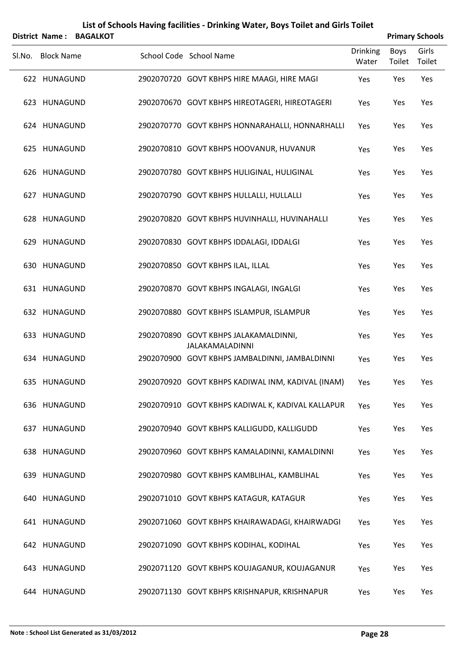|        | <b>District Name:</b> | <b>BAGALKOT</b> | List of Schools Having facilities - Drinking Water, Boys Toilet and Girls Toilet |                          |                       | <b>Primary Schools</b> |
|--------|-----------------------|-----------------|----------------------------------------------------------------------------------|--------------------------|-----------------------|------------------------|
| SI.No. | <b>Block Name</b>     |                 | School Code School Name                                                          | <b>Drinking</b><br>Water | <b>Boys</b><br>Toilet | Girls<br>Toilet        |
|        | 622 HUNAGUND          |                 | 2902070720 GOVT KBHPS HIRE MAAGI, HIRE MAGI                                      | Yes                      | Yes                   | Yes                    |
|        | 623 HUNAGUND          |                 | 2902070670 GOVT KBHPS HIREOTAGERI, HIREOTAGERI                                   | Yes                      | Yes                   | Yes                    |
|        | 624 HUNAGUND          |                 | 2902070770 GOVT KBHPS HONNARAHALLI, HONNARHALLI                                  | Yes                      | Yes                   | Yes                    |
|        | 625 HUNAGUND          |                 | 2902070810 GOVT KBHPS HOOVANUR, HUVANUR                                          | Yes                      | Yes                   | Yes                    |
|        | 626 HUNAGUND          |                 | 2902070780 GOVT KBHPS HULIGINAL, HULIGINAL                                       | Yes                      | Yes                   | Yes                    |
|        | 627 HUNAGUND          |                 | 2902070790 GOVT KBHPS HULLALLI, HULLALLI                                         | Yes                      | Yes                   | Yes                    |
|        | 628 HUNAGUND          |                 | 2902070820 GOVT KBHPS HUVINHALLI, HUVINAHALLI                                    | Yes                      | Yes                   | Yes                    |
|        | 629 HUNAGUND          |                 | 2902070830 GOVT KBHPS IDDALAGI, IDDALGI                                          | Yes                      | Yes                   | Yes                    |
|        | 630 HUNAGUND          |                 | 2902070850 GOVT KBHPS ILAL, ILLAL                                                | Yes                      | Yes                   | Yes                    |
|        | 631 HUNAGUND          |                 | 2902070870 GOVT KBHPS INGALAGI, INGALGI                                          | Yes                      | Yes                   | Yes                    |
|        | 632 HUNAGUND          |                 | 2902070880 GOVT KBHPS ISLAMPUR, ISLAMPUR                                         | Yes                      | Yes                   | Yes                    |
|        | 633 HUNAGUND          |                 | 2902070890 GOVT KBHPS JALAKAMALDINNI,                                            | Yes                      | Yes                   | Yes                    |
|        | 634 HUNAGUND          |                 | <b>JALAKAMALADINNI</b><br>2902070900 GOVT KBHPS JAMBALDINNI, JAMBALDINNI         | Yes                      | Yes                   | Yes                    |
|        | 635 HUNAGUND          |                 | 2902070920 GOVT KBHPS KADIWAL INM, KADIVAL (INAM)                                | Yes                      | Yes                   | Yes                    |
|        | 636 HUNAGUND          |                 | 2902070910 GOVT KBHPS KADIWAL K, KADIVAL KALLAPUR                                | Yes                      | Yes                   | Yes                    |
|        | 637 HUNAGUND          |                 | 2902070940 GOVT KBHPS KALLIGUDD, KALLIGUDD                                       | Yes                      | Yes                   | Yes                    |
|        | 638 HUNAGUND          |                 | 2902070960 GOVT KBHPS KAMALADINNI, KAMALDINNI                                    | Yes                      | Yes                   | Yes                    |
|        | 639 HUNAGUND          |                 | 2902070980 GOVT KBHPS KAMBLIHAL, KAMBLIHAL                                       | Yes                      | Yes                   | Yes                    |
|        | 640 HUNAGUND          |                 | 2902071010 GOVT KBHPS KATAGUR, KATAGUR                                           | Yes                      | Yes                   | Yes                    |
|        | 641 HUNAGUND          |                 | 2902071060 GOVT KBHPS KHAIRAWADAGI, KHAIRWADGI                                   | Yes                      | Yes                   | Yes                    |
|        | 642 HUNAGUND          |                 | 2902071090 GOVT KBHPS KODIHAL, KODIHAL                                           | Yes                      | Yes                   | Yes                    |
|        | 643 HUNAGUND          |                 | 2902071120 GOVT KBHPS KOUJAGANUR, KOUJAGANUR                                     | Yes                      | Yes                   | Yes                    |
|        | 644 HUNAGUND          |                 | 2902071130 GOVT KBHPS KRISHNAPUR, KRISHNAPUR                                     | Yes                      | Yes                   | Yes                    |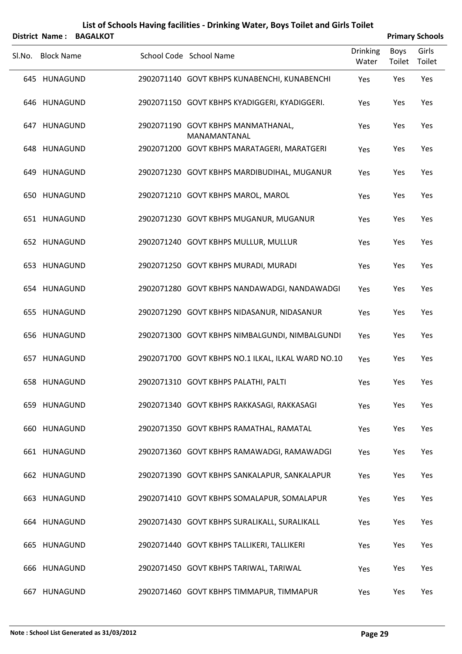| List of Schools Having facilities - Drinking Water, Boys Toilet and Girls Toilet<br><b>Primary Schools</b><br><b>District Name:</b><br><b>BAGALKOT</b> |                   |  |  |                                                    |                          |                       |                 |  |
|--------------------------------------------------------------------------------------------------------------------------------------------------------|-------------------|--|--|----------------------------------------------------|--------------------------|-----------------------|-----------------|--|
| Sl.No.                                                                                                                                                 | <b>Block Name</b> |  |  | School Code School Name                            | <b>Drinking</b><br>Water | <b>Boys</b><br>Toilet | Girls<br>Toilet |  |
|                                                                                                                                                        | 645 HUNAGUND      |  |  | 2902071140 GOVT KBHPS KUNABENCHI, KUNABENCHI       | Yes                      | Yes                   | Yes             |  |
|                                                                                                                                                        | 646 HUNAGUND      |  |  | 2902071150 GOVT KBHPS KYADIGGERI, KYADIGGERI.      | Yes                      | Yes                   | Yes             |  |
|                                                                                                                                                        | 647 HUNAGUND      |  |  | 2902071190 GOVT KBHPS MANMATHANAL,<br>MANAMANTANAL | Yes                      | Yes                   | Yes             |  |
|                                                                                                                                                        | 648 HUNAGUND      |  |  | 2902071200 GOVT KBHPS MARATAGERI, MARATGERI        | Yes                      | Yes                   | Yes             |  |
|                                                                                                                                                        | 649 HUNAGUND      |  |  | 2902071230 GOVT KBHPS MARDIBUDIHAL, MUGANUR        | Yes                      | Yes                   | Yes             |  |
|                                                                                                                                                        | 650 HUNAGUND      |  |  | 2902071210 GOVT KBHPS MAROL, MAROL                 | Yes                      | Yes                   | Yes             |  |
|                                                                                                                                                        | 651 HUNAGUND      |  |  | 2902071230 GOVT KBHPS MUGANUR, MUGANUR             | Yes                      | Yes                   | Yes             |  |
|                                                                                                                                                        | 652 HUNAGUND      |  |  | 2902071240 GOVT KBHPS MULLUR, MULLUR               | Yes                      | Yes                   | Yes             |  |
|                                                                                                                                                        | 653 HUNAGUND      |  |  | 2902071250 GOVT KBHPS MURADI, MURADI               | Yes                      | Yes                   | Yes             |  |
|                                                                                                                                                        | 654 HUNAGUND      |  |  | 2902071280 GOVT KBHPS NANDAWADGI, NANDAWADGI       | Yes                      | Yes                   | Yes             |  |
|                                                                                                                                                        | 655 HUNAGUND      |  |  | 2902071290 GOVT KBHPS NIDASANUR, NIDASANUR         | Yes                      | Yes                   | Yes             |  |
|                                                                                                                                                        | 656 HUNAGUND      |  |  | 2902071300 GOVT KBHPS NIMBALGUNDI, NIMBALGUNDI     | Yes                      | Yes                   | Yes             |  |
|                                                                                                                                                        | 657 HUNAGUND      |  |  | 2902071700 GOVT KBHPS NO.1 ILKAL, ILKAL WARD NO.10 | Yes                      | Yes                   | Yes             |  |
|                                                                                                                                                        | 658 HUNAGUND      |  |  | 2902071310 GOVT KBHPS PALATHI, PALTI               | Yes                      | Yes                   | Yes             |  |
|                                                                                                                                                        | 659 HUNAGUND      |  |  | 2902071340 GOVT KBHPS RAKKASAGI, RAKKASAGI         | Yes                      | Yes                   | Yes             |  |
|                                                                                                                                                        | 660 HUNAGUND      |  |  | 2902071350 GOVT KBHPS RAMATHAL, RAMATAL            | Yes                      | Yes                   | Yes             |  |
|                                                                                                                                                        | 661 HUNAGUND      |  |  | 2902071360 GOVT KBHPS RAMAWADGI, RAMAWADGI         | Yes                      | Yes                   | Yes             |  |
|                                                                                                                                                        | 662 HUNAGUND      |  |  | 2902071390 GOVT KBHPS SANKALAPUR, SANKALAPUR       | Yes                      | Yes                   | Yes             |  |
|                                                                                                                                                        | 663 HUNAGUND      |  |  | 2902071410 GOVT KBHPS SOMALAPUR, SOMALAPUR         | Yes                      | Yes                   | Yes             |  |
|                                                                                                                                                        | 664 HUNAGUND      |  |  | 2902071430 GOVT KBHPS SURALIKALL, SURALIKALL       | Yes                      | Yes                   | Yes             |  |
|                                                                                                                                                        | 665 HUNAGUND      |  |  | 2902071440 GOVT KBHPS TALLIKERI, TALLIKERI         | Yes                      | Yes                   | Yes             |  |
|                                                                                                                                                        | 666 HUNAGUND      |  |  | 2902071450 GOVT KBHPS TARIWAL, TARIWAL             | Yes                      | Yes                   | Yes             |  |
| 667                                                                                                                                                    | HUNAGUND          |  |  | 2902071460 GOVT KBHPS TIMMAPUR, TIMMAPUR           | Yes                      | Yes                   | Yes             |  |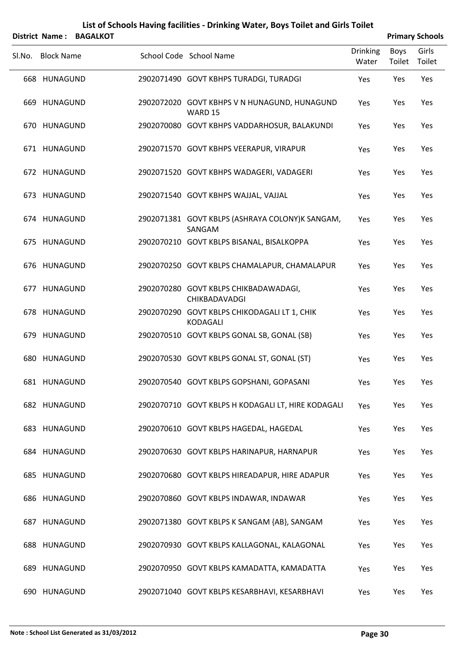|        |                   | District Name: BAGALKOT |                                                                 |                          |                | <b>Primary Schools</b> |
|--------|-------------------|-------------------------|-----------------------------------------------------------------|--------------------------|----------------|------------------------|
| Sl.No. | <b>Block Name</b> |                         | School Code School Name                                         | <b>Drinking</b><br>Water | Boys<br>Toilet | Girls<br>Toilet        |
|        | 668 HUNAGUND      |                         | 2902071490 GOVT KBHPS TURADGI, TURADGI                          | Yes                      | Yes            | Yes                    |
|        | 669 HUNAGUND      |                         | 2902072020 GOVT KBHPS V N HUNAGUND, HUNAGUND<br>WARD 15         | Yes                      | Yes            | Yes                    |
|        | 670 HUNAGUND      |                         | 2902070080 GOVT KBHPS VADDARHOSUR, BALAKUNDI                    | Yes                      | Yes            | Yes                    |
|        | 671 HUNAGUND      |                         | 2902071570 GOVT KBHPS VEERAPUR, VIRAPUR                         | Yes                      | Yes            | Yes                    |
|        | 672 HUNAGUND      |                         | 2902071520 GOVT KBHPS WADAGERI, VADAGERI                        | Yes                      | Yes            | Yes                    |
|        | 673 HUNAGUND      |                         | 2902071540 GOVT KBHPS WAJJAL, VAJJAL                            | Yes                      | Yes            | Yes                    |
|        | 674 HUNAGUND      |                         | 2902071381 GOVT KBLPS (ASHRAYA COLONY)K SANGAM,<br>SANGAM       | Yes                      | Yes            | Yes                    |
|        | 675 HUNAGUND      |                         | 2902070210 GOVT KBLPS BISANAL, BISALKOPPA                       | Yes                      | Yes            | Yes                    |
|        | 676 HUNAGUND      |                         | 2902070250 GOVT KBLPS CHAMALAPUR, CHAMALAPUR                    | Yes                      | Yes            | Yes                    |
|        | 677 HUNAGUND      |                         | 2902070280 GOVT KBLPS CHIKBADAWADAGI,<br>CHIKBADAVADGI          | Yes                      | Yes            | Yes                    |
|        | 678 HUNAGUND      |                         | 2902070290 GOVT KBLPS CHIKODAGALI LT 1, CHIK<br><b>KODAGALI</b> | Yes                      | Yes            | Yes                    |
|        | 679 HUNAGUND      |                         | 2902070510 GOVT KBLPS GONAL SB, GONAL (SB)                      | Yes                      | Yes            | Yes                    |
|        | 680 HUNAGUND      |                         | 2902070530 GOVT KBLPS GONAL ST, GONAL (ST)                      | Yes                      | Yes            | Yes                    |
|        | 681 HUNAGUND      |                         | 2902070540 GOVT KBLPS GOPSHANI, GOPASANI                        | Yes                      | Yes            | Yes                    |
|        | 682 HUNAGUND      |                         | 2902070710 GOVT KBLPS H KODAGALI LT, HIRE KODAGALI              | Yes                      | Yes            | Yes                    |
|        | 683 HUNAGUND      |                         | 2902070610 GOVT KBLPS HAGEDAL, HAGEDAL                          | Yes                      | Yes            | Yes                    |
|        | 684 HUNAGUND      |                         | 2902070630 GOVT KBLPS HARINAPUR, HARNAPUR                       | Yes                      | Yes            | Yes                    |
|        | 685 HUNAGUND      |                         | 2902070680 GOVT KBLPS HIREADAPUR, HIRE ADAPUR                   | Yes                      | Yes            | Yes                    |
|        | 686 HUNAGUND      |                         | 2902070860 GOVT KBLPS INDAWAR, INDAWAR                          | Yes                      | Yes            | Yes                    |
|        | 687 HUNAGUND      |                         | 2902071380 GOVT KBLPS K SANGAM {AB}, SANGAM                     | Yes                      | Yes            | Yes                    |
|        | 688 HUNAGUND      |                         | 2902070930 GOVT KBLPS KALLAGONAL, KALAGONAL                     | Yes                      | Yes            | Yes                    |
|        | 689 HUNAGUND      |                         | 2902070950 GOVT KBLPS KAMADATTA, KAMADATTA                      | Yes                      | Yes            | Yes                    |

690 HUNAGUND 2902071040 GOVT KBLPS KESARBHAVI, KESARBHAVI Yes Yes Yes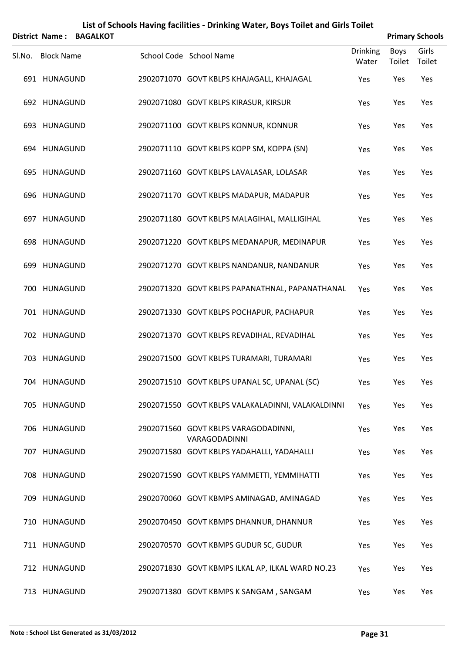|        | <b>District Name:</b> | <b>BAGALKOT</b> | List of Schools Having facilities - Drinking Water, Boys Toilet and Girls Toilet |                          |                       | <b>Primary Schools</b> |
|--------|-----------------------|-----------------|----------------------------------------------------------------------------------|--------------------------|-----------------------|------------------------|
| SI.No. | <b>Block Name</b>     |                 | School Code School Name                                                          | <b>Drinking</b><br>Water | <b>Boys</b><br>Toilet | Girls<br>Toilet        |
|        | 691 HUNAGUND          |                 | 2902071070 GOVT KBLPS KHAJAGALL, KHAJAGAL                                        | Yes                      | Yes                   | Yes                    |
|        | 692 HUNAGUND          |                 | 2902071080 GOVT KBLPS KIRASUR, KIRSUR                                            | Yes                      | Yes                   | Yes                    |
|        | 693 HUNAGUND          |                 | 2902071100 GOVT KBLPS KONNUR, KONNUR                                             | Yes                      | Yes                   | Yes                    |
|        | 694 HUNAGUND          |                 | 2902071110 GOVT KBLPS KOPP SM, KOPPA (SN)                                        | Yes                      | Yes                   | Yes                    |
|        | 695 HUNAGUND          |                 | 2902071160 GOVT KBLPS LAVALASAR, LOLASAR                                         | Yes                      | Yes                   | Yes                    |
|        | 696 HUNAGUND          |                 | 2902071170 GOVT KBLPS MADAPUR, MADAPUR                                           | Yes                      | Yes                   | Yes                    |
|        | 697 HUNAGUND          |                 | 2902071180 GOVT KBLPS MALAGIHAL, MALLIGIHAL                                      | Yes                      | Yes                   | Yes                    |
|        | 698 HUNAGUND          |                 | 2902071220 GOVT KBLPS MEDANAPUR, MEDINAPUR                                       | Yes                      | Yes                   | Yes                    |
|        | 699 HUNAGUND          |                 | 2902071270 GOVT KBLPS NANDANUR, NANDANUR                                         | Yes                      | Yes                   | Yes                    |
|        | 700 HUNAGUND          |                 | 2902071320 GOVT KBLPS PAPANATHNAL, PAPANATHANAL                                  | Yes                      | Yes                   | Yes                    |
|        | 701 HUNAGUND          |                 | 2902071330 GOVT KBLPS POCHAPUR, PACHAPUR                                         | Yes                      | Yes                   | Yes                    |
|        | 702 HUNAGUND          |                 | 2902071370 GOVT KBLPS REVADIHAL, REVADIHAL                                       | Yes                      | Yes                   | Yes                    |
|        | 703 HUNAGUND          |                 | 2902071500 GOVT KBLPS TURAMARI, TURAMARI                                         | Yes                      | Yes                   | Yes                    |
|        | 704 HUNAGUND          |                 | 2902071510 GOVT KBLPS UPANAL SC, UPANAL (SC)                                     | Yes                      | Yes                   | Yes                    |
|        | 705 HUNAGUND          |                 | 2902071550 GOVT KBLPS VALAKALADINNI, VALAKALDINNI                                | Yes                      | Yes                   | Yes                    |
|        | 706 HUNAGUND          |                 | 2902071560 GOVT KBLPS VARAGODADINNI,<br>VARAGODADINNI                            | Yes                      | Yes                   | Yes                    |
|        | 707 HUNAGUND          |                 | 2902071580 GOVT KBLPS YADAHALLI, YADAHALLI                                       | Yes                      | Yes                   | Yes                    |
|        | 708 HUNAGUND          |                 | 2902071590 GOVT KBLPS YAMMETTI, YEMMIHATTI                                       | Yes                      | Yes                   | Yes                    |
|        | 709 HUNAGUND          |                 | 2902070060 GOVT KBMPS AMINAGAD, AMINAGAD                                         | Yes                      | Yes                   | Yes                    |
|        | 710 HUNAGUND          |                 | 2902070450 GOVT KBMPS DHANNUR, DHANNUR                                           | Yes                      | Yes                   | Yes                    |
|        | 711 HUNAGUND          |                 | 2902070570 GOVT KBMPS GUDUR SC, GUDUR                                            | Yes                      | Yes                   | Yes                    |
|        | 712 HUNAGUND          |                 | 2902071830 GOVT KBMPS ILKAL AP, ILKAL WARD NO.23                                 | Yes                      | Yes                   | Yes                    |
|        | 713 HUNAGUND          |                 | 2902071380 GOVT KBMPS K SANGAM, SANGAM                                           | Yes                      | Yes                   | Yes                    |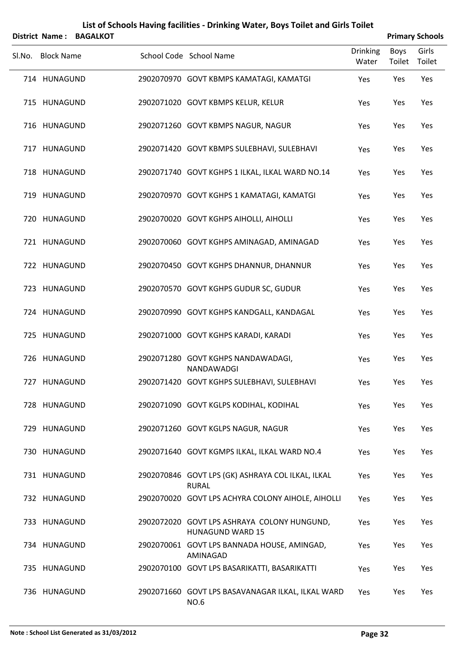|        | <b>District Name:</b> | <b>BAGALKOT</b> | List of Schools Having facilities - Drinking Water, Boys Toilet and Girls Toilet |                          |                | <b>Primary Schools</b> |
|--------|-----------------------|-----------------|----------------------------------------------------------------------------------|--------------------------|----------------|------------------------|
| Sl.No. | <b>Block Name</b>     |                 | School Code School Name                                                          | <b>Drinking</b><br>Water | Boys<br>Toilet | Girls<br>Toilet        |
|        | 714 HUNAGUND          |                 | 2902070970 GOVT KBMPS KAMATAGI, KAMATGI                                          | Yes                      | Yes            | Yes                    |
|        | 715 HUNAGUND          |                 | 2902071020 GOVT KBMPS KELUR, KELUR                                               | Yes                      | Yes            | Yes                    |
|        | 716 HUNAGUND          |                 | 2902071260 GOVT KBMPS NAGUR, NAGUR                                               | Yes                      | Yes            | Yes                    |
|        | 717 HUNAGUND          |                 | 2902071420 GOVT KBMPS SULEBHAVI, SULEBHAVI                                       | Yes                      | Yes            | Yes                    |
|        | 718 HUNAGUND          |                 | 2902071740 GOVT KGHPS 1 ILKAL, ILKAL WARD NO.14                                  | Yes                      | Yes            | Yes                    |
|        | 719 HUNAGUND          |                 | 2902070970 GOVT KGHPS 1 KAMATAGI, KAMATGI                                        | Yes                      | Yes            | Yes                    |
|        | 720 HUNAGUND          |                 | 2902070020 GOVT KGHPS AIHOLLI, AIHOLLI                                           | Yes                      | Yes            | Yes                    |
|        | 721 HUNAGUND          |                 | 2902070060 GOVT KGHPS AMINAGAD, AMINAGAD                                         | Yes                      | Yes            | Yes                    |
|        | 722 HUNAGUND          |                 | 2902070450 GOVT KGHPS DHANNUR, DHANNUR                                           | Yes                      | Yes            | Yes                    |
|        | 723 HUNAGUND          |                 | 2902070570 GOVT KGHPS GUDUR SC, GUDUR                                            | Yes                      | Yes            | Yes                    |
|        | 724 HUNAGUND          |                 | 2902070990 GOVT KGHPS KANDGALL, KANDAGAL                                         | Yes                      | Yes            | Yes                    |
|        | 725 HUNAGUND          |                 | 2902071000 GOVT KGHPS KARADI, KARADI                                             | Yes                      | Yes            | Yes                    |
|        | 726 HUNAGUND          |                 | 2902071280 GOVT KGHPS NANDAWADAGI,<br>NANDAWADGI                                 | Yes                      | Yes            | Yes                    |
|        | 727 HUNAGUND          |                 | 2902071420 GOVT KGHPS SULEBHAVI, SULEBHAVI                                       | Yes                      | Yes            | Yes                    |
|        | 728 HUNAGUND          |                 | 2902071090 GOVT KGLPS KODIHAL, KODIHAL                                           | Yes                      | Yes            | Yes                    |
|        | 729 HUNAGUND          |                 | 2902071260 GOVT KGLPS NAGUR, NAGUR                                               | Yes                      | Yes            | Yes                    |
|        | 730 HUNAGUND          |                 | 2902071640 GOVT KGMPS ILKAL, ILKAL WARD NO.4                                     | Yes                      | Yes            | Yes                    |
|        | 731 HUNAGUND          |                 | 2902070846 GOVT LPS (GK) ASHRAYA COL ILKAL, ILKAL<br><b>RURAL</b>                | Yes                      | Yes            | Yes                    |
|        | 732 HUNAGUND          |                 | 2902070020 GOVT LPS ACHYRA COLONY AIHOLE, AIHOLLI                                | Yes                      | Yes            | Yes                    |
|        | 733 HUNAGUND          |                 | 2902072020 GOVT LPS ASHRAYA COLONY HUNGUND,<br><b>HUNAGUND WARD 15</b>           | Yes                      | Yes            | Yes                    |
|        | 734 HUNAGUND          |                 | 2902070061 GOVT LPS BANNADA HOUSE, AMINGAD,<br>AMINAGAD                          | Yes                      | Yes            | Yes                    |
|        | 735 HUNAGUND          |                 | 2902070100 GOVT LPS BASARIKATTI, BASARIKATTI                                     | Yes                      | Yes            | Yes                    |
|        | 736 HUNAGUND          |                 | 2902071660 GOVT LPS BASAVANAGAR ILKAL, ILKAL WARD<br><b>NO.6</b>                 | Yes                      | Yes            | Yes                    |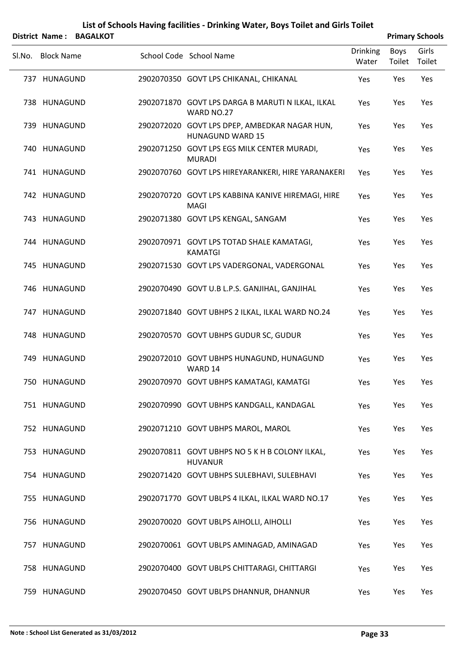|        |                   | District Name: BAGALKOT |                                                                          |                          |                | <b>Primary Schools</b> |
|--------|-------------------|-------------------------|--------------------------------------------------------------------------|--------------------------|----------------|------------------------|
| SI.No. | <b>Block Name</b> |                         | School Code School Name                                                  | <b>Drinking</b><br>Water | Boys<br>Toilet | Girls<br>Toilet        |
|        | 737 HUNAGUND      |                         | 2902070350 GOVT LPS CHIKANAL, CHIKANAL                                   | Yes                      | Yes            | Yes                    |
|        | 738 HUNAGUND      |                         | 2902071870 GOVT LPS DARGA B MARUTI N ILKAL, ILKAL<br>WARD NO.27          | Yes                      | Yes            | Yes                    |
|        | 739 HUNAGUND      |                         | 2902072020 GOVT LPS DPEP, AMBEDKAR NAGAR HUN,<br><b>HUNAGUND WARD 15</b> | Yes                      | Yes            | Yes                    |
|        | 740 HUNAGUND      |                         | 2902071250 GOVT LPS EGS MILK CENTER MURADI,<br><b>MURADI</b>             | Yes                      | Yes            | Yes                    |
|        | 741 HUNAGUND      |                         | 2902070760 GOVT LPS HIREYARANKERI, HIRE YARANAKERI                       | Yes                      | Yes            | Yes                    |
|        | 742 HUNAGUND      |                         | 2902070720 GOVT LPS KABBINA KANIVE HIREMAGI, HIRE<br>MAGI                | Yes                      | Yes            | Yes                    |
|        | 743 HUNAGUND      |                         | 2902071380 GOVT LPS KENGAL, SANGAM                                       | Yes                      | Yes            | Yes                    |
|        | 744 HUNAGUND      |                         | 2902070971 GOVT LPS TOTAD SHALE KAMATAGI,<br><b>KAMATGI</b>              | Yes                      | Yes            | Yes                    |
|        | 745 HUNAGUND      |                         | 2902071530 GOVT LPS VADERGONAL, VADERGONAL                               | Yes                      | Yes            | Yes                    |
|        | 746 HUNAGUND      |                         | 2902070490 GOVT U.B L.P.S. GANJIHAL, GANJIHAL                            | Yes                      | Yes            | Yes                    |
|        | 747 HUNAGUND      |                         | 2902071840 GOVT UBHPS 2 ILKAL, ILKAL WARD NO.24                          | Yes                      | Yes            | Yes                    |
|        | 748 HUNAGUND      |                         | 2902070570 GOVT UBHPS GUDUR SC, GUDUR                                    | Yes                      | Yes            | Yes                    |
|        | 749 HUNAGUND      |                         | 2902072010 GOVT UBHPS HUNAGUND, HUNAGUND<br>WARD 14                      | Yes                      | Yes            | Yes                    |
|        | 750 HUNAGUND      |                         | 2902070970 GOVT UBHPS KAMATAGI, KAMATGI                                  | Yes                      | Yes            | Yes                    |
|        | 751 HUNAGUND      |                         | 2902070990 GOVT UBHPS KANDGALL, KANDAGAL                                 | Yes                      | Yes            | Yes                    |
|        | 752 HUNAGUND      |                         | 2902071210 GOVT UBHPS MAROL, MAROL                                       | Yes                      | Yes            | Yes                    |
|        | 753 HUNAGUND      |                         | 2902070811 GOVT UBHPS NO 5 K H B COLONY ILKAL,<br><b>HUVANUR</b>         | Yes                      | Yes            | Yes                    |
|        | 754 HUNAGUND      |                         | 2902071420 GOVT UBHPS SULEBHAVI, SULEBHAVI                               | Yes                      | Yes            | Yes                    |
|        | 755 HUNAGUND      |                         | 2902071770 GOVT UBLPS 4 ILKAL, ILKAL WARD NO.17                          | Yes                      | Yes            | Yes                    |
|        | 756 HUNAGUND      |                         | 2902070020 GOVT UBLPS AIHOLLI, AIHOLLI                                   | Yes                      | Yes            | Yes                    |
|        | 757 HUNAGUND      |                         | 2902070061 GOVT UBLPS AMINAGAD, AMINAGAD                                 | Yes                      | Yes            | Yes                    |
|        | 758 HUNAGUND      |                         | 2902070400 GOVT UBLPS CHITTARAGI, CHITTARGI                              | Yes                      | Yes            | Yes                    |
|        | 759 HUNAGUND      |                         | 2902070450 GOVT UBLPS DHANNUR, DHANNUR                                   | Yes                      | Yes            | Yes                    |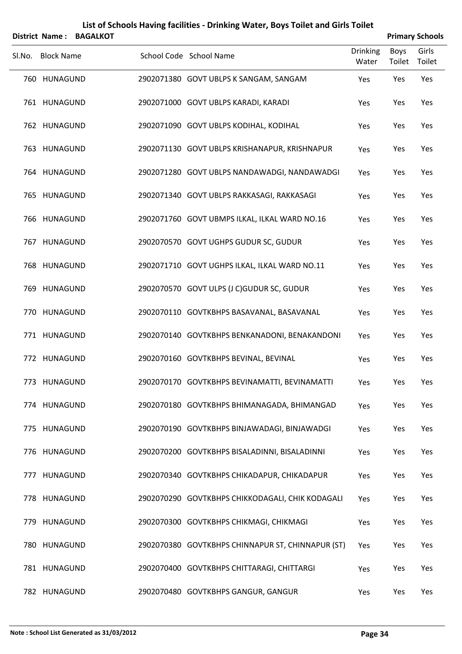|        | <b>District Name:</b> | <b>BAGALKOT</b> |                                                   |                          | <b>Primary Schools</b> |                 |
|--------|-----------------------|-----------------|---------------------------------------------------|--------------------------|------------------------|-----------------|
| SI.No. | <b>Block Name</b>     |                 | School Code School Name                           | <b>Drinking</b><br>Water | <b>Boys</b><br>Toilet  | Girls<br>Toilet |
|        | 760 HUNAGUND          |                 | 2902071380 GOVT UBLPS K SANGAM, SANGAM            | Yes                      | Yes                    | Yes             |
|        | 761 HUNAGUND          |                 | 2902071000 GOVT UBLPS KARADI, KARADI              | Yes                      | Yes                    | Yes             |
|        | 762 HUNAGUND          |                 | 2902071090 GOVT UBLPS KODIHAL, KODIHAL            | Yes                      | Yes                    | Yes             |
|        | 763 HUNAGUND          |                 | 2902071130 GOVT UBLPS KRISHANAPUR, KRISHNAPUR     | Yes                      | Yes                    | Yes             |
|        | 764 HUNAGUND          |                 | 2902071280 GOVT UBLPS NANDAWADGI, NANDAWADGI      | Yes                      | Yes                    | Yes             |
|        | 765 HUNAGUND          |                 | 2902071340 GOVT UBLPS RAKKASAGI, RAKKASAGI        | Yes                      | Yes                    | Yes             |
|        | 766 HUNAGUND          |                 | 2902071760 GOVT UBMPS ILKAL, ILKAL WARD NO.16     | Yes                      | Yes                    | Yes             |
|        | 767 HUNAGUND          |                 | 2902070570 GOVT UGHPS GUDUR SC, GUDUR             | Yes                      | Yes                    | Yes             |
|        | 768 HUNAGUND          |                 | 2902071710 GOVT UGHPS ILKAL, ILKAL WARD NO.11     | Yes                      | Yes                    | Yes             |
|        | 769 HUNAGUND          |                 | 2902070570 GOVT ULPS (J C)GUDUR SC, GUDUR         | Yes                      | Yes                    | Yes             |
|        | 770 HUNAGUND          |                 | 2902070110 GOVTKBHPS BASAVANAL, BASAVANAL         | Yes                      | Yes                    | Yes             |
|        | 771 HUNAGUND          |                 | 2902070140 GOVTKBHPS BENKANADONI, BENAKANDONI     | Yes                      | Yes                    | Yes             |
|        | 772 HUNAGUND          |                 | 2902070160 GOVTKBHPS BEVINAL, BEVINAL             | Yes                      | Yes                    | Yes             |
|        | 773 HUNAGUND          |                 | 2902070170 GOVTKBHPS BEVINAMATTI, BEVINAMATTI     | Yes                      | Yes                    | Yes             |
|        | 774 HUNAGUND          |                 | 2902070180 GOVTKBHPS BHIMANAGADA, BHIMANGAD       | Yes                      | Yes                    | Yes             |
|        | 775 HUNAGUND          |                 | 2902070190 GOVTKBHPS BINJAWADAGI, BINJAWADGI      | Yes                      | Yes                    | Yes             |
|        | 776 HUNAGUND          |                 | 2902070200 GOVTKBHPS BISALADINNI, BISALADINNI     | Yes                      | Yes                    | Yes             |
|        | 777 HUNAGUND          |                 | 2902070340 GOVTKBHPS CHIKADAPUR, CHIKADAPUR       | Yes                      | Yes                    | Yes             |
|        | 778 HUNAGUND          |                 | 2902070290 GOVTKBHPS CHIKKODAGALI, CHIK KODAGALI  | Yes                      | Yes                    | Yes             |
|        | 779 HUNAGUND          |                 | 2902070300 GOVTKBHPS CHIKMAGI, CHIKMAGI           | Yes                      | Yes                    | Yes             |
|        | 780 HUNAGUND          |                 | 2902070380 GOVTKBHPS CHINNAPUR ST, CHINNAPUR (ST) | Yes                      | Yes                    | Yes             |
|        | 781 HUNAGUND          |                 | 2902070400 GOVTKBHPS CHITTARAGI, CHITTARGI        | Yes                      | Yes                    | Yes             |
|        | 782 HUNAGUND          |                 | 2902070480 GOVTKBHPS GANGUR, GANGUR               | Yes                      | Yes                    | Yes             |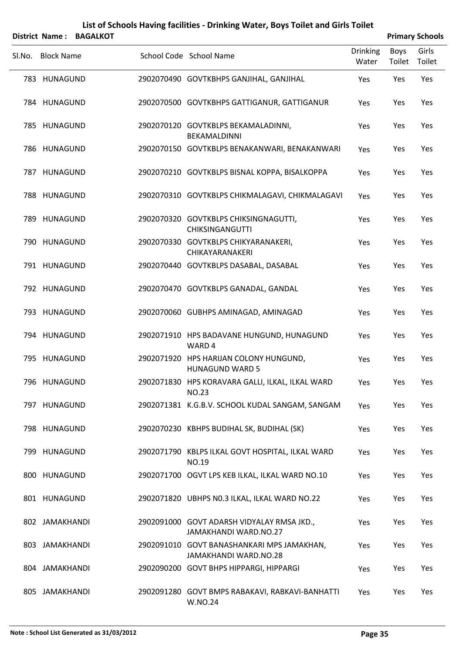|        | District Name:    | <b>BAGALKOT</b> |                                                                            |                          |                | <b>Primary Schools</b> |
|--------|-------------------|-----------------|----------------------------------------------------------------------------|--------------------------|----------------|------------------------|
| SI.No. | <b>Block Name</b> |                 | School Code School Name                                                    | <b>Drinking</b><br>Water | Boys<br>Toilet | Girls<br>Toilet        |
|        | 783 HUNAGUND      |                 | 2902070490 GOVTKBHPS GANJIHAL, GANJIHAL                                    | Yes                      | Yes            | Yes                    |
|        | 784 HUNAGUND      |                 | 2902070500 GOVTKBHPS GATTIGANUR, GATTIGANUR                                | Yes                      | Yes            | Yes                    |
|        | 785 HUNAGUND      |                 | 2902070120 GOVTKBLPS BEKAMALADINNI,<br>BEKAMALDINNI                        | Yes                      | Yes            | Yes                    |
|        | 786 HUNAGUND      |                 | 2902070150 GOVTKBLPS BENAKANWARI, BENAKANWARI                              | Yes                      | Yes            | Yes                    |
|        | 787 HUNAGUND      |                 | 2902070210 GOVTKBLPS BISNAL KOPPA, BISALKOPPA                              | Yes                      | Yes            | Yes                    |
|        | 788 HUNAGUND      |                 | 2902070310 GOVTKBLPS CHIKMALAGAVI, CHIKMALAGAVI                            | Yes                      | Yes            | Yes                    |
|        | 789 HUNAGUND      |                 | 2902070320 GOVTKBLPS CHIKSINGNAGUTTI,<br><b>CHIKSINGANGUTTI</b>            | Yes                      | Yes            | Yes                    |
|        | 790 HUNAGUND      |                 | 2902070330 GOVTKBLPS CHIKYARANAKERI,<br>CHIKAYARANAKERI                    | Yes                      | Yes            | Yes                    |
|        | 791 HUNAGUND      |                 | 2902070440 GOVTKBLPS DASABAL, DASABAL                                      | Yes                      | Yes            | Yes                    |
|        | 792 HUNAGUND      |                 | 2902070470 GOVTKBLPS GANADAL, GANDAL                                       | Yes                      | Yes            | Yes                    |
|        | 793 HUNAGUND      |                 | 2902070060 GUBHPS AMINAGAD, AMINAGAD                                       | Yes                      | Yes            | Yes                    |
|        | 794 HUNAGUND      |                 | 2902071910 HPS BADAVANE HUNGUND, HUNAGUND<br>WARD 4                        | Yes                      | Yes            | Yes                    |
|        | 795 HUNAGUND      |                 | 2902071920 HPS HARIJAN COLONY HUNGUND,<br><b>HUNAGUND WARD 5</b>           | Yes                      | Yes            | Yes                    |
|        | 796 HUNAGUND      |                 | 2902071830 HPS KORAVARA GALLI, ILKAL, ILKAL WARD<br><b>NO.23</b>           | Yes                      | Yes            | Yes                    |
|        | 797 HUNAGUND      |                 | 2902071381 K.G.B.V. SCHOOL KUDAL SANGAM, SANGAM                            | Yes                      | Yes            | Yes                    |
|        | 798 HUNAGUND      |                 | 2902070230 KBHPS BUDIHAL SK, BUDIHAL (SK)                                  | Yes                      | Yes            | Yes                    |
|        | 799 HUNAGUND      |                 | 2902071790 KBLPS ILKAL GOVT HOSPITAL, ILKAL WARD<br>NO.19                  | Yes                      | Yes            | Yes                    |
|        | 800 HUNAGUND      |                 | 2902071700 OGVT LPS KEB ILKAL, ILKAL WARD NO.10                            | Yes                      | Yes            | Yes                    |
|        | 801 HUNAGUND      |                 | 2902071820 UBHPS NO.3 ILKAL, ILKAL WARD NO.22                              | Yes                      | Yes            | Yes                    |
|        | 802 JAMAKHANDI    |                 | 2902091000 GOVT ADARSH VIDYALAY RMSA JKD.,<br><b>JAMAKHANDI WARD.NO.27</b> | Yes                      | Yes            | Yes                    |
|        | 803 JAMAKHANDI    |                 | 2902091010 GOVT BANASHANKARI MPS JAMAKHAN,<br>JAMAKHANDI WARD.NO.28        | Yes                      | Yes            | Yes                    |
|        | 804 JAMAKHANDI    |                 | 2902090200 GOVT BHPS HIPPARGI, HIPPARGI                                    | Yes                      | Yes            | Yes                    |
|        | 805 JAMAKHANDI    |                 | 2902091280 GOVT BMPS RABAKAVI, RABKAVI-BANHATTI<br>W.NO.24                 | Yes                      | Yes            | Yes                    |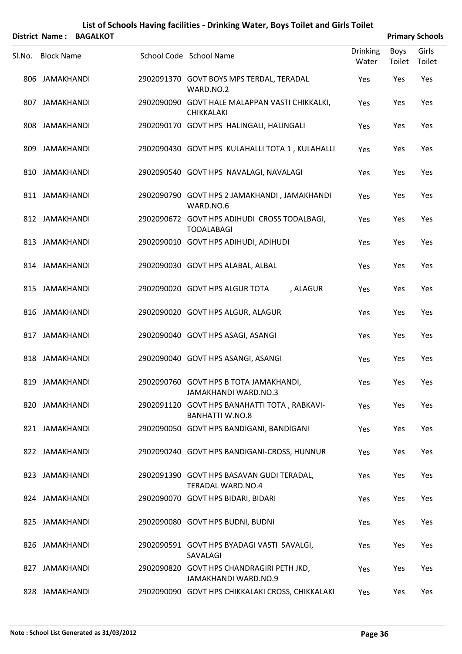|        |                   | District Name: BAGALKOT |                                                                          |                          |                | <b>Primary Schools</b> |
|--------|-------------------|-------------------------|--------------------------------------------------------------------------|--------------------------|----------------|------------------------|
| SI.No. | <b>Block Name</b> |                         | School Code School Name                                                  | <b>Drinking</b><br>Water | Boys<br>Toilet | Girls<br>Toilet        |
|        | 806 JAMAKHANDI    |                         | 2902091370 GOVT BOYS MPS TERDAL, TERADAL<br>WARD.NO.2                    | Yes                      | Yes            | Yes                    |
|        | 807 JAMAKHANDI    |                         | 2902090090 GOVT HALE MALAPPAN VASTI CHIKKALKI,<br><b>CHIKKALAKI</b>      | Yes                      | Yes            | Yes                    |
|        | 808 JAMAKHANDI    |                         | 2902090170 GOVT HPS HALINGALI, HALINGALI                                 | Yes                      | Yes            | Yes                    |
|        | 809 JAMAKHANDI    |                         | 2902090430 GOVT HPS KULAHALLI TOTA 1, KULAHALLI                          | Yes                      | Yes            | Yes                    |
|        | 810 JAMAKHANDI    |                         | 2902090540 GOVT HPS NAVALAGI, NAVALAGI                                   | Yes                      | Yes            | Yes                    |
|        | 811 JAMAKHANDI    |                         | 2902090790 GOVT HPS 2 JAMAKHANDI, JAMAKHANDI<br>WARD.NO.6                | Yes                      | Yes            | Yes                    |
|        | 812 JAMAKHANDI    |                         | 2902090672 GOVT HPS ADIHUDI CROSS TODALBAGI,<br><b>TODALABAGI</b>        | Yes                      | Yes            | Yes                    |
|        | 813 JAMAKHANDI    |                         | 2902090010 GOVT HPS ADIHUDI, ADIHUDI                                     | Yes                      | Yes            | Yes                    |
|        | 814 JAMAKHANDI    |                         | 2902090030 GOVT HPS ALABAL, ALBAL                                        | Yes                      | Yes            | Yes                    |
|        | 815 JAMAKHANDI    |                         | 2902090020 GOVT HPS ALGUR TOTA<br>, ALAGUR                               | Yes                      | Yes            | Yes                    |
|        | 816 JAMAKHANDI    |                         | 2902090020 GOVT HPS ALGUR, ALAGUR                                        | Yes                      | Yes            | Yes                    |
|        | 817 JAMAKHANDI    |                         | 2902090040 GOVT HPS ASAGI, ASANGI                                        | Yes                      | Yes            | Yes                    |
|        | 818 JAMAKHANDI    |                         | 2902090040 GOVT HPS ASANGI, ASANGI                                       | Yes                      | Yes            | Yes                    |
|        | 819 JAMAKHANDI    |                         | 2902090760 GOVT HPS B TOTA JAMAKHANDI,<br><b>JAMAKHANDI WARD.NO.3</b>    | Yes                      | Yes            | Yes                    |
|        | 820 JAMAKHANDI    |                         | 2902091120 GOVT HPS BANAHATTI TOTA, RABKAVI-<br><b>BANHATTI W.NO.8</b>   | Yes                      | Yes            | Yes                    |
|        | 821 JAMAKHANDI    |                         | 2902090050 GOVT HPS BANDIGANI, BANDIGANI                                 | Yes                      | Yes            | Yes                    |
|        | 822 JAMAKHANDI    |                         | 2902090240 GOVT HPS BANDIGANI-CROSS, HUNNUR                              | Yes                      | Yes            | Yes                    |
|        | 823 JAMAKHANDI    |                         | 2902091390 GOVT HPS BASAVAN GUDI TERADAL,<br><b>TERADAL WARD.NO.4</b>    | Yes                      | Yes            | Yes                    |
|        | 824 JAMAKHANDI    |                         | 2902090070 GOVT HPS BIDARI, BIDARI                                       | Yes                      | Yes            | Yes                    |
|        | 825 JAMAKHANDI    |                         | 2902090080 GOVT HPS BUDNI, BUDNI                                         | Yes                      | Yes            | Yes                    |
|        | 826 JAMAKHANDI    |                         | 2902090591 GOVT HPS BYADAGI VASTI SAVALGI,<br>SAVALAGI                   | Yes                      | Yes            | Yes                    |
|        | 827 JAMAKHANDI    |                         | 2902090820 GOVT HPS CHANDRAGIRI PETH JKD,<br><b>JAMAKHANDI WARD.NO.9</b> | Yes                      | Yes            | Yes                    |
|        | 828 JAMAKHANDI    |                         | 2902090090 GOVT HPS CHIKKALAKI CROSS, CHIKKALAKI                         | Yes                      | Yes            | Yes                    |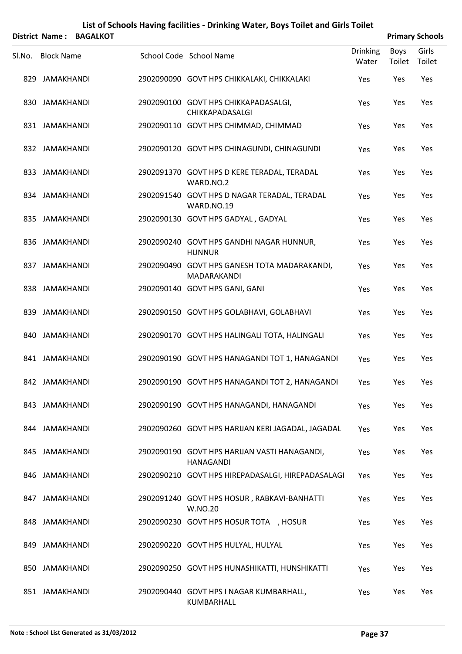|        |                   | District Name: BAGALKOT |                                                                  |                          |                | <b>Primary Schools</b> |
|--------|-------------------|-------------------------|------------------------------------------------------------------|--------------------------|----------------|------------------------|
| Sl.No. | <b>Block Name</b> |                         | School Code School Name                                          | <b>Drinking</b><br>Water | Boys<br>Toilet | Girls<br>Toilet        |
|        | 829 JAMAKHANDI    |                         | 2902090090 GOVT HPS CHIKKALAKI, CHIKKALAKI                       | Yes                      | Yes            | Yes                    |
|        | 830 JAMAKHANDI    |                         | 2902090100 GOVT HPS CHIKKAPADASALGI,<br>CHIKKAPADASALGI          | Yes                      | Yes            | Yes                    |
|        | 831 JAMAKHANDI    |                         | 2902090110 GOVT HPS CHIMMAD, CHIMMAD                             | Yes                      | Yes            | Yes                    |
|        | 832 JAMAKHANDI    |                         | 2902090120 GOVT HPS CHINAGUNDI, CHINAGUNDI                       | Yes                      | Yes            | Yes                    |
|        | 833 JAMAKHANDI    |                         | 2902091370 GOVT HPS D KERE TERADAL, TERADAL<br>WARD.NO.2         | Yes                      | Yes            | Yes                    |
|        | 834 JAMAKHANDI    |                         | 2902091540 GOVT HPS D NAGAR TERADAL, TERADAL<br>WARD.NO.19       | Yes                      | Yes            | Yes                    |
|        | 835 JAMAKHANDI    |                         | 2902090130 GOVT HPS GADYAL, GADYAL                               | Yes                      | Yes            | Yes                    |
|        | 836 JAMAKHANDI    |                         | 2902090240 GOVT HPS GANDHI NAGAR HUNNUR,<br><b>HUNNUR</b>        | Yes                      | Yes            | Yes                    |
|        | 837 JAMAKHANDI    |                         | 2902090490 GOVT HPS GANESH TOTA MADARAKANDI,<br>MADARAKANDI      | Yes                      | Yes            | Yes                    |
|        | 838 JAMAKHANDI    |                         | 2902090140 GOVT HPS GANI, GANI                                   | Yes                      | Yes            | Yes                    |
|        | 839 JAMAKHANDI    |                         | 2902090150 GOVT HPS GOLABHAVI, GOLABHAVI                         | Yes                      | Yes            | Yes                    |
|        | 840 JAMAKHANDI    |                         | 2902090170 GOVT HPS HALINGALI TOTA, HALINGALI                    | Yes                      | Yes            | Yes                    |
|        | 841 JAMAKHANDI    |                         | 2902090190 GOVT HPS HANAGANDI TOT 1, HANAGANDI                   | Yes                      | Yes            | Yes                    |
|        | 842 JAMAKHANDI    |                         | 2902090190 GOVT HPS HANAGANDI TOT 2, HANAGANDI                   | Yes                      | Yes            | Yes                    |
|        | 843 JAMAKHANDI    |                         | 2902090190 GOVT HPS HANAGANDI, HANAGANDI                         | Yes                      | Yes            | Yes                    |
|        | 844 JAMAKHANDI    |                         | 2902090260 GOVT HPS HARIJAN KERI JAGADAL, JAGADAL                | Yes                      | Yes            | Yes                    |
|        | 845 JAMAKHANDI    |                         | 2902090190 GOVT HPS HARIJAN VASTI HANAGANDI,<br><b>HANAGANDI</b> | Yes                      | Yes            | Yes                    |
|        | 846 JAMAKHANDI    |                         | 2902090210 GOVT HPS HIREPADASALGI, HIREPADASALAGI                | Yes                      | Yes            | Yes                    |
|        | 847 JAMAKHANDI    |                         | 2902091240 GOVT HPS HOSUR, RABKAVI-BANHATTI<br>W.NO.20           | Yes                      | Yes            | Yes                    |
|        | 848 JAMAKHANDI    |                         | 2902090230 GOVT HPS HOSUR TOTA , HOSUR                           | Yes                      | Yes            | Yes                    |
|        | 849 JAMAKHANDI    |                         | 2902090220 GOVT HPS HULYAL, HULYAL                               | Yes                      | Yes            | Yes                    |
|        | 850 JAMAKHANDI    |                         | 2902090250 GOVT HPS HUNASHIKATTI, HUNSHIKATTI                    | Yes                      | Yes            | Yes                    |
|        | 851 JAMAKHANDI    |                         | 2902090440 GOVT HPS I NAGAR KUMBARHALL,<br>KUMBARHALL            | Yes                      | Yes            | Yes                    |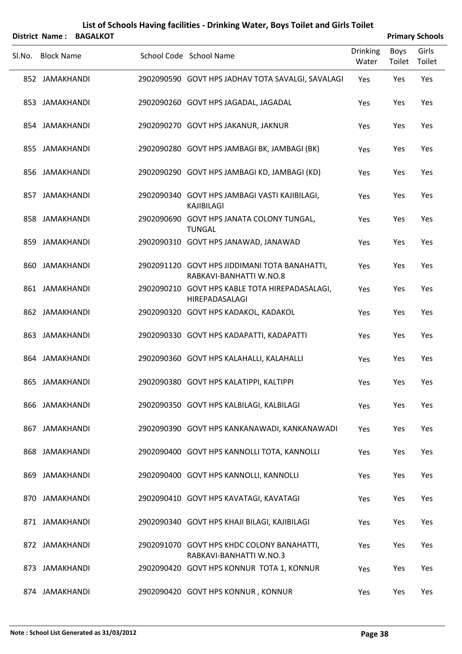|        |                   | District Name: BAGALKOT |                                                                          |                          |                | <b>Primary Schools</b> |
|--------|-------------------|-------------------------|--------------------------------------------------------------------------|--------------------------|----------------|------------------------|
| SI.No. | <b>Block Name</b> |                         | School Code School Name                                                  | <b>Drinking</b><br>Water | Boys<br>Toilet | Girls<br>Toilet        |
|        | 852 JAMAKHANDI    |                         | 2902090590 GOVT HPS JADHAV TOTA SAVALGI, SAVALAGI                        | Yes                      | Yes            | Yes                    |
|        | 853 JAMAKHANDI    |                         | 2902090260 GOVT HPS JAGADAL, JAGADAL                                     | Yes                      | Yes            | Yes                    |
|        | 854 JAMAKHANDI    |                         | 2902090270 GOVT HPS JAKANUR, JAKNUR                                      | Yes                      | Yes            | Yes                    |
|        | 855 JAMAKHANDI    |                         | 2902090280 GOVT HPS JAMBAGI BK, JAMBAGI (BK)                             | Yes                      | Yes            | Yes                    |
|        | 856 JAMAKHANDI    |                         | 2902090290 GOVT HPS JAMBAGI KD, JAMBAGI (KD)                             | Yes                      | Yes            | Yes                    |
|        | 857 JAMAKHANDI    |                         | 2902090340 GOVT HPS JAMBAGI VASTI KAJIBILAGI,<br><b>KAJIBILAGI</b>       | Yes                      | Yes            | Yes                    |
|        | 858 JAMAKHANDI    |                         | 2902090690 GOVT HPS JANATA COLONY TUNGAL,<br><b>TUNGAL</b>               | Yes                      | Yes            | Yes                    |
|        | 859 JAMAKHANDI    |                         | 2902090310 GOVT HPS JANAWAD, JANAWAD                                     | Yes                      | Yes            | Yes                    |
|        | 860 JAMAKHANDI    |                         | 2902091120 GOVT HPS JIDDIMANI TOTA BANAHATTI,<br>RABKAVI-BANHATTI W.NO.8 | Yes                      | Yes            | Yes                    |
|        | 861 JAMAKHANDI    |                         | 2902090210 GOVT HPS KABLE TOTA HIREPADASALAGI,<br>HIREPADASALAGI         | Yes                      | Yes            | Yes                    |
|        | 862 JAMAKHANDI    |                         | 2902090320 GOVT HPS KADAKOL, KADAKOL                                     | Yes                      | Yes            | Yes                    |
|        | 863 JAMAKHANDI    |                         | 2902090330 GOVT HPS KADAPATTI, KADAPATTI                                 | Yes                      | Yes            | Yes                    |
|        | 864 JAMAKHANDI    |                         | 2902090360 GOVT HPS KALAHALLI, KALAHALLI                                 | Yes                      | Yes            | Yes                    |
|        | 865 JAMAKHANDI    |                         | 2902090380 GOVT HPS KALATIPPI, KALTIPPI                                  | Yes                      | Yes            | Yes                    |
|        | 866 JAMAKHANDI    |                         | 2902090350 GOVT HPS KALBILAGI, KALBILAGI                                 | Yes                      | Yes            | Yes                    |
|        | 867 JAMAKHANDI    |                         | 2902090390 GOVT HPS KANKANAWADI, KANKANAWADI                             | Yes                      | Yes            | Yes                    |
|        | 868 JAMAKHANDI    |                         | 2902090400 GOVT HPS KANNOLLI TOTA, KANNOLLI                              | Yes                      | Yes            | Yes                    |
|        | 869 JAMAKHANDI    |                         | 2902090400 GOVT HPS KANNOLLI, KANNOLLI                                   | Yes                      | Yes            | Yes                    |
|        | 870 JAMAKHANDI    |                         | 2902090410 GOVT HPS KAVATAGI, KAVATAGI                                   | Yes                      | Yes            | Yes                    |
|        | 871 JAMAKHANDI    |                         | 2902090340 GOVT HPS KHAJI BILAGI, KAJIBILAGI                             | Yes                      | Yes            | Yes                    |
|        | 872 JAMAKHANDI    |                         | 2902091070 GOVT HPS KHDC COLONY BANAHATTI,<br>RABKAVI-BANHATTI W.NO.3    | Yes                      | Yes            | Yes                    |
|        | 873 JAMAKHANDI    |                         | 2902090420 GOVT HPS KONNUR TOTA 1, KONNUR                                | Yes                      | Yes            | Yes                    |
|        | 874 JAMAKHANDI    |                         | 2902090420 GOVT HPS KONNUR, KONNUR                                       | Yes                      | Yes            | Yes                    |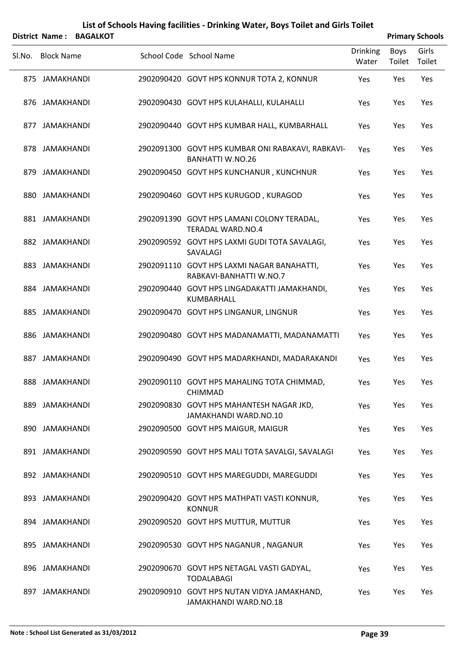|                   | District Name: BAGALKOT |                                                                              |                          |                | <b>Primary Schools</b> |
|-------------------|-------------------------|------------------------------------------------------------------------------|--------------------------|----------------|------------------------|
| SI.No. Block Name |                         | School Code School Name                                                      | <b>Drinking</b><br>Water | Boys<br>Toilet | Girls<br>Toilet        |
| 875 JAMAKHANDI    |                         | 2902090420 GOVT HPS KONNUR TOTA 2, KONNUR                                    | Yes                      | Yes            | Yes                    |
| 876 JAMAKHANDI    |                         | 2902090430 GOVT HPS KULAHALLI, KULAHALLI                                     | Yes                      | Yes            | Yes                    |
| 877 JAMAKHANDI    |                         | 2902090440 GOVT HPS KUMBAR HALL, KUMBARHALL                                  | Yes                      | Yes            | Yes                    |
| 878 JAMAKHANDI    |                         | 2902091300 GOVT HPS KUMBAR ONI RABAKAVI, RABKAVI-<br><b>BANHATTI W.NO.26</b> | Yes                      | Yes            | Yes                    |
| 879 JAMAKHANDI    |                         | 2902090450 GOVT HPS KUNCHANUR, KUNCHNUR                                      | Yes                      | Yes            | Yes                    |
| 880 JAMAKHANDI    |                         | 2902090460 GOVT HPS KURUGOD, KURAGOD                                         | Yes                      | Yes            | Yes                    |
| 881 JAMAKHANDI    |                         | 2902091390 GOVT HPS LAMANI COLONY TERADAL,<br><b>TERADAL WARD.NO.4</b>       | Yes                      | Yes            | Yes                    |
| 882 JAMAKHANDI    |                         | 2902090592 GOVT HPS LAXMI GUDI TOTA SAVALAGI,<br>SAVALAGI                    | Yes                      | Yes            | Yes                    |
| 883 JAMAKHANDI    |                         | 2902091110 GOVT HPS LAXMI NAGAR BANAHATTI,<br>RABKAVI-BANHATTI W.NO.7        | Yes                      | Yes            | Yes                    |
| 884 JAMAKHANDI    |                         | 2902090440 GOVT HPS LINGADAKATTI JAMAKHANDI,<br>KUMBARHALL                   | Yes                      | Yes            | Yes                    |
| 885 JAMAKHANDI    |                         | 2902090470 GOVT HPS LINGANUR, LINGNUR                                        | Yes                      | Yes            | Yes                    |
| 886 JAMAKHANDI    |                         | 2902090480 GOVT HPS MADANAMATTI, MADANAMATTI                                 | Yes                      | Yes            | Yes                    |
| 887 JAMAKHANDI    |                         | 2902090490 GOVT HPS MADARKHANDI, MADARAKANDI                                 | Yes                      | Yes            | Yes                    |
| 888 JAMAKHANDI    |                         | 2902090110 GOVT HPS MAHALING TOTA CHIMMAD,<br><b>CHIMMAD</b>                 | Yes                      | Yes            | Yes                    |
| 889 JAMAKHANDI    |                         | 2902090830 GOVT HPS MAHANTESH NAGAR JKD,<br>JAMAKHANDI WARD.NO.10            | Yes                      | Yes            | Yes                    |
| 890 JAMAKHANDI    |                         | 2902090500 GOVT HPS MAIGUR, MAIGUR                                           | Yes                      | Yes            | Yes                    |
| 891 JAMAKHANDI    |                         | 2902090590 GOVT HPS MALI TOTA SAVALGI, SAVALAGI                              | Yes                      | Yes            | Yes                    |
| 892 JAMAKHANDI    |                         | 2902090510 GOVT HPS MAREGUDDI, MAREGUDDI                                     | Yes                      | Yes            | Yes                    |
| 893 JAMAKHANDI    |                         | 2902090420 GOVT HPS MATHPATI VASTI KONNUR,<br><b>KONNUR</b>                  | Yes                      | Yes            | Yes                    |
| 894 JAMAKHANDI    |                         | 2902090520 GOVT HPS MUTTUR, MUTTUR                                           | Yes                      | Yes            | Yes                    |
| 895 JAMAKHANDI    |                         | 2902090530 GOVT HPS NAGANUR, NAGANUR                                         | Yes                      | Yes            | Yes                    |
| 896 JAMAKHANDI    |                         | 2902090670 GOVT HPS NETAGAL VASTI GADYAL,<br><b>TODALABAGI</b>               | Yes                      | Yes            | Yes                    |
| 897 JAMAKHANDI    |                         | 2902090910 GOVT HPS NUTAN VIDYA JAMAKHAND,<br>JAMAKHANDI WARD.NO.18          | Yes                      | Yes            | Yes                    |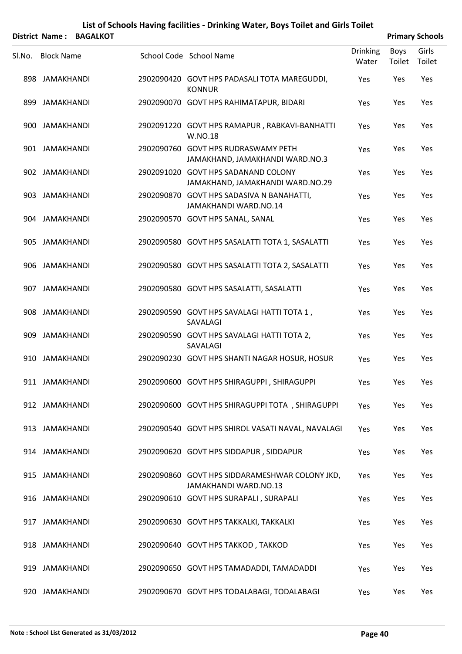|        |                   | District Name: BAGALKOT |                                                                         |                          |                | <b>Primary Schools</b> |
|--------|-------------------|-------------------------|-------------------------------------------------------------------------|--------------------------|----------------|------------------------|
| Sl.No. | <b>Block Name</b> |                         | School Code School Name                                                 | <b>Drinking</b><br>Water | Boys<br>Toilet | Girls<br>Toilet        |
|        | 898 JAMAKHANDI    |                         | 2902090420 GOVT HPS PADASALI TOTA MAREGUDDI,<br><b>KONNUR</b>           | Yes                      | Yes            | Yes                    |
|        | 899 JAMAKHANDI    |                         | 2902090070 GOVT HPS RAHIMATAPUR, BIDARI                                 | Yes                      | Yes            | Yes                    |
|        | 900 JAMAKHANDI    |                         | 2902091220 GOVT HPS RAMAPUR, RABKAVI-BANHATTI<br>W.NO.18                | Yes                      | Yes            | Yes                    |
|        | 901 JAMAKHANDI    |                         | 2902090760 GOVT HPS RUDRASWAMY PETH<br>JAMAKHAND, JAMAKHANDI WARD.NO.3  | Yes                      | Yes            | Yes                    |
|        | 902 JAMAKHANDI    |                         | 2902091020 GOVT HPS SADANAND COLONY<br>JAMAKHAND, JAMAKHANDI WARD.NO.29 | Yes                      | Yes            | Yes                    |
|        | 903 JAMAKHANDI    |                         | 2902090870 GOVT HPS SADASIVA N BANAHATTI,<br>JAMAKHANDI WARD.NO.14      | Yes                      | Yes            | Yes                    |
|        | 904 JAMAKHANDI    |                         | 2902090570 GOVT HPS SANAL, SANAL                                        | Yes                      | Yes            | Yes                    |
|        | 905 JAMAKHANDI    |                         | 2902090580 GOVT HPS SASALATTI TOTA 1, SASALATTI                         | Yes                      | Yes            | Yes                    |
|        | 906 JAMAKHANDI    |                         | 2902090580 GOVT HPS SASALATTI TOTA 2, SASALATTI                         | Yes                      | Yes            | Yes                    |
|        | 907 JAMAKHANDI    |                         | 2902090580 GOVT HPS SASALATTI, SASALATTI                                | Yes                      | Yes            | Yes                    |
|        | 908 JAMAKHANDI    |                         | 2902090590 GOVT HPS SAVALAGI HATTI TOTA 1,<br>SAVALAGI                  | Yes                      | Yes            | Yes                    |
|        | 909 JAMAKHANDI    |                         | 2902090590 GOVT HPS SAVALAGI HATTI TOTA 2,<br>SAVALAGI                  | Yes                      | Yes            | Yes                    |
|        | 910 JAMAKHANDI    |                         | 2902090230 GOVT HPS SHANTI NAGAR HOSUR, HOSUR                           | Yes                      | Yes            | Yes                    |
|        | 911 JAMAKHANDI    |                         | 2902090600 GOVT HPS SHIRAGUPPI, SHIRAGUPPI                              | Yes                      | Yes            | Yes                    |
|        | 912 JAMAKHANDI    |                         | 2902090600 GOVT HPS SHIRAGUPPI TOTA, SHIRAGUPPI                         | Yes                      | Yes            | Yes                    |
|        | 913 JAMAKHANDI    |                         | 2902090540 GOVT HPS SHIROL VASATI NAVAL, NAVALAGI                       | Yes                      | Yes            | Yes                    |
|        | 914 JAMAKHANDI    |                         | 2902090620 GOVT HPS SIDDAPUR, SIDDAPUR                                  | Yes                      | Yes            | Yes                    |
|        | 915 JAMAKHANDI    |                         | 2902090860 GOVT HPS SIDDARAMESHWAR COLONY JKD,<br>JAMAKHANDI WARD.NO.13 | Yes                      | Yes            | Yes                    |
|        | 916 JAMAKHANDI    |                         | 2902090610 GOVT HPS SURAPALI, SURAPALI                                  | Yes                      | Yes            | Yes                    |
|        | 917 JAMAKHANDI    |                         | 2902090630 GOVT HPS TAKKALKI, TAKKALKI                                  | Yes                      | Yes            | Yes                    |
|        | 918 JAMAKHANDI    |                         | 2902090640 GOVT HPS TAKKOD, TAKKOD                                      | Yes                      | Yes            | Yes                    |
|        | 919 JAMAKHANDI    |                         | 2902090650 GOVT HPS TAMADADDI, TAMADADDI                                | Yes                      | Yes            | Yes                    |
|        | 920 JAMAKHANDI    |                         | 2902090670 GOVT HPS TODALABAGI, TODALABAGI                              | Yes                      | Yes            | Yes                    |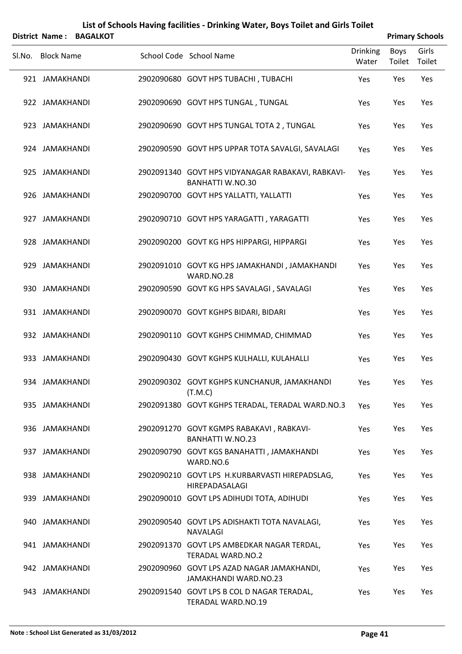|        |                   | District Name: BAGALKOT |                                                                              |                          |                | <b>Primary Schools</b> |
|--------|-------------------|-------------------------|------------------------------------------------------------------------------|--------------------------|----------------|------------------------|
| SI.No. | <b>Block Name</b> |                         | School Code School Name                                                      | <b>Drinking</b><br>Water | Boys<br>Toilet | Girls<br>Toilet        |
|        | 921 JAMAKHANDI    |                         | 2902090680 GOVT HPS TUBACHI, TUBACHI                                         | Yes                      | Yes            | Yes                    |
|        | 922 JAMAKHANDI    |                         | 2902090690 GOVT HPS TUNGAL, TUNGAL                                           | Yes                      | Yes            | Yes                    |
|        | 923 JAMAKHANDI    |                         | 2902090690 GOVT HPS TUNGAL TOTA 2, TUNGAL                                    | Yes                      | Yes            | Yes                    |
|        | 924 JAMAKHANDI    |                         | 2902090590 GOVT HPS UPPAR TOTA SAVALGI, SAVALAGI                             | Yes                      | Yes            | Yes                    |
|        | 925 JAMAKHANDI    |                         | 2902091340 GOVT HPS VIDYANAGAR RABAKAVI, RABKAVI-<br><b>BANHATTI W.NO.30</b> | Yes                      | Yes            | Yes                    |
|        | 926 JAMAKHANDI    |                         | 2902090700 GOVT HPS YALLATTI, YALLATTI                                       | Yes                      | Yes            | Yes                    |
|        | 927 JAMAKHANDI    |                         | 2902090710 GOVT HPS YARAGATTI, YARAGATTI                                     | Yes                      | Yes            | Yes                    |
|        | 928 JAMAKHANDI    |                         | 2902090200 GOVT KG HPS HIPPARGI, HIPPARGI                                    | Yes                      | Yes            | Yes                    |
|        | 929 JAMAKHANDI    |                         | 2902091010 GOVT KG HPS JAMAKHANDI, JAMAKHANDI<br>WARD.NO.28                  | Yes                      | Yes            | Yes                    |
|        | 930 JAMAKHANDI    |                         | 2902090590 GOVT KG HPS SAVALAGI, SAVALAGI                                    | Yes                      | Yes            | Yes                    |
|        | 931 JAMAKHANDI    |                         | 2902090070 GOVT KGHPS BIDARI, BIDARI                                         | Yes                      | Yes            | Yes                    |
|        | 932 JAMAKHANDI    |                         | 2902090110 GOVT KGHPS CHIMMAD, CHIMMAD                                       | Yes                      | Yes            | Yes                    |
|        | 933 JAMAKHANDI    |                         | 2902090430 GOVT KGHPS KULHALLI, KULAHALLI                                    | Yes                      | Yes            | Yes                    |
|        | 934 JAMAKHANDI    |                         | 2902090302 GOVT KGHPS KUNCHANUR, JAMAKHANDI<br>(T.M.C)                       | Yes                      | Yes            | Yes                    |
|        | 935 JAMAKHANDI    |                         | 2902091380 GOVT KGHPS TERADAL, TERADAL WARD.NO.3                             | Yes                      | Yes            | Yes                    |
|        | 936 JAMAKHANDI    |                         | 2902091270 GOVT KGMPS RABAKAVI, RABKAVI-<br><b>BANHATTI W.NO.23</b>          | Yes                      | Yes            | Yes                    |
|        | 937 JAMAKHANDI    |                         | 2902090790 GOVT KGS BANAHATTI, JAMAKHANDI<br>WARD.NO.6                       | Yes                      | Yes            | Yes                    |
|        | 938 JAMAKHANDI    |                         | 2902090210 GOVT LPS H.KURBARVASTI HIREPADSLAG,<br>HIREPADASALAGI             | Yes                      | Yes            | Yes                    |
|        | 939 JAMAKHANDI    |                         | 2902090010 GOVT LPS ADIHUDI TOTA, ADIHUDI                                    | Yes                      | Yes            | Yes                    |
|        | 940 JAMAKHANDI    |                         | 2902090540 GOVT LPS ADISHAKTI TOTA NAVALAGI,<br>NAVALAGI                     | Yes                      | Yes            | Yes                    |
|        | 941 JAMAKHANDI    |                         | 2902091370 GOVT LPS AMBEDKAR NAGAR TERDAL,<br><b>TERADAL WARD.NO.2</b>       | Yes                      | Yes            | Yes                    |
|        | 942 JAMAKHANDI    |                         | 2902090960 GOVT LPS AZAD NAGAR JAMAKHANDI,<br>JAMAKHANDI WARD.NO.23          | Yes                      | Yes            | Yes                    |
|        | 943 JAMAKHANDI    |                         | 2902091540 GOVT LPS B COL D NAGAR TERADAL,<br>TERADAL WARD.NO.19             | Yes                      | Yes            | Yes                    |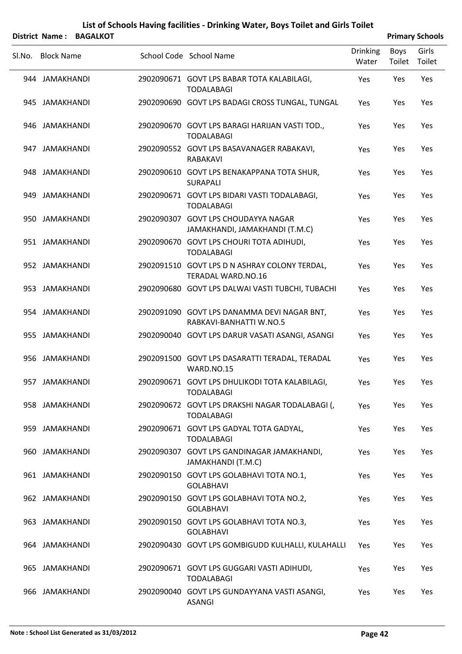|        |                   | District Name: BAGALKOT |                                                                            |                          |                | <b>Primary Schools</b> |
|--------|-------------------|-------------------------|----------------------------------------------------------------------------|--------------------------|----------------|------------------------|
| Sl.No. | <b>Block Name</b> |                         | School Code School Name                                                    | <b>Drinking</b><br>Water | Boys<br>Toilet | Girls<br>Toilet        |
|        | 944 JAMAKHANDI    |                         | 2902090671 GOVT LPS BABAR TOTA KALABILAGI,<br><b>TODALABAGI</b>            | Yes                      | Yes            | Yes                    |
|        | 945 JAMAKHANDI    |                         | 2902090690 GOVT LPS BADAGI CROSS TUNGAL, TUNGAL                            | Yes                      | Yes            | Yes                    |
|        | 946 JAMAKHANDI    |                         | 2902090670 GOVT LPS BARAGI HARIJAN VASTI TOD.,<br><b>TODALABAGI</b>        | Yes                      | Yes            | Yes                    |
|        | 947 JAMAKHANDI    |                         | 2902090552 GOVT LPS BASAVANAGER RABAKAVI,<br>RABAKAVI                      | Yes                      | Yes            | Yes                    |
|        | 948 JAMAKHANDI    |                         | 2902090610 GOVT LPS BENAKAPPANA TOTA SHUR,<br><b>SURAPALI</b>              | Yes                      | Yes            | Yes                    |
|        | 949 JAMAKHANDI    |                         | 2902090671 GOVT LPS BIDARI VASTI TODALABAGI,<br><b>TODALABAGI</b>          | Yes                      | Yes            | Yes                    |
|        | 950 JAMAKHANDI    |                         | 2902090307 GOVT LPS CHOUDAYYA NAGAR<br>JAMAKHANDI, JAMAKHANDI (T.M.C)      | Yes                      | Yes            | Yes                    |
|        | 951 JAMAKHANDI    |                         | 2902090670 GOVT LPS CHOURI TOTA ADIHUDI,<br><b>TODALABAGI</b>              | Yes                      | Yes            | Yes                    |
|        | 952 JAMAKHANDI    |                         | 2902091510 GOVT LPS D N ASHRAY COLONY TERDAL,<br><b>TERADAL WARD.NO.16</b> | Yes                      | Yes            | Yes                    |
|        | 953 JAMAKHANDI    |                         | 2902090680 GOVT LPS DALWAI VASTI TUBCHI, TUBACHI                           | Yes                      | Yes            | Yes                    |
|        | 954 JAMAKHANDI    |                         | 2902091090 GOVT LPS DANAMMA DEVI NAGAR BNT,<br>RABKAVI-BANHATTI W.NO.5     | Yes                      | Yes            | Yes                    |
|        | 955 JAMAKHANDI    |                         | 2902090040 GOVT LPS DARUR VASATI ASANGI, ASANGI                            | Yes                      | Yes            | Yes                    |
|        | 956 JAMAKHANDI    |                         | 2902091500 GOVT LPS DASARATTI TERADAL, TERADAL<br>WARD.NO.15               | Yes                      | Yes            | Yes                    |
|        | 957 JAMAKHANDI    |                         | 2902090671 GOVT LPS DHULIKODI TOTA KALABILAGI,<br><b>TODALABAGI</b>        | Yes                      | Yes            | Yes                    |
|        | 958 JAMAKHANDI    |                         | 2902090672 GOVT LPS DRAKSHI NAGAR TODALABAGI (,<br><b>TODALABAGI</b>       | Yes                      | Yes            | Yes                    |
|        | 959 JAMAKHANDI    |                         | 2902090671 GOVT LPS GADYAL TOTA GADYAL,<br><b>TODALABAGI</b>               | Yes                      | Yes            | Yes                    |
|        | 960 JAMAKHANDI    |                         | 2902090307 GOVT LPS GANDINAGAR JAMAKHANDI,<br>JAMAKHANDI (T.M.C)           | Yes                      | Yes            | Yes                    |
|        | 961 JAMAKHANDI    |                         | 2902090150 GOVT LPS GOLABHAVI TOTA NO.1,<br><b>GOLABHAVI</b>               | Yes                      | Yes            | Yes                    |
|        | 962 JAMAKHANDI    |                         | 2902090150 GOVT LPS GOLABHAVI TOTA NO.2,<br><b>GOLABHAVI</b>               | Yes                      | Yes            | Yes                    |
|        | 963 JAMAKHANDI    |                         | 2902090150 GOVT LPS GOLABHAVI TOTA NO.3,<br><b>GOLABHAVI</b>               | Yes                      | Yes            | Yes                    |
|        | 964 JAMAKHANDI    |                         | 2902090430 GOVT LPS GOMBIGUDD KULHALLI, KULAHALLI                          | Yes                      | Yes            | Yes                    |
|        | 965 JAMAKHANDI    |                         | 2902090671 GOVT LPS GUGGARI VASTI ADIHUDI,<br><b>TODALABAGI</b>            | Yes                      | Yes            | Yes                    |
|        | 966 JAMAKHANDI    |                         | 2902090040 GOVT LPS GUNDAYYANA VASTI ASANGI,<br><b>ASANGI</b>              | Yes                      | Yes            | Yes                    |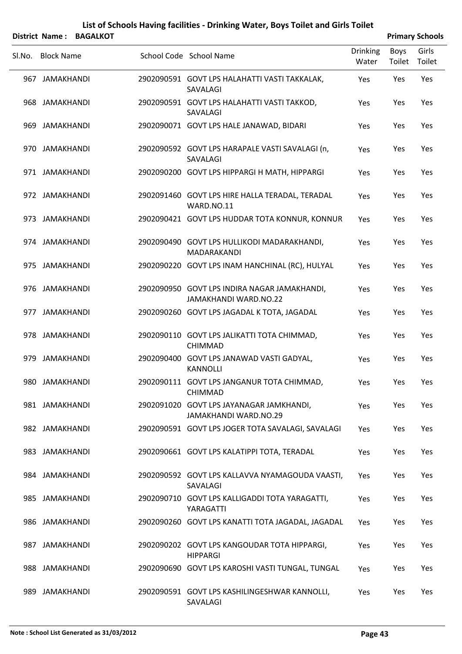|        | <b>District Name:</b> | <b>BAGALKOT</b> |                                                                              |                          |                | <b>Primary Schools</b> |
|--------|-----------------------|-----------------|------------------------------------------------------------------------------|--------------------------|----------------|------------------------|
| SI.No. | <b>Block Name</b>     |                 | School Code School Name                                                      | <b>Drinking</b><br>Water | Boys<br>Toilet | Girls<br>Toilet        |
|        | 967 JAMAKHANDI        |                 | 2902090591 GOVT LPS HALAHATTI VASTI TAKKALAK,<br>SAVALAGI                    | Yes                      | Yes            | Yes                    |
|        | 968 JAMAKHANDI        |                 | 2902090591 GOVT LPS HALAHATTI VASTI TAKKOD,<br>SAVALAGI                      | Yes                      | Yes            | Yes                    |
|        | 969 JAMAKHANDI        |                 | 2902090071 GOVT LPS HALE JANAWAD, BIDARI                                     | Yes                      | Yes            | Yes                    |
|        | 970 JAMAKHANDI        |                 | 2902090592 GOVT LPS HARAPALE VASTI SAVALAGI (n,<br>SAVALAGI                  | Yes                      | Yes            | Yes                    |
|        | 971 JAMAKHANDI        |                 | 2902090200 GOVT LPS HIPPARGI H MATH, HIPPARGI                                | Yes                      | Yes            | Yes                    |
|        | 972 JAMAKHANDI        |                 | 2902091460 GOVT LPS HIRE HALLA TERADAL, TERADAL<br>WARD.NO.11                | Yes                      | Yes            | Yes                    |
|        | 973 JAMAKHANDI        |                 | 2902090421 GOVT LPS HUDDAR TOTA KONNUR, KONNUR                               | Yes                      | Yes            | Yes                    |
|        | 974 JAMAKHANDI        |                 | 2902090490 GOVT LPS HULLIKODI MADARAKHANDI,<br>MADARAKANDI                   | Yes                      | Yes            | Yes                    |
|        | 975 JAMAKHANDI        |                 | 2902090220 GOVT LPS INAM HANCHINAL (RC), HULYAL                              | Yes                      | Yes            | Yes                    |
|        | 976 JAMAKHANDI        |                 | 2902090950 GOVT LPS INDIRA NAGAR JAMAKHANDI,<br><b>JAMAKHANDI WARD.NO.22</b> | Yes                      | Yes            | Yes                    |
|        | 977 JAMAKHANDI        |                 | 2902090260 GOVT LPS JAGADAL K TOTA, JAGADAL                                  | Yes                      | Yes            | Yes                    |
|        | 978 JAMAKHANDI        |                 | 2902090110 GOVT LPS JALIKATTI TOTA CHIMMAD,<br><b>CHIMMAD</b>                | Yes                      | Yes            | Yes                    |
|        | 979 JAMAKHANDI        |                 | 2902090400 GOVT LPS JANAWAD VASTI GADYAL,<br><b>KANNOLLI</b>                 | Yes                      | Yes            | Yes                    |
|        | 980 JAMAKHANDI        |                 | 2902090111 GOVT LPS JANGANUR TOTA CHIMMAD,<br><b>CHIMMAD</b>                 | Yes                      | Yes            | Yes                    |
|        | 981 JAMAKHANDI        |                 | 2902091020 GOVT LPS JAYANAGAR JAMKHANDI,<br><b>JAMAKHANDI WARD.NO.29</b>     | Yes                      | Yes            | Yes                    |
|        | 982 JAMAKHANDI        |                 | 2902090591 GOVT LPS JOGER TOTA SAVALAGI, SAVALAGI                            | Yes                      | Yes            | Yes                    |
|        | 983 JAMAKHANDI        |                 | 2902090661 GOVT LPS KALATIPPI TOTA, TERADAL                                  | Yes                      | Yes            | Yes                    |
|        | 984 JAMAKHANDI        |                 | 2902090592 GOVT LPS KALLAVVA NYAMAGOUDA VAASTI,<br>SAVALAGI                  | Yes                      | Yes            | Yes                    |
|        | 985 JAMAKHANDI        |                 | 2902090710 GOVT LPS KALLIGADDI TOTA YARAGATTI,<br>YARAGATTI                  | Yes                      | Yes            | Yes                    |
|        | 986 JAMAKHANDI        |                 | 2902090260 GOVT LPS KANATTI TOTA JAGADAL, JAGADAL                            | Yes                      | Yes            | Yes                    |
|        | 987 JAMAKHANDI        |                 | 2902090202 GOVT LPS KANGOUDAR TOTA HIPPARGI,<br><b>HIPPARGI</b>              | Yes                      | Yes            | Yes                    |
|        | 988 JAMAKHANDI        |                 | 2902090690 GOVT LPS KAROSHI VASTI TUNGAL, TUNGAL                             | Yes                      | Yes            | Yes                    |
|        | 989 JAMAKHANDI        |                 | 2902090591 GOVT LPS KASHILINGESHWAR KANNOLLI,<br>SAVALAGI                    | Yes                      | Yes            | Yes                    |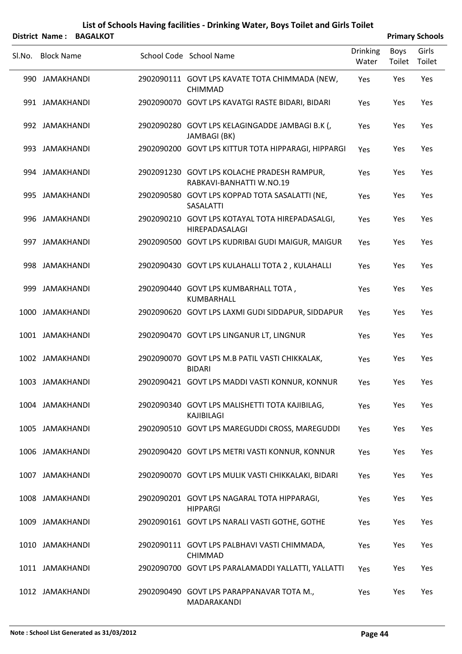|        |                   | District Name: BAGALKOT |                                                                         |                          |                | <b>Primary Schools</b> |
|--------|-------------------|-------------------------|-------------------------------------------------------------------------|--------------------------|----------------|------------------------|
| SI.No. | <b>Block Name</b> |                         | School Code School Name                                                 | <b>Drinking</b><br>Water | Boys<br>Toilet | Girls<br>Toilet        |
|        | 990 JAMAKHANDI    |                         | 2902090111 GOVT LPS KAVATE TOTA CHIMMADA (NEW,<br><b>CHIMMAD</b>        | Yes                      | Yes            | Yes                    |
|        | 991 JAMAKHANDI    |                         | 2902090070 GOVT LPS KAVATGI RASTE BIDARI, BIDARI                        | Yes                      | Yes            | Yes                    |
|        | 992 JAMAKHANDI    |                         | 2902090280 GOVT LPS KELAGINGADDE JAMBAGI B.K (,<br>JAMBAGI (BK)         | Yes                      | Yes            | Yes                    |
|        | 993 JAMAKHANDI    |                         | 2902090200 GOVT LPS KITTUR TOTA HIPPARAGI, HIPPARGI                     | Yes                      | Yes            | Yes                    |
|        | 994 JAMAKHANDI    |                         | 2902091230 GOVT LPS KOLACHE PRADESH RAMPUR,<br>RABKAVI-BANHATTI W.NO.19 | Yes                      | Yes            | Yes                    |
|        | 995 JAMAKHANDI    |                         | 2902090580 GOVT LPS KOPPAD TOTA SASALATTI (NE,<br>SASALATTI             | Yes                      | Yes            | Yes                    |
|        | 996 JAMAKHANDI    |                         | 2902090210 GOVT LPS KOTAYAL TOTA HIREPADASALGI,<br>HIREPADASALAGI       | Yes                      | Yes            | Yes                    |
|        | 997 JAMAKHANDI    |                         | 2902090500 GOVT LPS KUDRIBAI GUDI MAIGUR, MAIGUR                        | Yes                      | Yes            | Yes                    |
|        | 998 JAMAKHANDI    |                         | 2902090430 GOVT LPS KULAHALLI TOTA 2, KULAHALLI                         | Yes                      | Yes            | Yes                    |
|        | 999 JAMAKHANDI    |                         | 2902090440 GOVT LPS KUMBARHALL TOTA,<br>KUMBARHALL                      | Yes                      | Yes            | Yes                    |
|        | 1000 JAMAKHANDI   |                         | 2902090620 GOVT LPS LAXMI GUDI SIDDAPUR, SIDDAPUR                       | Yes                      | Yes            | Yes                    |
|        | 1001 JAMAKHANDI   |                         | 2902090470 GOVT LPS LINGANUR LT, LINGNUR                                | Yes                      | Yes            | Yes                    |
|        | 1002 JAMAKHANDI   |                         | 2902090070 GOVT LPS M.B PATIL VASTI CHIKKALAK,<br><b>BIDARI</b>         | Yes                      | Yes            | Yes                    |
|        | 1003 JAMAKHANDI   |                         | 2902090421 GOVT LPS MADDI VASTI KONNUR, KONNUR                          | Yes                      | Yes            | Yes                    |
|        | 1004 JAMAKHANDI   |                         | 2902090340 GOVT LPS MALISHETTI TOTA KAJIBILAG,<br>KAJIBILAGI            | Yes                      | Yes            | Yes                    |
|        | 1005 JAMAKHANDI   |                         | 2902090510 GOVT LPS MAREGUDDI CROSS, MAREGUDDI                          | Yes                      | Yes            | Yes                    |
|        | 1006 JAMAKHANDI   |                         | 2902090420 GOVT LPS METRI VASTI KONNUR, KONNUR                          | Yes                      | Yes            | Yes                    |
|        | 1007 JAMAKHANDI   |                         | 2902090070 GOVT LPS MULIK VASTI CHIKKALAKI, BIDARI                      | Yes                      | Yes            | Yes                    |
|        | 1008 JAMAKHANDI   |                         | 2902090201 GOVT LPS NAGARAL TOTA HIPPARAGI,<br><b>HIPPARGI</b>          | Yes                      | Yes            | Yes                    |
|        | 1009 JAMAKHANDI   |                         | 2902090161 GOVT LPS NARALI VASTI GOTHE, GOTHE                           | Yes                      | Yes            | Yes                    |
|        | 1010 JAMAKHANDI   |                         | 2902090111 GOVT LPS PALBHAVI VASTI CHIMMADA,<br><b>CHIMMAD</b>          | Yes                      | Yes            | Yes                    |
|        | 1011 JAMAKHANDI   |                         | 2902090700 GOVT LPS PARALAMADDI YALLATTI, YALLATTI                      | Yes                      | Yes            | Yes                    |
|        | 1012 JAMAKHANDI   |                         | 2902090490 GOVT LPS PARAPPANAVAR TOTA M.,<br>MADARAKANDI                | Yes                      | Yes            | Yes                    |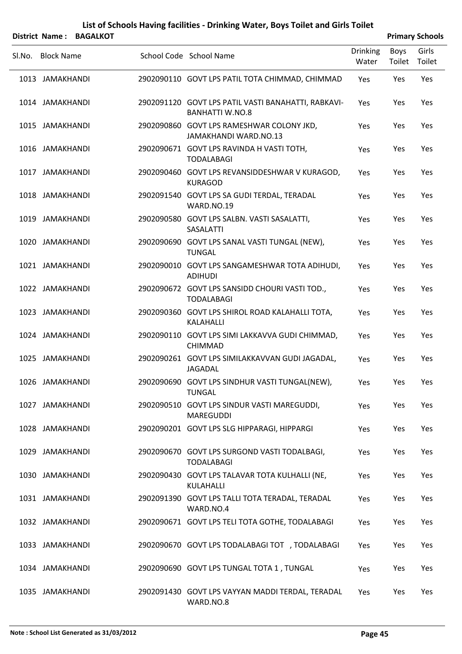|        |                   | District Name: BAGALKOT |                                                                               |                          |                | <b>Primary Schools</b> |
|--------|-------------------|-------------------------|-------------------------------------------------------------------------------|--------------------------|----------------|------------------------|
| SI.No. | <b>Block Name</b> |                         | School Code School Name                                                       | <b>Drinking</b><br>Water | Boys<br>Toilet | Girls<br>Toilet        |
|        | 1013 JAMAKHANDI   |                         | 2902090110 GOVT LPS PATIL TOTA CHIMMAD, CHIMMAD                               | Yes                      | Yes            | Yes                    |
|        | 1014 JAMAKHANDI   |                         | 2902091120 GOVT LPS PATIL VASTI BANAHATTI, RABKAVI-<br><b>BANHATTI W.NO.8</b> | Yes                      | Yes            | Yes                    |
|        | 1015 JAMAKHANDI   |                         | 2902090860 GOVT LPS RAMESHWAR COLONY JKD,<br>JAMAKHANDI WARD.NO.13            | Yes                      | Yes            | Yes                    |
|        | 1016 JAMAKHANDI   |                         | 2902090671 GOVT LPS RAVINDA H VASTI TOTH,<br><b>TODALABAGI</b>                | Yes                      | Yes            | Yes                    |
|        | 1017 JAMAKHANDI   |                         | 2902090460 GOVT LPS REVANSIDDESHWAR V KURAGOD,<br><b>KURAGOD</b>              | Yes                      | Yes            | Yes                    |
|        | 1018 JAMAKHANDI   |                         | 2902091540 GOVT LPS SA GUDI TERDAL, TERADAL<br>WARD.NO.19                     | Yes                      | Yes            | Yes                    |
|        | 1019 JAMAKHANDI   |                         | 2902090580 GOVT LPS SALBN. VASTI SASALATTI,<br>SASALATTI                      | Yes                      | Yes            | Yes                    |
|        | 1020 JAMAKHANDI   |                         | 2902090690 GOVT LPS SANAL VASTI TUNGAL (NEW),<br><b>TUNGAL</b>                | Yes                      | Yes            | Yes                    |
|        | 1021 JAMAKHANDI   |                         | 2902090010 GOVT LPS SANGAMESHWAR TOTA ADIHUDI,<br><b>ADIHUDI</b>              | Yes                      | Yes            | Yes                    |
|        | 1022 JAMAKHANDI   |                         | 2902090672 GOVT LPS SANSIDD CHOURI VASTI TOD.,<br><b>TODALABAGI</b>           | Yes                      | Yes            | Yes                    |
|        | 1023 JAMAKHANDI   |                         | 2902090360 GOVT LPS SHIROL ROAD KALAHALLI TOTA,<br>KALAHALLI                  | Yes                      | Yes            | Yes                    |
|        | 1024 JAMAKHANDI   |                         | 2902090110 GOVT LPS SIMI LAKKAVVA GUDI CHIMMAD,<br><b>CHIMMAD</b>             | Yes                      | Yes            | Yes                    |
|        | 1025 JAMAKHANDI   |                         | 2902090261 GOVT LPS SIMILAKKAVVAN GUDI JAGADAL,<br><b>JAGADAL</b>             | Yes                      | Yes            | Yes                    |
|        | 1026 JAMAKHANDI   |                         | 2902090690 GOVT LPS SINDHUR VASTI TUNGAL(NEW),<br><b>TUNGAL</b>               | Yes                      | Yes            | Yes                    |
|        | 1027 JAMAKHANDI   |                         | 2902090510 GOVT LPS SINDUR VASTI MAREGUDDI,<br><b>MAREGUDDI</b>               | Yes                      | Yes            | Yes                    |
|        | 1028 JAMAKHANDI   |                         | 2902090201 GOVT LPS SLG HIPPARAGI, HIPPARGI                                   | Yes                      | Yes            | Yes                    |
|        | 1029 JAMAKHANDI   |                         | 2902090670 GOVT LPS SURGOND VASTI TODALBAGI,<br><b>TODALABAGI</b>             | Yes                      | Yes            | Yes                    |
|        | 1030 JAMAKHANDI   |                         | 2902090430 GOVT LPS TALAVAR TOTA KULHALLI (NE,<br>KULAHALLI                   | Yes                      | Yes            | Yes                    |
|        | 1031 JAMAKHANDI   |                         | 2902091390 GOVT LPS TALLI TOTA TERADAL, TERADAL<br>WARD.NO.4                  | Yes                      | Yes            | Yes                    |
|        | 1032 JAMAKHANDI   |                         | 2902090671 GOVT LPS TELI TOTA GOTHE, TODALABAGI                               | Yes                      | Yes            | Yes                    |
|        | 1033 JAMAKHANDI   |                         | 2902090670 GOVT LPS TODALABAGI TOT , TODALABAGI                               | Yes                      | Yes            | Yes                    |
|        | 1034 JAMAKHANDI   |                         | 2902090690 GOVT LPS TUNGAL TOTA 1, TUNGAL                                     | Yes                      | Yes            | Yes                    |
|        | 1035 JAMAKHANDI   |                         | 2902091430 GOVT LPS VAYYAN MADDI TERDAL, TERADAL<br>WARD.NO.8                 | Yes                      | Yes            | Yes                    |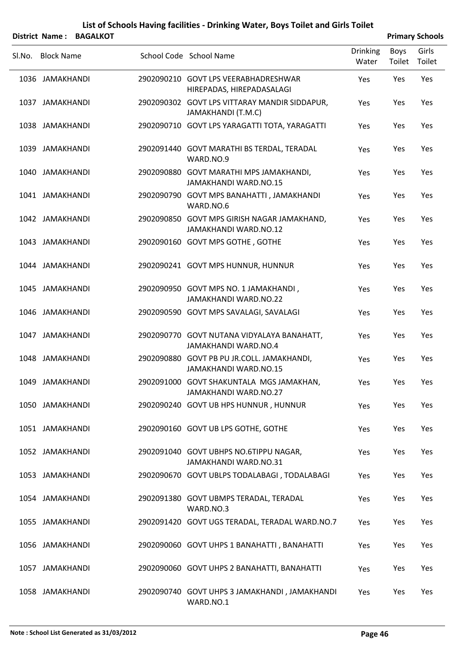|        |                   | District Name: BAGALKOT |                                                                            |                          |                | <b>Primary Schools</b> |
|--------|-------------------|-------------------------|----------------------------------------------------------------------------|--------------------------|----------------|------------------------|
| SI.No. | <b>Block Name</b> |                         | School Code School Name                                                    | <b>Drinking</b><br>Water | Boys<br>Toilet | Girls<br>Toilet        |
|        | 1036 JAMAKHANDI   |                         | 2902090210 GOVT LPS VEERABHADRESHWAR<br>HIREPADAS, HIREPADASALAGI          | Yes                      | Yes            | Yes                    |
|        | 1037 JAMAKHANDI   |                         | 2902090302 GOVT LPS VITTARAY MANDIR SIDDAPUR,<br>JAMAKHANDI (T.M.C)        | Yes                      | Yes            | Yes                    |
|        | 1038 JAMAKHANDI   |                         | 2902090710 GOVT LPS YARAGATTI TOTA, YARAGATTI                              | Yes                      | Yes            | Yes                    |
|        | 1039 JAMAKHANDI   |                         | 2902091440 GOVT MARATHI BS TERDAL, TERADAL<br>WARD.NO.9                    | Yes                      | Yes            | Yes                    |
|        | 1040 JAMAKHANDI   |                         | 2902090880 GOVT MARATHI MPS JAMAKHANDI,<br>JAMAKHANDI WARD.NO.15           | Yes                      | Yes            | Yes                    |
|        | 1041 JAMAKHANDI   |                         | 2902090790 GOVT MPS BANAHATTI, JAMAKHANDI<br>WARD.NO.6                     | Yes                      | Yes            | Yes                    |
|        | 1042 JAMAKHANDI   |                         | 2902090850 GOVT MPS GIRISH NAGAR JAMAKHAND,<br>JAMAKHANDI WARD.NO.12       | Yes                      | Yes            | Yes                    |
|        | 1043 JAMAKHANDI   |                         | 2902090160 GOVT MPS GOTHE, GOTHE                                           | Yes                      | Yes            | Yes                    |
|        | 1044 JAMAKHANDI   |                         | 2902090241 GOVT MPS HUNNUR, HUNNUR                                         | Yes                      | Yes            | Yes                    |
|        | 1045 JAMAKHANDI   |                         | 2902090950 GOVT MPS NO. 1 JAMAKHANDI,<br><b>JAMAKHANDI WARD.NO.22</b>      | Yes                      | Yes            | Yes                    |
|        | 1046 JAMAKHANDI   |                         | 2902090590 GOVT MPS SAVALAGI, SAVALAGI                                     | Yes                      | Yes            | Yes                    |
|        | 1047 JAMAKHANDI   |                         | 2902090770 GOVT NUTANA VIDYALAYA BANAHATT,<br><b>JAMAKHANDI WARD.NO.4</b>  | Yes                      | Yes            | Yes                    |
|        | 1048 JAMAKHANDI   |                         | 2902090880 GOVT PB PU JR.COLL. JAMAKHANDI,<br><b>JAMAKHANDI WARD.NO.15</b> | Yes                      | Yes            | Yes                    |
|        | 1049 JAMAKHANDI   |                         | 2902091000 GOVT SHAKUNTALA MGS JAMAKHAN,<br><b>JAMAKHANDI WARD.NO.27</b>   | Yes                      | Yes            | Yes                    |
|        | 1050 JAMAKHANDI   |                         | 2902090240 GOVT UB HPS HUNNUR, HUNNUR                                      | Yes                      | Yes            | Yes                    |
|        | 1051 JAMAKHANDI   |                         | 2902090160 GOVT UB LPS GOTHE, GOTHE                                        | Yes                      | Yes            | Yes                    |
|        | 1052 JAMAKHANDI   |                         | 2902091040 GOVT UBHPS NO.6TIPPU NAGAR,<br>JAMAKHANDI WARD.NO.31            | Yes                      | Yes            | Yes                    |
|        | 1053 JAMAKHANDI   |                         | 2902090670 GOVT UBLPS TODALABAGI, TODALABAGI                               | Yes                      | Yes            | Yes                    |
|        | 1054 JAMAKHANDI   |                         | 2902091380 GOVT UBMPS TERADAL, TERADAL<br>WARD.NO.3                        | Yes                      | Yes            | Yes                    |
|        | 1055 JAMAKHANDI   |                         | 2902091420 GOVT UGS TERADAL, TERADAL WARD.NO.7                             | Yes                      | Yes            | Yes                    |
|        | 1056 JAMAKHANDI   |                         | 2902090060 GOVT UHPS 1 BANAHATTI, BANAHATTI                                | Yes                      | Yes            | Yes                    |
|        | 1057 JAMAKHANDI   |                         | 2902090060 GOVT UHPS 2 BANAHATTI, BANAHATTI                                | Yes                      | Yes            | Yes                    |
|        | 1058 JAMAKHANDI   |                         | 2902090740 GOVT UHPS 3 JAMAKHANDI, JAMAKHANDI<br>WARD.NO.1                 | Yes                      | Yes            | Yes                    |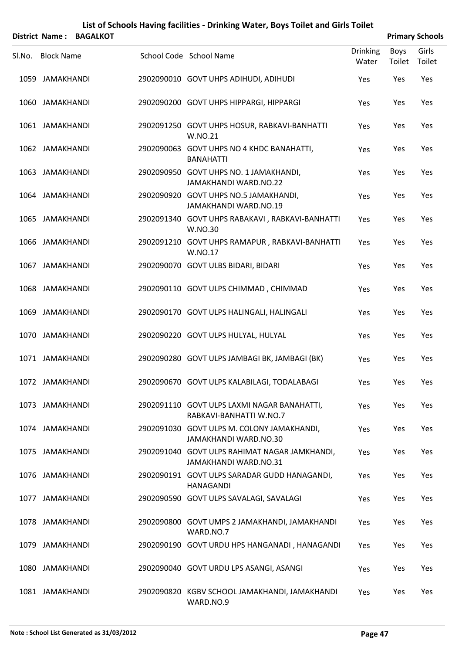|        |                   | District Name: BAGALKOT |                                                                            |                          |                | <b>Primary Schools</b> |
|--------|-------------------|-------------------------|----------------------------------------------------------------------------|--------------------------|----------------|------------------------|
| Sl.No. | <b>Block Name</b> |                         | School Code School Name                                                    | <b>Drinking</b><br>Water | Boys<br>Toilet | Girls<br>Toilet        |
|        | 1059 JAMAKHANDI   |                         | 2902090010 GOVT UHPS ADIHUDI, ADIHUDI                                      | Yes                      | Yes            | Yes                    |
|        | 1060 JAMAKHANDI   |                         | 2902090200 GOVT UHPS HIPPARGI, HIPPARGI                                    | Yes                      | Yes            | Yes                    |
|        | 1061 JAMAKHANDI   |                         | 2902091250 GOVT UHPS HOSUR, RABKAVI-BANHATTI<br>W.NO.21                    | Yes                      | Yes            | Yes                    |
|        | 1062 JAMAKHANDI   |                         | 2902090063 GOVT UHPS NO 4 KHDC BANAHATTI,<br><b>BANAHATTI</b>              | Yes                      | Yes            | Yes                    |
|        | 1063 JAMAKHANDI   |                         | 2902090950 GOVT UHPS NO. 1 JAMAKHANDI,<br><b>JAMAKHANDI WARD.NO.22</b>     | Yes                      | Yes            | Yes                    |
|        | 1064 JAMAKHANDI   |                         | 2902090920 GOVT UHPS NO.5 JAMAKHANDI,<br>JAMAKHANDI WARD.NO.19             | Yes                      | Yes            | Yes                    |
|        | 1065 JAMAKHANDI   |                         | 2902091340 GOVT UHPS RABAKAVI, RABKAVI-BANHATTI<br>W.NO.30                 | Yes                      | Yes            | Yes                    |
|        | 1066 JAMAKHANDI   |                         | 2902091210 GOVT UHPS RAMAPUR, RABKAVI-BANHATTI<br>W.NO.17                  | Yes                      | Yes            | Yes                    |
|        | 1067 JAMAKHANDI   |                         | 2902090070 GOVT ULBS BIDARI, BIDARI                                        | Yes                      | Yes            | Yes                    |
|        | 1068 JAMAKHANDI   |                         | 2902090110 GOVT ULPS CHIMMAD, CHIMMAD                                      | Yes                      | Yes            | Yes                    |
|        | 1069 JAMAKHANDI   |                         | 2902090170 GOVT ULPS HALINGALI, HALINGALI                                  | Yes                      | Yes            | Yes                    |
|        | 1070 JAMAKHANDI   |                         | 2902090220 GOVT ULPS HULYAL, HULYAL                                        | Yes                      | Yes            | Yes                    |
|        | 1071 JAMAKHANDI   |                         | 2902090280 GOVT ULPS JAMBAGI BK, JAMBAGI (BK)                              | Yes                      | Yes            | Yes                    |
|        | 1072 JAMAKHANDI   |                         | 2902090670 GOVT ULPS KALABILAGI, TODALABAGI                                | Yes                      | Yes            | Yes                    |
|        | 1073 JAMAKHANDI   |                         | 2902091110 GOVT ULPS LAXMI NAGAR BANAHATTI,<br>RABKAVI-BANHATTI W.NO.7     | Yes                      | Yes            | Yes                    |
|        | 1074 JAMAKHANDI   |                         | 2902091030 GOVT ULPS M. COLONY JAMAKHANDI,<br><b>JAMAKHANDI WARD.NO.30</b> | Yes                      | Yes            | Yes                    |
|        | 1075 JAMAKHANDI   |                         | 2902091040 GOVT ULPS RAHIMAT NAGAR JAMKHANDI,<br>JAMAKHANDI WARD.NO.31     | Yes                      | Yes            | Yes                    |
|        | 1076 JAMAKHANDI   |                         | 2902090191 GOVT ULPS SARADAR GUDD HANAGANDI,<br>HANAGANDI                  | Yes                      | Yes            | Yes                    |
|        | 1077 JAMAKHANDI   |                         | 2902090590 GOVT ULPS SAVALAGI, SAVALAGI                                    | Yes                      | Yes            | Yes                    |
|        | 1078 JAMAKHANDI   |                         | 2902090800 GOVT UMPS 2 JAMAKHANDI, JAMAKHANDI<br>WARD.NO.7                 | Yes                      | Yes            | Yes                    |
|        | 1079 JAMAKHANDI   |                         | 2902090190 GOVT URDU HPS HANGANADI, HANAGANDI                              | Yes                      | Yes            | Yes                    |
|        | 1080 JAMAKHANDI   |                         | 2902090040 GOVT URDU LPS ASANGI, ASANGI                                    | Yes                      | Yes            | Yes                    |
|        | 1081 JAMAKHANDI   |                         | 2902090820 KGBV SCHOOL JAMAKHANDI, JAMAKHANDI<br>WARD.NO.9                 | Yes                      | Yes            | Yes                    |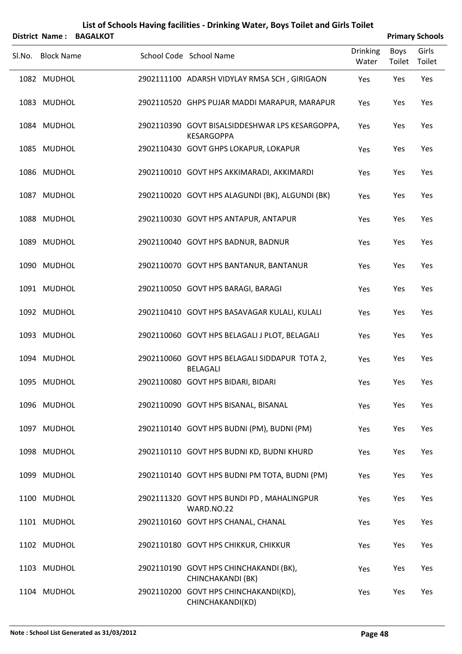| District Name:    | <b>BAGALKOT</b> | List of Schools Having facilities - Drinking Water, Boys Toilet and Girls Toilet |                          |                       | <b>Primary Schools</b> |
|-------------------|-----------------|----------------------------------------------------------------------------------|--------------------------|-----------------------|------------------------|
| Sl.No. Block Name |                 | School Code School Name                                                          | <b>Drinking</b><br>Water | <b>Boys</b><br>Toilet | Girls<br>Toilet        |
| 1082 MUDHOL       |                 | 2902111100 ADARSH VIDYLAY RMSA SCH, GIRIGAON                                     | Yes                      | Yes                   | Yes                    |
| 1083 MUDHOL       |                 | 2902110520 GHPS PUJAR MADDI MARAPUR, MARAPUR                                     | Yes                      | Yes                   | Yes                    |
| 1084 MUDHOL       |                 | 2902110390 GOVT BISALSIDDESHWAR LPS KESARGOPPA,<br><b>KESARGOPPA</b>             | Yes                      | Yes                   | Yes                    |
| 1085 MUDHOL       |                 | 2902110430 GOVT GHPS LOKAPUR, LOKAPUR                                            | Yes                      | Yes                   | Yes                    |
| 1086 MUDHOL       |                 | 2902110010 GOVT HPS AKKIMARADI, AKKIMARDI                                        | Yes                      | Yes                   | Yes                    |
| 1087 MUDHOL       |                 | 2902110020 GOVT HPS ALAGUNDI (BK), ALGUNDI (BK)                                  | Yes                      | Yes                   | Yes                    |
| 1088 MUDHOL       |                 | 2902110030 GOVT HPS ANTAPUR, ANTAPUR                                             | Yes                      | Yes                   | Yes                    |
| 1089 MUDHOL       |                 | 2902110040 GOVT HPS BADNUR, BADNUR                                               | Yes                      | Yes                   | Yes                    |
| 1090 MUDHOL       |                 | 2902110070 GOVT HPS BANTANUR, BANTANUR                                           | Yes                      | Yes                   | Yes                    |
| 1091 MUDHOL       |                 | 2902110050 GOVT HPS BARAGI, BARAGI                                               | Yes                      | Yes                   | Yes                    |
| 1092 MUDHOL       |                 | 2902110410 GOVT HPS BASAVAGAR KULALI, KULALI                                     | Yes                      | Yes                   | Yes                    |
| 1093 MUDHOL       |                 | 2902110060 GOVT HPS BELAGALI J PLOT, BELAGALI                                    | Yes                      | Yes                   | Yes                    |
| 1094 MUDHOL       |                 | 2902110060 GOVT HPS BELAGALI SIDDAPUR TOTA 2,<br><b>BELAGALI</b>                 | Yes                      | Yes                   | Yes                    |
| 1095 MUDHOL       |                 | 2902110080 GOVT HPS BIDARI, BIDARI                                               | Yes                      | Yes                   | Yes                    |
| 1096 MUDHOL       |                 | 2902110090 GOVT HPS BISANAL, BISANAL                                             | Yes                      | Yes                   | Yes                    |
| 1097 MUDHOL       |                 | 2902110140 GOVT HPS BUDNI (PM), BUDNI (PM)                                       | Yes                      | Yes                   | Yes                    |
| 1098 MUDHOL       |                 | 2902110110 GOVT HPS BUDNI KD, BUDNI KHURD                                        | Yes                      | Yes                   | Yes                    |
| 1099 MUDHOL       |                 | 2902110140 GOVT HPS BUDNI PM TOTA, BUDNI (PM)                                    | Yes                      | Yes                   | Yes                    |
| 1100 MUDHOL       |                 | 2902111320 GOVT HPS BUNDI PD, MAHALINGPUR<br>WARD.NO.22                          | Yes                      | Yes                   | Yes                    |
| 1101 MUDHOL       |                 | 2902110160 GOVT HPS CHANAL, CHANAL                                               | Yes                      | Yes                   | Yes                    |
| 1102 MUDHOL       |                 | 2902110180 GOVT HPS CHIKKUR, CHIKKUR                                             | Yes                      | Yes                   | Yes                    |
| 1103 MUDHOL       |                 | 2902110190 GOVT HPS CHINCHAKANDI (BK),<br>CHINCHAKANDI (BK)                      | Yes                      | Yes                   | Yes                    |
| 1104 MUDHOL       |                 | 2902110200 GOVT HPS CHINCHAKANDI(KD),<br>CHINCHAKANDI(KD)                        | Yes                      | Yes                   | Yes                    |

#### **Note : School List Generated as 31/03/2012 Page 48**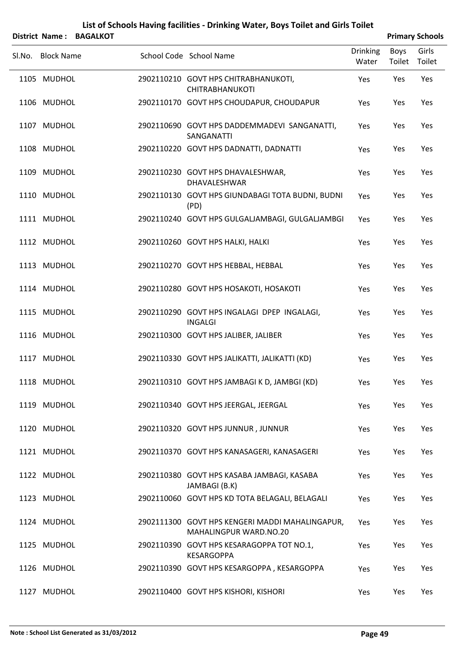|        | District Name:    | <b>BAGALKOT</b> |                                                                           |                          |                | <b>Primary Schools</b> |
|--------|-------------------|-----------------|---------------------------------------------------------------------------|--------------------------|----------------|------------------------|
| SI.No. | <b>Block Name</b> |                 | School Code School Name                                                   | <b>Drinking</b><br>Water | Boys<br>Toilet | Girls<br>Toilet        |
|        | 1105 MUDHOL       |                 | 2902110210 GOVT HPS CHITRABHANUKOTI,<br><b>CHITRABHANUKOTI</b>            | Yes                      | Yes            | Yes                    |
|        | 1106 MUDHOL       |                 | 2902110170 GOVT HPS CHOUDAPUR, CHOUDAPUR                                  | Yes                      | Yes            | Yes                    |
|        | 1107 MUDHOL       |                 | 2902110690 GOVT HPS DADDEMMADEVI SANGANATTI,<br>SANGANATTI                | Yes                      | Yes            | Yes                    |
|        | 1108 MUDHOL       |                 | 2902110220 GOVT HPS DADNATTI, DADNATTI                                    | Yes                      | Yes            | Yes                    |
|        | 1109 MUDHOL       |                 | 2902110230 GOVT HPS DHAVALESHWAR,<br>DHAVALESHWAR                         | Yes                      | Yes            | Yes                    |
|        | 1110 MUDHOL       |                 | 2902110130 GOVT HPS GIUNDABAGI TOTA BUDNI, BUDNI<br>(PD)                  | Yes                      | Yes            | Yes                    |
|        | 1111 MUDHOL       |                 | 2902110240 GOVT HPS GULGALJAMBAGI, GULGALJAMBGI                           | Yes                      | Yes            | Yes                    |
|        | 1112 MUDHOL       |                 | 2902110260 GOVT HPS HALKI, HALKI                                          | Yes                      | Yes            | Yes                    |
|        | 1113 MUDHOL       |                 | 2902110270 GOVT HPS HEBBAL, HEBBAL                                        | Yes                      | Yes            | Yes                    |
|        | 1114 MUDHOL       |                 | 2902110280 GOVT HPS HOSAKOTI, HOSAKOTI                                    | Yes                      | Yes            | Yes                    |
|        | 1115 MUDHOL       |                 | 2902110290 GOVT HPS INGALAGI DPEP INGALAGI,<br><b>INGALGI</b>             | Yes                      | Yes            | Yes                    |
|        | 1116 MUDHOL       |                 | 2902110300 GOVT HPS JALIBER, JALIBER                                      | Yes                      | Yes            | Yes                    |
|        | 1117 MUDHOL       |                 | 2902110330 GOVT HPS JALIKATTI, JALIKATTI (KD)                             | Yes                      | Yes            | Yes                    |
|        | 1118 MUDHOL       |                 | 2902110310 GOVT HPS JAMBAGI K D, JAMBGI (KD)                              | Yes                      | Yes            | Yes                    |
|        | 1119 MUDHOL       |                 | 2902110340 GOVT HPS JEERGAL, JEERGAL                                      | Yes                      | Yes            | Yes                    |
|        | 1120 MUDHOL       |                 | 2902110320 GOVT HPS JUNNUR, JUNNUR                                        | Yes                      | Yes            | Yes                    |
|        | 1121 MUDHOL       |                 | 2902110370 GOVT HPS KANASAGERI, KANASAGERI                                | Yes                      | Yes            | Yes                    |
|        | 1122 MUDHOL       |                 | 2902110380 GOVT HPS KASABA JAMBAGI, KASABA<br>JAMBAGI (B.K)               | Yes                      | Yes            | Yes                    |
|        | 1123 MUDHOL       |                 | 2902110060 GOVT HPS KD TOTA BELAGALI, BELAGALI                            | Yes                      | Yes            | Yes                    |
|        | 1124 MUDHOL       |                 | 2902111300 GOVT HPS KENGERI MADDI MAHALINGAPUR,<br>MAHALINGPUR WARD.NO.20 | Yes                      | Yes            | Yes                    |
|        | 1125 MUDHOL       |                 | 2902110390 GOVT HPS KESARAGOPPA TOT NO.1,<br><b>KESARGOPPA</b>            | Yes                      | Yes            | Yes                    |
|        | 1126 MUDHOL       |                 | 2902110390 GOVT HPS KESARGOPPA, KESARGOPPA                                | Yes                      | Yes            | Yes                    |
|        |                   |                 |                                                                           |                          |                |                        |

1127 MUDHOL 2902110400 GOVT HPS KISHORI, KISHORI Yes Yes Yes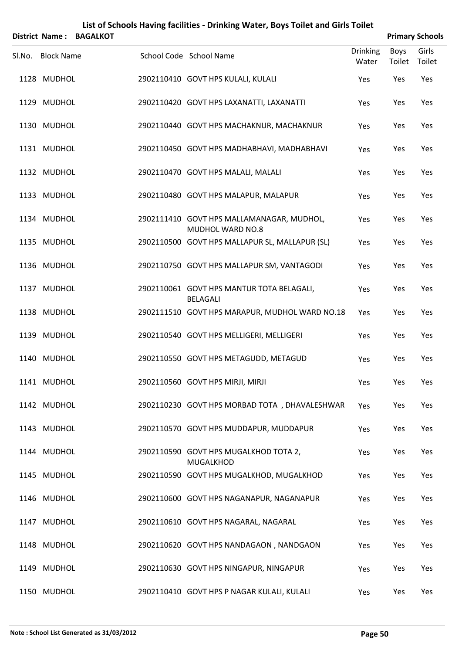|        |                   | District Name: BAGALKOT |                                                                      |                          |                | <b>Primary Schools</b> |
|--------|-------------------|-------------------------|----------------------------------------------------------------------|--------------------------|----------------|------------------------|
| Sl.No. | <b>Block Name</b> |                         | School Code School Name                                              | <b>Drinking</b><br>Water | Boys<br>Toilet | Girls<br>Toilet        |
|        | 1128 MUDHOL       |                         | 2902110410 GOVT HPS KULALI, KULALI                                   | Yes                      | Yes            | Yes                    |
|        | 1129 MUDHOL       |                         | 2902110420 GOVT HPS LAXANATTI, LAXANATTI                             | Yes                      | Yes            | Yes                    |
|        | 1130 MUDHOL       |                         | 2902110440 GOVT HPS MACHAKNUR, MACHAKNUR                             | Yes                      | Yes            | Yes                    |
|        | 1131 MUDHOL       |                         | 2902110450 GOVT HPS MADHABHAVI, MADHABHAVI                           | Yes                      | Yes            | Yes                    |
|        | 1132 MUDHOL       |                         | 2902110470 GOVT HPS MALALI, MALALI                                   | Yes                      | Yes            | Yes                    |
|        | 1133 MUDHOL       |                         | 2902110480 GOVT HPS MALAPUR, MALAPUR                                 | Yes                      | Yes            | Yes                    |
|        | 1134 MUDHOL       |                         | 2902111410 GOVT HPS MALLAMANAGAR, MUDHOL,<br><b>MUDHOL WARD NO.8</b> | Yes                      | Yes            | Yes                    |
|        | 1135 MUDHOL       |                         | 2902110500 GOVT HPS MALLAPUR SL, MALLAPUR (SL)                       | Yes                      | Yes            | Yes                    |
|        | 1136 MUDHOL       |                         | 2902110750 GOVT HPS MALLAPUR SM, VANTAGODI                           | Yes                      | Yes            | Yes                    |
|        | 1137 MUDHOL       |                         | 2902110061 GOVT HPS MANTUR TOTA BELAGALI,<br><b>BELAGALI</b>         | Yes                      | Yes            | Yes                    |
|        | 1138 MUDHOL       |                         | 2902111510 GOVT HPS MARAPUR, MUDHOL WARD NO.18                       | Yes                      | Yes            | Yes                    |
|        | 1139 MUDHOL       |                         | 2902110540 GOVT HPS MELLIGERI, MELLIGERI                             | Yes                      | Yes            | Yes                    |
|        | 1140 MUDHOL       |                         | 2902110550 GOVT HPS METAGUDD, METAGUD                                | Yes                      | Yes            | Yes                    |
|        | 1141 MUDHOL       |                         | 2902110560 GOVT HPS MIRJI, MIRJI                                     | Yes                      | Yes            | Yes                    |
|        | 1142 MUDHOL       |                         | 2902110230 GOVT HPS MORBAD TOTA, DHAVALESHWAR                        | Yes                      | Yes            | Yes                    |
|        | 1143 MUDHOL       |                         | 2902110570 GOVT HPS MUDDAPUR, MUDDAPUR                               | Yes                      | Yes            | Yes                    |
|        | 1144 MUDHOL       |                         | 2902110590 GOVT HPS MUGALKHOD TOTA 2,<br><b>MUGALKHOD</b>            | Yes                      | Yes            | Yes                    |
|        | 1145 MUDHOL       |                         | 2902110590 GOVT HPS MUGALKHOD, MUGALKHOD                             | Yes                      | Yes            | Yes                    |
|        | 1146 MUDHOL       |                         | 2902110600 GOVT HPS NAGANAPUR, NAGANAPUR                             | Yes                      | Yes            | Yes                    |
|        | 1147 MUDHOL       |                         | 2902110610 GOVT HPS NAGARAL, NAGARAL                                 | Yes                      | Yes            | Yes                    |
|        | 1148 MUDHOL       |                         | 2902110620 GOVT HPS NANDAGAON, NANDGAON                              | Yes                      | Yes            | Yes                    |
|        | 1149 MUDHOL       |                         | 2902110630 GOVT HPS NINGAPUR, NINGAPUR                               | Yes                      | Yes            | Yes                    |
|        | 1150 MUDHOL       |                         | 2902110410 GOVT HPS P NAGAR KULALI, KULALI                           | Yes                      | Yes            | Yes                    |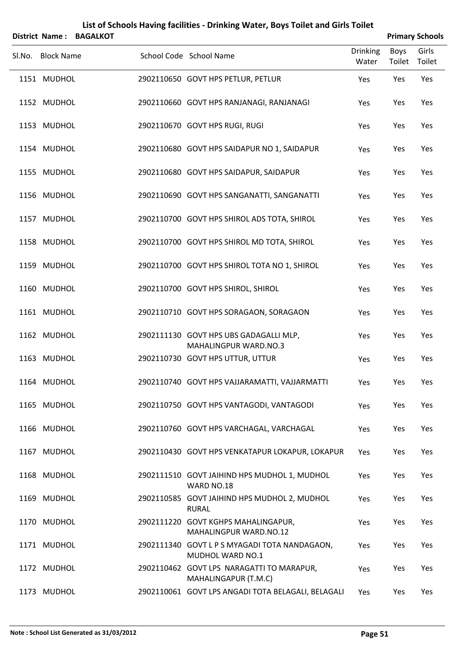|        | District Name:    | <b>BAGALKOT</b> |                                                                          |                          |                | <b>Primary Schools</b> |
|--------|-------------------|-----------------|--------------------------------------------------------------------------|--------------------------|----------------|------------------------|
| SI.No. | <b>Block Name</b> |                 | School Code School Name                                                  | <b>Drinking</b><br>Water | Boys<br>Toilet | Girls<br>Toilet        |
|        | 1151 MUDHOL       |                 | 2902110650 GOVT HPS PETLUR, PETLUR                                       | Yes                      | Yes            | Yes                    |
|        | 1152 MUDHOL       |                 | 2902110660 GOVT HPS RANJANAGI, RANJANAGI                                 | Yes                      | Yes            | Yes                    |
|        | 1153 MUDHOL       |                 | 2902110670 GOVT HPS RUGI, RUGI                                           | Yes                      | Yes            | Yes                    |
|        | 1154 MUDHOL       |                 | 2902110680 GOVT HPS SAIDAPUR NO 1, SAIDAPUR                              | Yes                      | Yes            | Yes                    |
|        | 1155 MUDHOL       |                 | 2902110680 GOVT HPS SAIDAPUR, SAIDAPUR                                   | Yes                      | Yes            | Yes                    |
|        | 1156 MUDHOL       |                 | 2902110690 GOVT HPS SANGANATTI, SANGANATTI                               | Yes                      | Yes            | Yes                    |
|        | 1157 MUDHOL       |                 | 2902110700 GOVT HPS SHIROL ADS TOTA, SHIROL                              | Yes                      | Yes            | Yes                    |
|        | 1158 MUDHOL       |                 | 2902110700 GOVT HPS SHIROL MD TOTA, SHIROL                               | Yes                      | Yes            | Yes                    |
|        | 1159 MUDHOL       |                 | 2902110700 GOVT HPS SHIROL TOTA NO 1, SHIROL                             | Yes                      | Yes            | Yes                    |
|        | 1160 MUDHOL       |                 | 2902110700 GOVT HPS SHIROL, SHIROL                                       | Yes                      | Yes            | Yes                    |
|        | 1161 MUDHOL       |                 | 2902110710 GOVT HPS SORAGAON, SORAGAON                                   | Yes                      | Yes            | Yes                    |
|        | 1162 MUDHOL       |                 | 2902111130 GOVT HPS UBS GADAGALLI MLP,<br><b>MAHALINGPUR WARD.NO.3</b>   | Yes                      | Yes            | Yes                    |
|        | 1163 MUDHOL       |                 | 2902110730 GOVT HPS UTTUR, UTTUR                                         | Yes                      | Yes            | Yes                    |
|        | 1164 MUDHOL       |                 | 2902110740 GOVT HPS VAJJARAMATTI, VAJJARMATTI                            | Yes                      | Yes            | Yes                    |
|        | 1165 MUDHOL       |                 | 2902110750 GOVT HPS VANTAGODI, VANTAGODI                                 | Yes                      | Yes            | Yes                    |
|        | 1166 MUDHOL       |                 | 2902110760 GOVT HPS VARCHAGAL, VARCHAGAL                                 | Yes                      | Yes            | Yes                    |
|        | 1167 MUDHOL       |                 | 2902110430 GOVT HPS VENKATAPUR LOKAPUR, LOKAPUR                          | Yes                      | Yes            | Yes                    |
|        | 1168 MUDHOL       |                 | 2902111510 GOVT JAIHIND HPS MUDHOL 1, MUDHOL<br>WARD NO.18               | Yes                      | Yes            | Yes                    |
|        | 1169 MUDHOL       |                 | 2902110585 GOVT JAIHIND HPS MUDHOL 2, MUDHOL<br><b>RURAL</b>             | Yes                      | Yes            | Yes                    |
|        | 1170 MUDHOL       |                 | 2902111220 GOVT KGHPS MAHALINGAPUR,<br>MAHALINGPUR WARD.NO.12            | Yes                      | Yes            | Yes                    |
|        | 1171 MUDHOL       |                 | 2902111340 GOVT L P S MYAGADI TOTA NANDAGAON,<br><b>MUDHOL WARD NO.1</b> | Yes                      | Yes            | Yes                    |
|        | 1172 MUDHOL       |                 | 2902110462 GOVT LPS NARAGATTI TO MARAPUR,<br>MAHALINGAPUR (T.M.C)        | Yes                      | Yes            | Yes                    |
|        | 1173 MUDHOL       |                 | 2902110061 GOVT LPS ANGADI TOTA BELAGALI, BELAGALI                       | Yes                      | Yes            | Yes                    |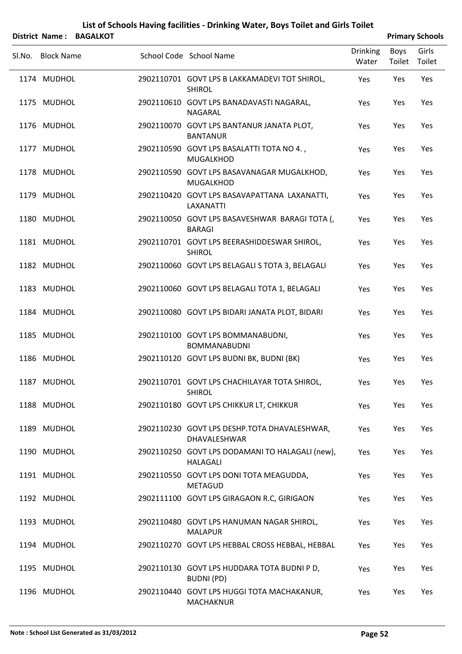|                   | District Name: BAGALKOT |                                                                    |                          |                | <b>Primary Schools</b> |
|-------------------|-------------------------|--------------------------------------------------------------------|--------------------------|----------------|------------------------|
| SI.No. Block Name |                         | School Code School Name                                            | <b>Drinking</b><br>Water | Boys<br>Toilet | Girls<br>Toilet        |
| 1174 MUDHOL       |                         | 2902110701 GOVT LPS B LAKKAMADEVI TOT SHIROL,<br><b>SHIROL</b>     | Yes                      | Yes            | Yes                    |
| 1175 MUDHOL       |                         | 2902110610 GOVT LPS BANADAVASTI NAGARAL,<br>NAGARAL                | Yes                      | Yes            | Yes                    |
| 1176 MUDHOL       |                         | 2902110070 GOVT LPS BANTANUR JANATA PLOT,<br><b>BANTANUR</b>       | Yes                      | Yes            | Yes                    |
| 1177 MUDHOL       |                         | 2902110590 GOVT LPS BASALATTI TOTA NO 4.,<br><b>MUGALKHOD</b>      | Yes                      | Yes            | Yes                    |
| 1178 MUDHOL       |                         | 2902110590 GOVT LPS BASAVANAGAR MUGALKHOD,<br><b>MUGALKHOD</b>     | Yes                      | Yes            | Yes                    |
| 1179 MUDHOL       |                         | 2902110420 GOVT LPS BASAVAPATTANA LAXANATTI,<br><b>LAXANATTI</b>   | Yes                      | Yes            | Yes                    |
| 1180 MUDHOL       |                         | 2902110050 GOVT LPS BASAVESHWAR BARAGI TOTA (,<br><b>BARAGI</b>    | Yes                      | Yes            | Yes                    |
| 1181 MUDHOL       |                         | 2902110701 GOVT LPS BEERASHIDDESWAR SHIROL,<br><b>SHIROL</b>       | Yes                      | Yes            | Yes                    |
| 1182 MUDHOL       |                         | 2902110060 GOVT LPS BELAGALI S TOTA 3, BELAGALI                    | Yes                      | Yes            | Yes                    |
| 1183 MUDHOL       |                         | 2902110060 GOVT LPS BELAGALI TOTA 1, BELAGALI                      | Yes                      | Yes            | Yes                    |
| 1184 MUDHOL       |                         | 2902110080 GOVT LPS BIDARI JANATA PLOT, BIDARI                     | Yes                      | Yes            | Yes                    |
| 1185 MUDHOL       |                         | 2902110100 GOVT LPS BOMMANABUDNI,<br><b>BOMMANABUDNI</b>           | Yes                      | Yes            | Yes                    |
| 1186 MUDHOL       |                         | 2902110120 GOVT LPS BUDNI BK, BUDNI (BK)                           | Yes                      | Yes            | Yes                    |
| 1187 MUDHOL       |                         | 2902110701 GOVT LPS CHACHILAYAR TOTA SHIROL,<br><b>SHIROL</b>      | Yes                      | Yes            | Yes                    |
| 1188 MUDHOL       |                         | 2902110180 GOVT LPS CHIKKUR LT, CHIKKUR                            | Yes                      | Yes            | Yes                    |
| 1189 MUDHOL       |                         | 2902110230 GOVT LPS DESHP.TOTA DHAVALESHWAR,<br>DHAVALESHWAR       | Yes                      | Yes            | Yes                    |
| 1190 MUDHOL       |                         | 2902110250 GOVT LPS DODAMANI TO HALAGALI (new),<br><b>HALAGALI</b> | Yes                      | Yes            | Yes                    |
| 1191 MUDHOL       |                         | 2902110550 GOVT LPS DONI TOTA MEAGUDDA,<br><b>METAGUD</b>          | Yes                      | Yes            | Yes                    |
| 1192 MUDHOL       |                         | 2902111100 GOVT LPS GIRAGAON R.C, GIRIGAON                         | Yes                      | Yes            | Yes                    |
| 1193 MUDHOL       |                         | 2902110480 GOVT LPS HANUMAN NAGAR SHIROL,<br><b>MALAPUR</b>        | Yes                      | Yes            | Yes                    |
| 1194 MUDHOL       |                         | 2902110270 GOVT LPS HEBBAL CROSS HEBBAL, HEBBAL                    | Yes                      | Yes            | Yes                    |
| 1195 MUDHOL       |                         | 2902110130 GOVT LPS HUDDARA TOTA BUDNI P D,<br><b>BUDNI (PD)</b>   | Yes                      | Yes            | Yes                    |
| 1196 MUDHOL       |                         | 2902110440 GOVT LPS HUGGI TOTA MACHAKANUR,<br><b>MACHAKNUR</b>     | Yes                      | Yes            | Yes                    |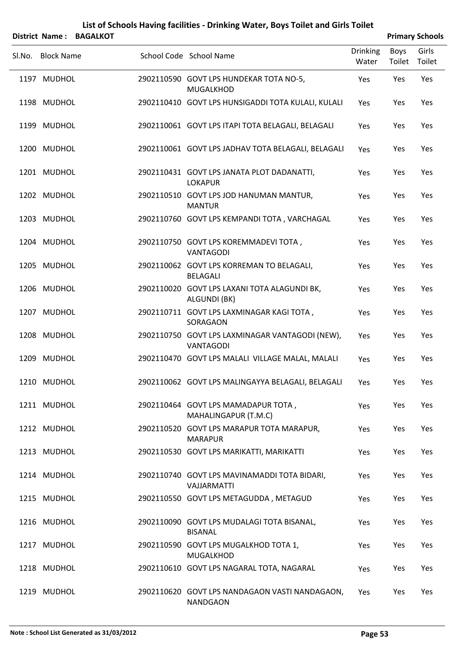|        |                   | District Name: BAGALKOT |                                                                     |                          |                | <b>Primary Schools</b> |
|--------|-------------------|-------------------------|---------------------------------------------------------------------|--------------------------|----------------|------------------------|
| Sl.No. | <b>Block Name</b> |                         | School Code School Name                                             | <b>Drinking</b><br>Water | Boys<br>Toilet | Girls<br>Toilet        |
|        | 1197 MUDHOL       |                         | 2902110590 GOVT LPS HUNDEKAR TOTA NO-5,<br><b>MUGALKHOD</b>         | Yes                      | Yes            | Yes                    |
|        | 1198 MUDHOL       |                         | 2902110410 GOVT LPS HUNSIGADDI TOTA KULALI, KULALI                  | Yes                      | Yes            | Yes                    |
|        | 1199 MUDHOL       |                         | 2902110061 GOVT LPS ITAPI TOTA BELAGALI, BELAGALI                   | Yes                      | Yes            | Yes                    |
|        | 1200 MUDHOL       |                         | 2902110061 GOVT LPS JADHAV TOTA BELAGALI, BELAGALI                  | Yes                      | Yes            | Yes                    |
|        | 1201 MUDHOL       |                         | 2902110431 GOVT LPS JANATA PLOT DADANATTI,<br><b>LOKAPUR</b>        | Yes                      | Yes            | Yes                    |
|        | 1202 MUDHOL       |                         | 2902110510 GOVT LPS JOD HANUMAN MANTUR,<br><b>MANTUR</b>            | Yes                      | Yes            | Yes                    |
|        | 1203 MUDHOL       |                         | 2902110760 GOVT LPS KEMPANDI TOTA, VARCHAGAL                        | Yes                      | Yes            | Yes                    |
|        | 1204 MUDHOL       |                         | 2902110750 GOVT LPS KOREMMADEVI TOTA,<br><b>VANTAGODI</b>           | Yes                      | Yes            | Yes                    |
|        | 1205 MUDHOL       |                         | 2902110062 GOVT LPS KORREMAN TO BELAGALI,<br><b>BELAGALI</b>        | Yes                      | Yes            | Yes                    |
|        | 1206 MUDHOL       |                         | 2902110020 GOVT LPS LAXANI TOTA ALAGUNDI BK,<br>ALGUNDI (BK)        | Yes                      | Yes            | Yes                    |
|        | 1207 MUDHOL       |                         | 2902110711 GOVT LPS LAXMINAGAR KAGI TOTA,<br>SORAGAON               | Yes                      | Yes            | Yes                    |
|        | 1208 MUDHOL       |                         | 2902110750 GOVT LPS LAXMINAGAR VANTAGODI (NEW),<br><b>VANTAGODI</b> | Yes                      | Yes            | Yes                    |
|        | 1209 MUDHOL       |                         | 2902110470 GOVT LPS MALALI VILLAGE MALAL, MALALI                    | Yes                      | Yes            | Yes                    |
|        | 1210 MUDHOL       |                         | 2902110062 GOVT LPS MALINGAYYA BELAGALI, BELAGALI                   | Yes                      | Yes            | Yes                    |
|        | 1211 MUDHOL       |                         | 2902110464 GOVT LPS MAMADAPUR TOTA,<br>MAHALINGAPUR (T.M.C)         | Yes                      | Yes            | Yes                    |
|        | 1212 MUDHOL       |                         | 2902110520 GOVT LPS MARAPUR TOTA MARAPUR,<br><b>MARAPUR</b>         | Yes                      | Yes            | Yes                    |
|        | 1213 MUDHOL       |                         | 2902110530 GOVT LPS MARIKATTI, MARIKATTI                            | Yes                      | Yes            | Yes                    |
|        | 1214 MUDHOL       |                         | 2902110740 GOVT LPS MAVINAMADDI TOTA BIDARI,<br>VAJJARMATTI         | Yes                      | Yes            | Yes                    |
|        | 1215 MUDHOL       |                         | 2902110550 GOVT LPS METAGUDDA, METAGUD                              | Yes                      | Yes            | Yes                    |
|        | 1216 MUDHOL       |                         | 2902110090 GOVT LPS MUDALAGI TOTA BISANAL,<br><b>BISANAL</b>        | Yes                      | Yes            | Yes                    |
|        | 1217 MUDHOL       |                         | 2902110590 GOVT LPS MUGALKHOD TOTA 1,<br><b>MUGALKHOD</b>           | Yes                      | Yes            | Yes                    |
|        | 1218 MUDHOL       |                         | 2902110610 GOVT LPS NAGARAL TOTA, NAGARAL                           | Yes                      | Yes            | Yes                    |
|        | 1219 MUDHOL       |                         | 2902110620 GOVT LPS NANDAGAON VASTI NANDAGAON,<br><b>NANDGAON</b>   | Yes                      | Yes            | Yes                    |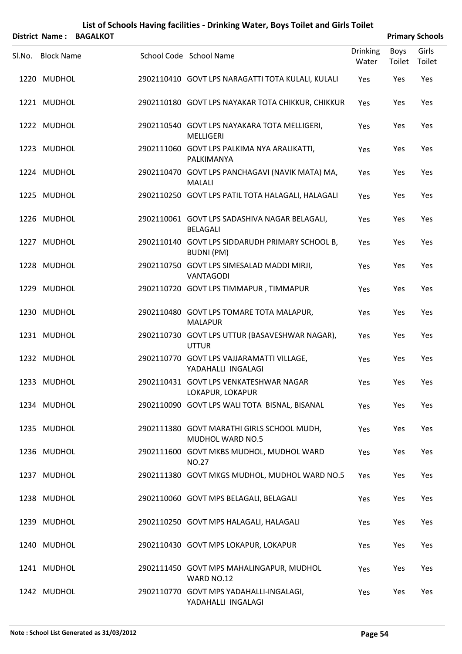| District Name: BAGALKOT |                                                                       |                          |                | <b>Primary Schools</b> |
|-------------------------|-----------------------------------------------------------------------|--------------------------|----------------|------------------------|
| Sl.No. Block Name       | School Code School Name                                               | <b>Drinking</b><br>Water | Boys<br>Toilet | Girls<br>Toilet        |
| 1220 MUDHOL             | 2902110410 GOVT LPS NARAGATTI TOTA KULALI, KULALI                     | Yes                      | Yes            | Yes                    |
| 1221 MUDHOL             | 2902110180 GOVT LPS NAYAKAR TOTA CHIKKUR, CHIKKUR                     | Yes                      | Yes            | Yes                    |
| 1222 MUDHOL             | 2902110540 GOVT LPS NAYAKARA TOTA MELLIGERI,<br><b>MELLIGERI</b>      | Yes                      | Yes            | Yes                    |
| 1223 MUDHOL             | 2902111060 GOVT LPS PALKIMA NYA ARALIKATTI,<br>PALKIMANYA             | Yes                      | Yes            | Yes                    |
| 1224 MUDHOL             | 2902110470 GOVT LPS PANCHAGAVI (NAVIK MATA) MA,<br><b>MALALI</b>      | Yes                      | Yes            | Yes                    |
| 1225 MUDHOL             | 2902110250 GOVT LPS PATIL TOTA HALAGALI, HALAGALI                     | Yes                      | Yes            | Yes                    |
| 1226 MUDHOL             | 2902110061 GOVT LPS SADASHIVA NAGAR BELAGALI,<br><b>BELAGALI</b>      | Yes                      | Yes            | Yes                    |
| 1227 MUDHOL             | 2902110140 GOVT LPS SIDDARUDH PRIMARY SCHOOL B,<br><b>BUDNI (PM)</b>  | Yes                      | Yes            | Yes                    |
| 1228 MUDHOL             | 2902110750 GOVT LPS SIMESALAD MADDI MIRJI,<br><b>VANTAGODI</b>        | Yes                      | Yes            | Yes                    |
| 1229 MUDHOL             | 2902110720 GOVT LPS TIMMAPUR, TIMMAPUR                                | Yes                      | Yes            | Yes                    |
| 1230 MUDHOL             | 2902110480 GOVT LPS TOMARE TOTA MALAPUR,<br><b>MALAPUR</b>            | Yes                      | Yes            | Yes                    |
| 1231 MUDHOL             | 2902110730 GOVT LPS UTTUR (BASAVESHWAR NAGAR),<br><b>UTTUR</b>        | Yes                      | Yes            | Yes                    |
| 1232 MUDHOL             | 2902110770 GOVT LPS VAJJARAMATTI VILLAGE,<br>YADAHALLI INGALAGI       | Yes                      | Yes            | Yes                    |
| 1233 MUDHOL             | 2902110431 GOVT LPS VENKATESHWAR NAGAR<br>LOKAPUR, LOKAPUR            | Yes                      | Yes            | Yes                    |
| 1234 MUDHOL             | 2902110090 GOVT LPS WALI TOTA BISNAL, BISANAL                         | Yes                      | Yes            | Yes                    |
| 1235 MUDHOL             | 2902111380 GOVT MARATHI GIRLS SCHOOL MUDH,<br><b>MUDHOL WARD NO.5</b> | Yes                      | Yes            | Yes                    |
| 1236 MUDHOL             | 2902111600 GOVT MKBS MUDHOL, MUDHOL WARD<br><b>NO.27</b>              | Yes                      | Yes            | Yes                    |
| 1237 MUDHOL             | 2902111380 GOVT MKGS MUDHOL, MUDHOL WARD NO.5                         | Yes                      | Yes            | Yes                    |
| 1238 MUDHOL             | 2902110060 GOVT MPS BELAGALI, BELAGALI                                | Yes                      | Yes            | Yes                    |
| 1239 MUDHOL             | 2902110250 GOVT MPS HALAGALI, HALAGALI                                | Yes                      | Yes            | Yes                    |
| 1240 MUDHOL             | 2902110430 GOVT MPS LOKAPUR, LOKAPUR                                  | Yes                      | Yes            | Yes                    |
| 1241 MUDHOL             | 2902111450 GOVT MPS MAHALINGAPUR, MUDHOL<br>WARD NO.12                | Yes                      | Yes            | Yes                    |
| 1242 MUDHOL             | 2902110770 GOVT MPS YADAHALLI-INGALAGI,<br>YADAHALLI INGALAGI         | Yes                      | Yes            | Yes                    |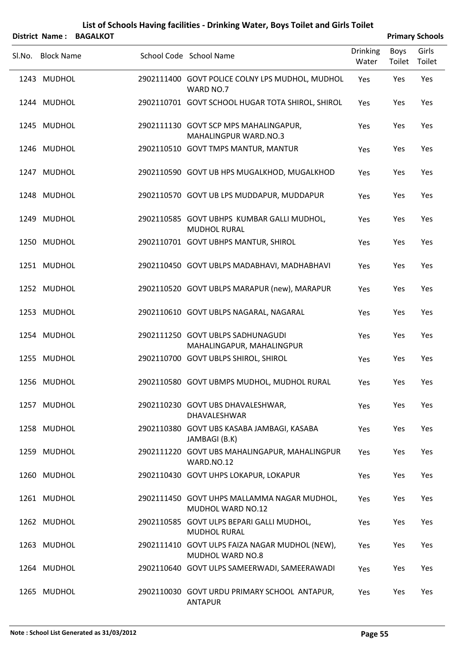| <b>District Name:</b> | <b>BAGALKOT</b> | List of Schools Having facilities - Drinking Water, Boys Toilet and Girls Toilet |                          |                | <b>Primary Schools</b> |
|-----------------------|-----------------|----------------------------------------------------------------------------------|--------------------------|----------------|------------------------|
| Sl.No. Block Name     |                 | School Code School Name                                                          | <b>Drinking</b><br>Water | Boys<br>Toilet | Girls<br>Toilet        |
| 1243 MUDHOL           |                 | 2902111400 GOVT POLICE COLNY LPS MUDHOL, MUDHOL<br>WARD NO.7                     | Yes                      | Yes            | Yes                    |
| 1244 MUDHOL           |                 | 2902110701 GOVT SCHOOL HUGAR TOTA SHIROL, SHIROL                                 | Yes                      | Yes            | Yes                    |
| 1245 MUDHOL           |                 | 2902111130 GOVT SCP MPS MAHALINGAPUR,<br>MAHALINGPUR WARD.NO.3                   | Yes                      | Yes            | Yes                    |
| 1246 MUDHOL           |                 | 2902110510 GOVT TMPS MANTUR, MANTUR                                              | Yes                      | Yes            | Yes                    |
| 1247 MUDHOL           |                 | 2902110590 GOVT UB HPS MUGALKHOD, MUGALKHOD                                      | Yes                      | Yes            | Yes                    |
| 1248 MUDHOL           |                 | 2902110570 GOVT UB LPS MUDDAPUR, MUDDAPUR                                        | Yes                      | Yes            | Yes                    |
| 1249 MUDHOL           |                 | 2902110585 GOVT UBHPS KUMBAR GALLI MUDHOL,<br><b>MUDHOL RURAL</b>                | Yes                      | Yes            | Yes                    |
| 1250 MUDHOL           |                 | 2902110701 GOVT UBHPS MANTUR, SHIROL                                             | Yes                      | Yes            | Yes                    |
| 1251 MUDHOL           |                 | 2902110450 GOVT UBLPS MADABHAVI, MADHABHAVI                                      | Yes                      | Yes            | Yes                    |
| 1252 MUDHOL           |                 | 2902110520 GOVT UBLPS MARAPUR (new), MARAPUR                                     | Yes                      | Yes            | Yes                    |
| 1253 MUDHOL           |                 | 2902110610 GOVT UBLPS NAGARAL, NAGARAL                                           | Yes                      | Yes            | Yes                    |
| 1254 MUDHOL           |                 | 2902111250 GOVT UBLPS SADHUNAGUDI<br>MAHALINGAPUR, MAHALINGPUR                   | Yes                      | Yes            | Yes                    |
| 1255 MUDHOL           |                 | 2902110700 GOVT UBLPS SHIROL, SHIROL                                             | Yes                      | Yes            | Yes                    |
| 1256 MUDHOL           |                 | 2902110580 GOVT UBMPS MUDHOL, MUDHOL RURAL                                       | Yes                      | Yes            | Yes                    |
| 1257 MUDHOL           |                 | 2902110230 GOVT UBS DHAVALESHWAR,<br>DHAVALESHWAR                                | Yes                      | Yes            | Yes                    |
| 1258 MUDHOL           |                 | 2902110380 GOVT UBS KASABA JAMBAGI, KASABA<br>JAMBAGI (B.K)                      | Yes                      | Yes            | Yes                    |
| 1259 MUDHOL           |                 | 2902111220 GOVT UBS MAHALINGAPUR, MAHALINGPUR<br>WARD.NO.12                      | Yes                      | Yes            | Yes                    |
| 1260 MUDHOL           |                 | 2902110430 GOVT UHPS LOKAPUR, LOKAPUR                                            | Yes                      | Yes            | Yes                    |
| 1261 MUDHOL           |                 | 2902111450 GOVT UHPS MALLAMMA NAGAR MUDHOL,<br>MUDHOL WARD NO.12                 | Yes                      | Yes            | Yes                    |
| 1262 MUDHOL           |                 | 2902110585 GOVT ULPS BEPARI GALLI MUDHOL,<br><b>MUDHOL RURAL</b>                 | Yes                      | Yes            | Yes                    |
| 1263 MUDHOL           |                 | 2902111410 GOVT ULPS FAIZA NAGAR MUDHOL (NEW),<br><b>MUDHOL WARD NO.8</b>        | Yes                      | Yes            | Yes                    |
| 1264 MUDHOL           |                 | 2902110640 GOVT ULPS SAMEERWADI, SAMEERAWADI                                     | Yes                      | Yes            | Yes                    |
| 1265 MUDHOL           |                 | 2902110030 GOVT URDU PRIMARY SCHOOL ANTAPUR,<br><b>ANTAPUR</b>                   | Yes                      | Yes            | Yes                    |

#### **Note : School List Generated as 31/03/2012 Page 55**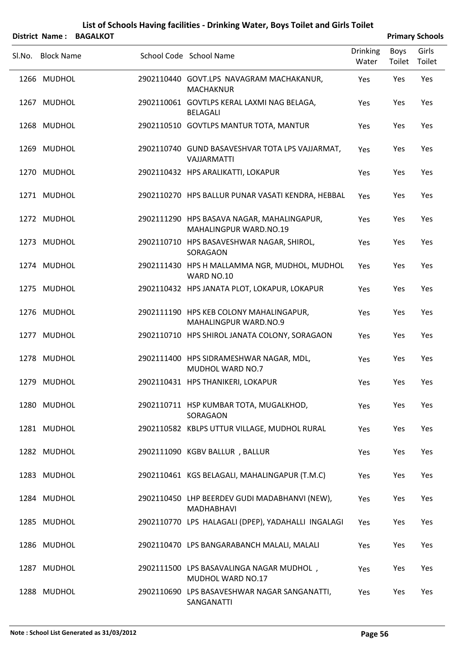|                   | District Name: BAGALKOT |                                                                             |                          |                | <b>Primary Schools</b> |
|-------------------|-------------------------|-----------------------------------------------------------------------------|--------------------------|----------------|------------------------|
| Sl.No. Block Name |                         | School Code School Name                                                     | <b>Drinking</b><br>Water | Boys<br>Toilet | Girls<br>Toilet        |
| 1266 MUDHOL       |                         | 2902110440 GOVT.LPS NAVAGRAM MACHAKANUR,<br><b>MACHAKNUR</b>                | Yes                      | Yes            | Yes                    |
| 1267 MUDHOL       |                         | 2902110061 GOVTLPS KERAL LAXMI NAG BELAGA,<br><b>BELAGALI</b>               | Yes                      | Yes            | Yes                    |
| 1268 MUDHOL       |                         | 2902110510 GOVTLPS MANTUR TOTA, MANTUR                                      | Yes                      | Yes            | Yes                    |
| 1269 MUDHOL       |                         | 2902110740 GUND BASAVESHVAR TOTA LPS VAJJARMAT,<br><b>VAJJARMATTI</b>       | Yes                      | Yes            | Yes                    |
| 1270 MUDHOL       |                         | 2902110432 HPS ARALIKATTI, LOKAPUR                                          | Yes                      | Yes            | Yes                    |
| 1271 MUDHOL       |                         | 2902110270 HPS BALLUR PUNAR VASATI KENDRA, HEBBAL                           | Yes                      | Yes            | Yes                    |
| 1272 MUDHOL       |                         | 2902111290 HPS BASAVA NAGAR, MAHALINGAPUR,<br><b>MAHALINGPUR WARD.NO.19</b> | Yes                      | Yes            | Yes                    |
| 1273 MUDHOL       |                         | 2902110710 HPS BASAVESHWAR NAGAR, SHIROL,<br>SORAGAON                       | Yes                      | Yes            | Yes                    |
| 1274 MUDHOL       |                         | 2902111430 HPS H MALLAMMA NGR, MUDHOL, MUDHOL<br>WARD NO.10                 | Yes                      | Yes            | Yes                    |
| 1275 MUDHOL       |                         | 2902110432 HPS JANATA PLOT, LOKAPUR, LOKAPUR                                | Yes                      | Yes            | Yes                    |
| 1276 MUDHOL       |                         | 2902111190 HPS KEB COLONY MAHALINGAPUR,<br><b>MAHALINGPUR WARD.NO.9</b>     | Yes                      | Yes            | Yes                    |
| 1277 MUDHOL       |                         | 2902110710 HPS SHIROL JANATA COLONY, SORAGAON                               | Yes                      | Yes            | Yes                    |
| 1278 MUDHOL       |                         | 2902111400 HPS SIDRAMESHWAR NAGAR, MDL,<br>MUDHOL WARD NO.7                 | Yes                      | Yes            | Yes                    |
| 1279 MUDHOL       |                         | 2902110431 HPS THANIKERI, LOKAPUR                                           | Yes                      | Yes            | Yes                    |
| 1280 MUDHOL       |                         | 2902110711 HSP KUMBAR TOTA, MUGALKHOD,<br>SORAGAON                          | Yes                      | Yes            | Yes                    |
| 1281 MUDHOL       |                         | 2902110582 KBLPS UTTUR VILLAGE, MUDHOL RURAL                                | Yes                      | Yes            | Yes                    |
| 1282 MUDHOL       |                         | 2902111090 KGBV BALLUR, BALLUR                                              | Yes                      | Yes            | Yes                    |
| 1283 MUDHOL       |                         | 2902110461 KGS BELAGALI, MAHALINGAPUR (T.M.C)                               | Yes                      | Yes            | Yes                    |
| 1284 MUDHOL       |                         | 2902110450 LHP BEERDEV GUDI MADABHANVI (NEW),<br><b>MADHABHAVI</b>          | Yes                      | Yes            | Yes                    |
| 1285 MUDHOL       |                         | 2902110770 LPS HALAGALI (DPEP), YADAHALLI INGALAGI                          | Yes                      | Yes            | Yes                    |
| 1286 MUDHOL       |                         | 2902110470 LPS BANGARABANCH MALALI, MALALI                                  | Yes                      | Yes            | Yes                    |
| 1287 MUDHOL       |                         | 2902111500 LPS BASAVALINGA NAGAR MUDHOL,<br><b>MUDHOL WARD NO.17</b>        | Yes                      | Yes            | Yes                    |
| 1288 MUDHOL       |                         | 2902110690 LPS BASAVESHWAR NAGAR SANGANATTI,<br>SANGANATTI                  | Yes                      | Yes            | Yes                    |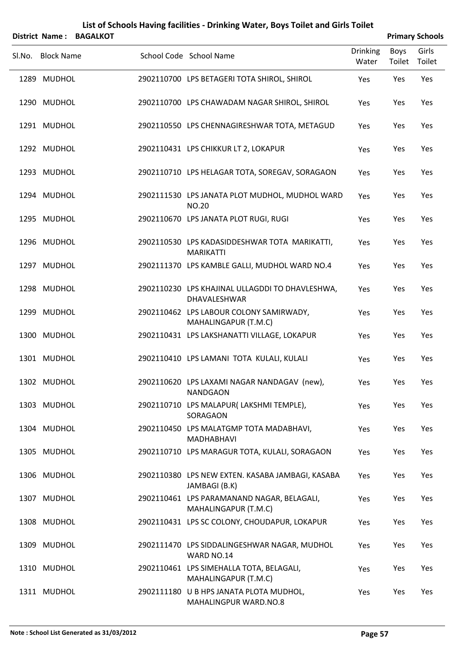|        | District Name:    | <b>BAGALKOT</b> |                                                                    |                          |                       | <b>Primary Schools</b> |
|--------|-------------------|-----------------|--------------------------------------------------------------------|--------------------------|-----------------------|------------------------|
| Sl.No. | <b>Block Name</b> |                 | School Code School Name                                            | <b>Drinking</b><br>Water | <b>Boys</b><br>Toilet | Girls<br>Toilet        |
|        | 1289 MUDHOL       |                 | 2902110700 LPS BETAGERI TOTA SHIROL, SHIROL                        | Yes                      | Yes                   | Yes                    |
|        | 1290 MUDHOL       |                 | 2902110700 LPS CHAWADAM NAGAR SHIROL, SHIROL                       | Yes                      | Yes                   | Yes                    |
|        | 1291 MUDHOL       |                 | 2902110550 LPS CHENNAGIRESHWAR TOTA, METAGUD                       | Yes                      | Yes                   | Yes                    |
|        | 1292 MUDHOL       |                 | 2902110431 LPS CHIKKUR LT 2, LOKAPUR                               | Yes                      | Yes                   | Yes                    |
|        | 1293 MUDHOL       |                 | 2902110710 LPS HELAGAR TOTA, SOREGAV, SORAGAON                     | Yes                      | Yes                   | Yes                    |
|        | 1294 MUDHOL       |                 | 2902111530 LPS JANATA PLOT MUDHOL, MUDHOL WARD<br><b>NO.20</b>     | Yes                      | Yes                   | Yes                    |
|        | 1295 MUDHOL       |                 | 2902110670 LPS JANATA PLOT RUGI, RUGI                              | Yes                      | Yes                   | Yes                    |
|        | 1296 MUDHOL       |                 | 2902110530 LPS KADASIDDESHWAR TOTA MARIKATTI,<br><b>MARIKATTI</b>  | Yes                      | Yes                   | Yes                    |
|        | 1297 MUDHOL       |                 | 2902111370 LPS KAMBLE GALLI, MUDHOL WARD NO.4                      | Yes                      | Yes                   | Yes                    |
|        | 1298 MUDHOL       |                 | 2902110230 LPS KHAJINAL ULLAGDDI TO DHAVLESHWA,<br>DHAVALESHWAR    | Yes                      | Yes                   | Yes                    |
|        | 1299 MUDHOL       |                 | 2902110462 LPS LABOUR COLONY SAMIRWADY,<br>MAHALINGAPUR (T.M.C)    | Yes                      | Yes                   | Yes                    |
|        | 1300 MUDHOL       |                 | 2902110431 LPS LAKSHANATTI VILLAGE, LOKAPUR                        | Yes                      | Yes                   | Yes                    |
|        | 1301 MUDHOL       |                 | 2902110410 LPS LAMANI TOTA KULALI, KULALI                          | Yes                      | Yes                   | Yes                    |
|        | 1302 MUDHOL       |                 | 2902110620 LPS LAXAMI NAGAR NANDAGAV (new),<br><b>NANDGAON</b>     | Yes                      | Yes                   | Yes                    |
|        | 1303 MUDHOL       |                 | 2902110710 LPS MALAPUR(LAKSHMI TEMPLE),<br>SORAGAON                | Yes                      | Yes                   | Yes                    |
|        | 1304 MUDHOL       |                 | 2902110450 LPS MALATGMP TOTA MADABHAVI,<br>MADHABHAVI              | Yes                      | Yes                   | Yes                    |
|        | 1305 MUDHOL       |                 | 2902110710 LPS MARAGUR TOTA, KULALI, SORAGAON                      | Yes                      | Yes                   | Yes                    |
|        | 1306 MUDHOL       |                 | 2902110380 LPS NEW EXTEN. KASABA JAMBAGI, KASABA<br>JAMBAGI (B.K)  | Yes                      | Yes                   | Yes                    |
|        | 1307 MUDHOL       |                 | 2902110461 LPS PARAMANAND NAGAR, BELAGALI,<br>MAHALINGAPUR (T.M.C) | Yes                      | Yes                   | Yes                    |
|        | 1308 MUDHOL       |                 | 2902110431 LPS SC COLONY, CHOUDAPUR, LOKAPUR                       | Yes                      | Yes                   | Yes                    |
|        | 1309 MUDHOL       |                 | 2902111470 LPS SIDDALINGESHWAR NAGAR, MUDHOL<br>WARD NO.14         | Yes                      | Yes                   | Yes                    |
|        | 1310 MUDHOL       |                 | 2902110461 LPS SIMEHALLA TOTA, BELAGALI,<br>MAHALINGAPUR (T.M.C)   | Yes                      | Yes                   | Yes                    |
|        | 1311 MUDHOL       |                 | 2902111180 U B HPS JANATA PLOTA MUDHOL,                            | Yes                      | Yes                   | Yes                    |

MAHALINGPUR WARD.NO.8